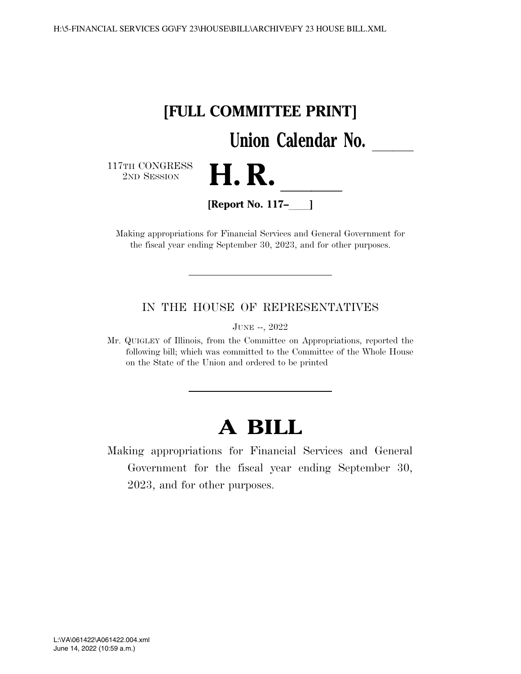

Making appropriations for Financial Services and General Government for the fiscal year ending September 30, 2023, and for other purposes.

IN THE HOUSE OF REPRESENTATIVES

JUNE --, 2022

Mr. QUIGLEY of Illinois, from the Committee on Appropriations, reported the following bill; which was committed to the Committee of the Whole House on the State of the Union and ordered to be printed

# **A BILL**

Making appropriations for Financial Services and General Government for the fiscal year ending September 30, 2023, and for other purposes.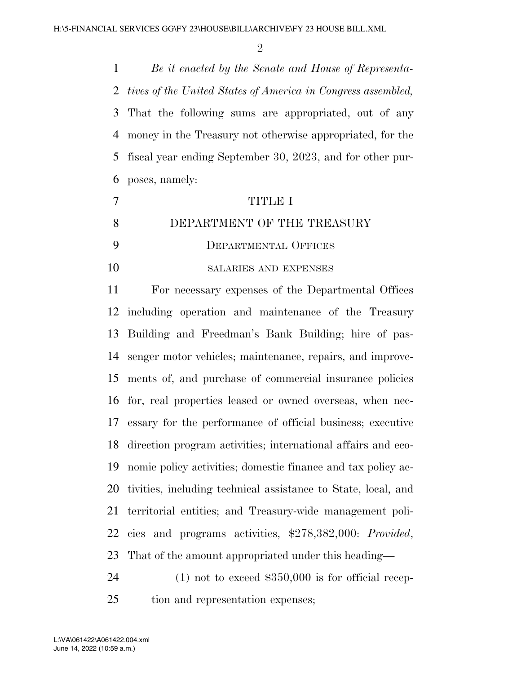$\mathfrak{D}$ 

 *Be it enacted by the Senate and House of Representa- tives of the United States of America in Congress assembled,*  That the following sums are appropriated, out of any money in the Treasury not otherwise appropriated, for the fiscal year ending September 30, 2023, and for other pur-poses, namely:

 TITLE I DEPARTMENT OF THE TREASURY DEPARTMENTAL OFFICES 10 SALARIES AND EXPENSES

 For necessary expenses of the Departmental Offices including operation and maintenance of the Treasury Building and Freedman's Bank Building; hire of pas- senger motor vehicles; maintenance, repairs, and improve- ments of, and purchase of commercial insurance policies for, real properties leased or owned overseas, when nec- essary for the performance of official business; executive direction program activities; international affairs and eco- nomic policy activities; domestic finance and tax policy ac- tivities, including technical assistance to State, local, and territorial entities; and Treasury-wide management poli- cies and programs activities, \$278,382,000: *Provided*, That of the amount appropriated under this heading—

 (1) not to exceed \$350,000 is for official recep-tion and representation expenses;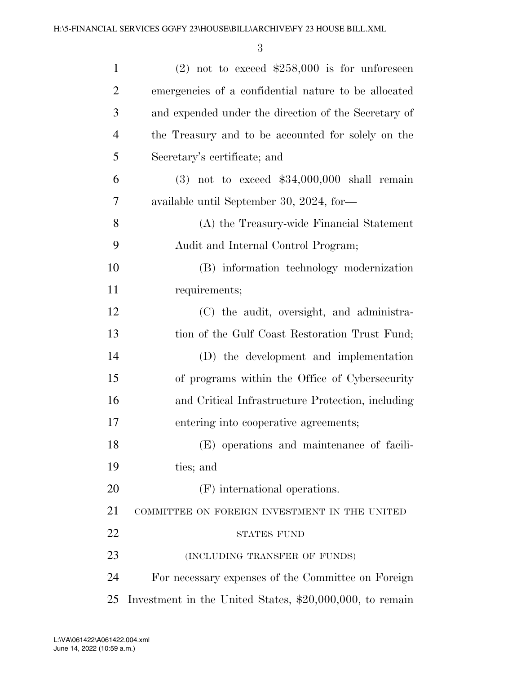| $\mathbf{1}$   | $(2)$ not to exceed \$258,000 is for unforeseen            |
|----------------|------------------------------------------------------------|
| $\overline{2}$ | emergencies of a confidential nature to be allocated       |
| 3              | and expended under the direction of the Secretary of       |
| $\overline{4}$ | the Treasury and to be accounted for solely on the         |
| 5              | Secretary's certificate; and                               |
| 6              | $(3)$ not to exceed \$34,000,000 shall remain              |
| $\overline{7}$ | available until September 30, 2024, for-                   |
| 8              | (A) the Treasury-wide Financial Statement                  |
| 9              | Audit and Internal Control Program;                        |
| 10             | (B) information technology modernization                   |
| 11             | requirements;                                              |
| 12             | (C) the audit, oversight, and administra-                  |
| 13             | tion of the Gulf Coast Restoration Trust Fund;             |
| 14             | (D) the development and implementation                     |
| 15             | of programs within the Office of Cybersecurity             |
| 16             | and Critical Infrastructure Protection, including          |
| 17             | entering into cooperative agreements;                      |
| 18             | (E) operations and maintenance of facili-                  |
| 19             | ties; and                                                  |
| 20             | (F) international operations.                              |
| 21             | COMMITTEE ON FOREIGN INVESTMENT IN THE UNITED              |
| 22             | <b>STATES FUND</b>                                         |
| 23             | (INCLUDING TRANSFER OF FUNDS)                              |
| 24             | For necessary expenses of the Committee on Foreign         |
| 25             | Investment in the United States, $$20,000,000$ , to remain |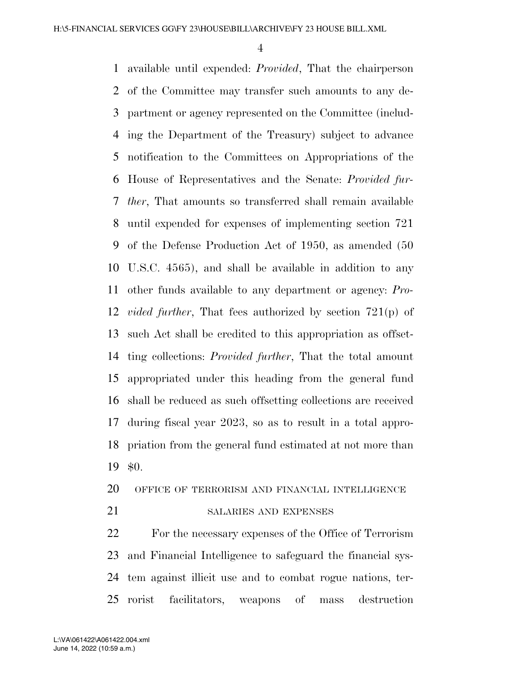available until expended: *Provided*, That the chairperson of the Committee may transfer such amounts to any de- partment or agency represented on the Committee (includ- ing the Department of the Treasury) subject to advance notification to the Committees on Appropriations of the House of Representatives and the Senate: *Provided fur- ther*, That amounts so transferred shall remain available until expended for expenses of implementing section 721 of the Defense Production Act of 1950, as amended (50 U.S.C. 4565), and shall be available in addition to any other funds available to any department or agency: *Pro- vided further*, That fees authorized by section 721(p) of such Act shall be credited to this appropriation as offset- ting collections: *Provided further*, That the total amount appropriated under this heading from the general fund shall be reduced as such offsetting collections are received during fiscal year 2023, so as to result in a total appro- priation from the general fund estimated at not more than \$0.

# OFFICE OF TERRORISM AND FINANCIAL INTELLIGENCE

21 SALARIES AND EXPENSES

 For the necessary expenses of the Office of Terrorism and Financial Intelligence to safeguard the financial sys- tem against illicit use and to combat rogue nations, ter-rorist facilitators, weapons of mass destruction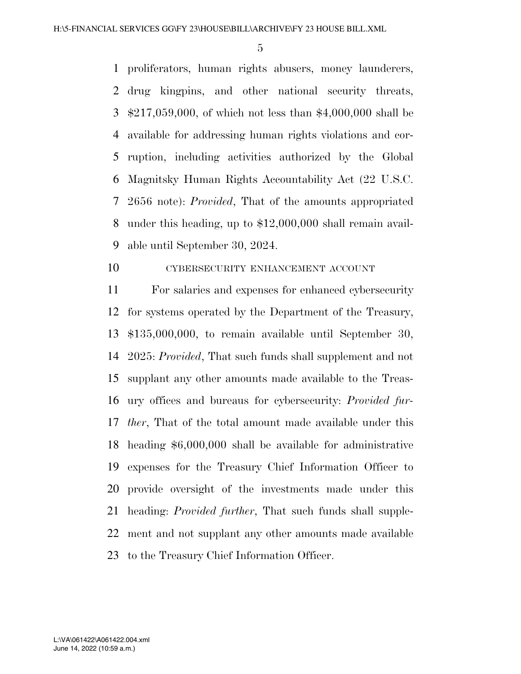proliferators, human rights abusers, money launderers, drug kingpins, and other national security threats, \$217,059,000, of which not less than \$4,000,000 shall be available for addressing human rights violations and cor- ruption, including activities authorized by the Global Magnitsky Human Rights Accountability Act (22 U.S.C. 2656 note): *Provided*, That of the amounts appropriated under this heading, up to \$12,000,000 shall remain avail-able until September 30, 2024.

# CYBERSECURITY ENHANCEMENT ACCOUNT

 For salaries and expenses for enhanced cybersecurity for systems operated by the Department of the Treasury, \$135,000,000, to remain available until September 30, 2025: *Provided*, That such funds shall supplement and not supplant any other amounts made available to the Treas- ury offices and bureaus for cybersecurity: *Provided fur- ther*, That of the total amount made available under this heading \$6,000,000 shall be available for administrative expenses for the Treasury Chief Information Officer to provide oversight of the investments made under this heading: *Provided further*, That such funds shall supple- ment and not supplant any other amounts made available to the Treasury Chief Information Officer.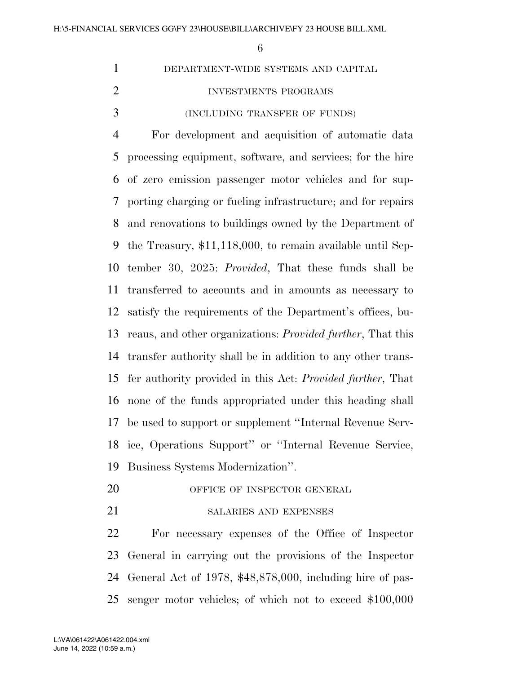|               | DEPARTMENT-WIDE SYSTEMS AND CAPITAL |
|---------------|-------------------------------------|
|               | INVESTMENTS PROGRAMS                |
| $\mathcal{R}$ | (INCLUDING TRANSFER OF FUNDS)       |
|               |                                     |

 For development and acquisition of automatic data processing equipment, software, and services; for the hire of zero emission passenger motor vehicles and for sup- porting charging or fueling infrastructure; and for repairs and renovations to buildings owned by the Department of the Treasury, \$11,118,000, to remain available until Sep- tember 30, 2025: *Provided*, That these funds shall be transferred to accounts and in amounts as necessary to satisfy the requirements of the Department's offices, bu- reaus, and other organizations: *Provided further*, That this transfer authority shall be in addition to any other trans- fer authority provided in this Act: *Provided further*, That none of the funds appropriated under this heading shall be used to support or supplement ''Internal Revenue Serv- ice, Operations Support'' or ''Internal Revenue Service, Business Systems Modernization''.

- 20 OFFICE OF INSPECTOR GENERAL
- 21 SALARIES AND EXPENSES

 For necessary expenses of the Office of Inspector General in carrying out the provisions of the Inspector General Act of 1978, \$48,878,000, including hire of pas-senger motor vehicles; of which not to exceed \$100,000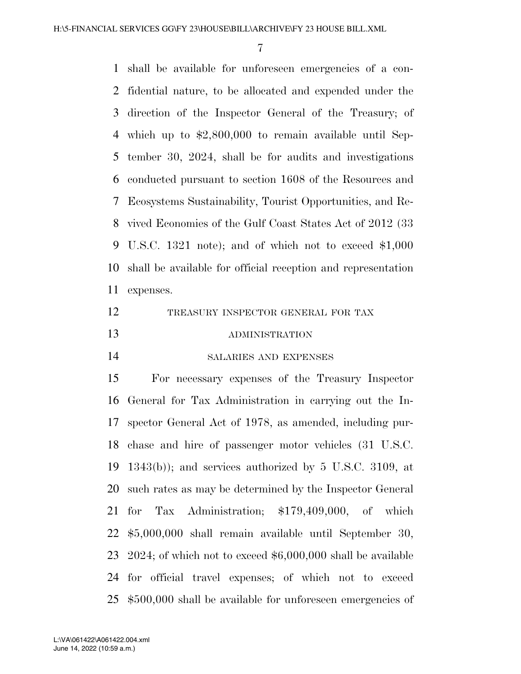shall be available for unforeseen emergencies of a con- fidential nature, to be allocated and expended under the direction of the Inspector General of the Treasury; of which up to \$2,800,000 to remain available until Sep- tember 30, 2024, shall be for audits and investigations conducted pursuant to section 1608 of the Resources and Ecosystems Sustainability, Tourist Opportunities, and Re- vived Economies of the Gulf Coast States Act of 2012 (33 U.S.C. 1321 note); and of which not to exceed \$1,000 shall be available for official reception and representation expenses. TREASURY INSPECTOR GENERAL FOR TAX ADMINISTRATION SALARIES AND EXPENSES For necessary expenses of the Treasury Inspector

 General for Tax Administration in carrying out the In- spector General Act of 1978, as amended, including pur- chase and hire of passenger motor vehicles (31 U.S.C.  $1343(b)$ ; and services authorized by 5 U.S.C. 3109, at such rates as may be determined by the Inspector General for Tax Administration; \$179,409,000, of which \$5,000,000 shall remain available until September 30, 2024; of which not to exceed \$6,000,000 shall be available for official travel expenses; of which not to exceed \$500,000 shall be available for unforeseen emergencies of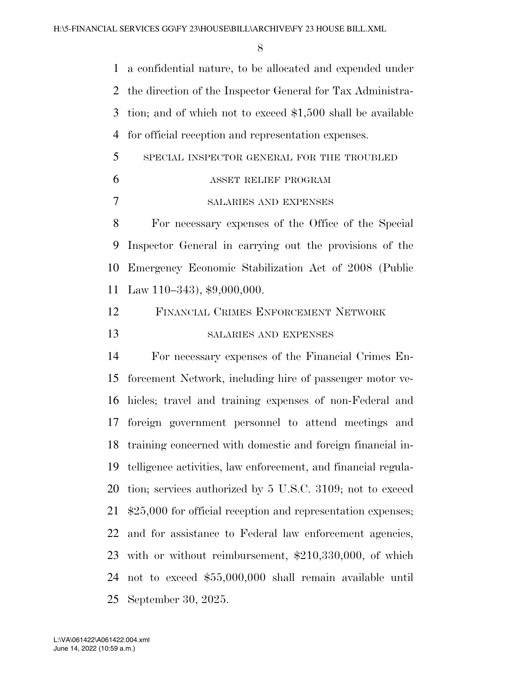a confidential nature, to be allocated and expended under the direction of the Inspector General for Tax Administra- tion; and of which not to exceed \$1,500 shall be available for official reception and representation expenses. SPECIAL INSPECTOR GENERAL FOR THE TROUBLED ASSET RELIEF PROGRAM SALARIES AND EXPENSES For necessary expenses of the Office of the Special Inspector General in carrying out the provisions of the Emergency Economic Stabilization Act of 2008 (Public Law 110–343), \$9,000,000. FINANCIAL CRIMES ENFORCEMENT NETWORK SALARIES AND EXPENSES For necessary expenses of the Financial Crimes En- forcement Network, including hire of passenger motor ve- hicles; travel and training expenses of non-Federal and foreign government personnel to attend meetings and training concerned with domestic and foreign financial in- telligence activities, law enforcement, and financial regula- tion; services authorized by 5 U.S.C. 3109; not to exceed \$25,000 for official reception and representation expenses; and for assistance to Federal law enforcement agencies, with or without reimbursement, \$210,330,000, of which not to exceed \$55,000,000 shall remain available until September 30, 2025.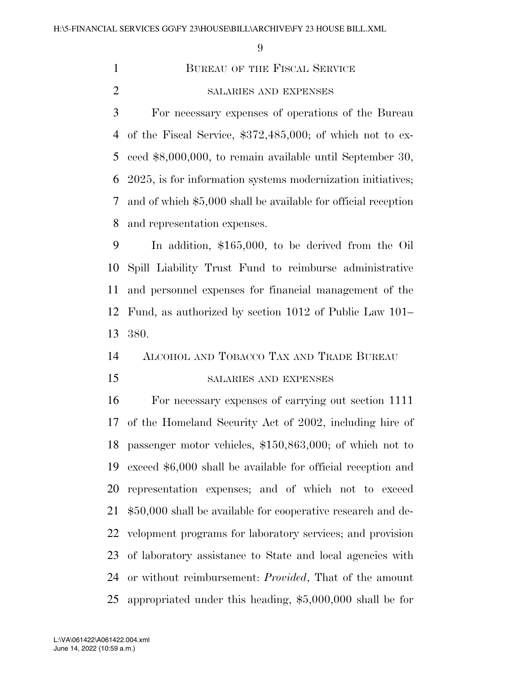1 BUREAU OF THE FISCAL SERVICE

SALARIES AND EXPENSES

 For necessary expenses of operations of the Bureau of the Fiscal Service, \$372,485,000; of which not to ex- ceed \$8,000,000, to remain available until September 30, 2025, is for information systems modernization initiatives; and of which \$5,000 shall be available for official reception and representation expenses.

 In addition, \$165,000, to be derived from the Oil Spill Liability Trust Fund to reimburse administrative and personnel expenses for financial management of the Fund, as authorized by section 1012 of Public Law 101– 380.

## ALCOHOL AND TOBACCO TAX AND TRADE BUREAU

## SALARIES AND EXPENSES

 For necessary expenses of carrying out section 1111 of the Homeland Security Act of 2002, including hire of passenger motor vehicles, \$150,863,000; of which not to exceed \$6,000 shall be available for official reception and representation expenses; and of which not to exceed \$50,000 shall be available for cooperative research and de- velopment programs for laboratory services; and provision of laboratory assistance to State and local agencies with or without reimbursement: *Provided*, That of the amount appropriated under this heading, \$5,000,000 shall be for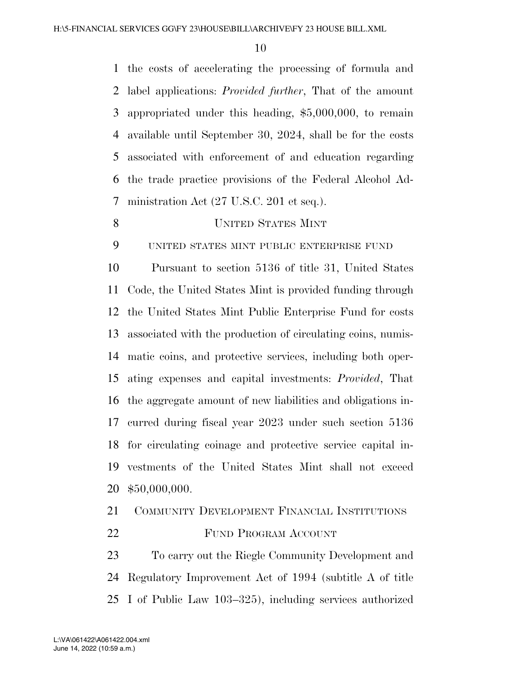the costs of accelerating the processing of formula and label applications: *Provided further*, That of the amount appropriated under this heading, \$5,000,000, to remain available until September 30, 2024, shall be for the costs associated with enforcement of and education regarding the trade practice provisions of the Federal Alcohol Ad-ministration Act (27 U.S.C. 201 et seq.).

## UNITED STATES MINT

UNITED STATES MINT PUBLIC ENTERPRISE FUND

 Pursuant to section 5136 of title 31, United States Code, the United States Mint is provided funding through the United States Mint Public Enterprise Fund for costs associated with the production of circulating coins, numis- matic coins, and protective services, including both oper- ating expenses and capital investments: *Provided*, That the aggregate amount of new liabilities and obligations in- curred during fiscal year 2023 under such section 5136 for circulating coinage and protective service capital in- vestments of the United States Mint shall not exceed \$50,000,000.

 COMMUNITY DEVELOPMENT FINANCIAL INSTITUTIONS 22 FUND PROGRAM ACCOUNT

 To carry out the Riegle Community Development and Regulatory Improvement Act of 1994 (subtitle A of title I of Public Law 103–325), including services authorized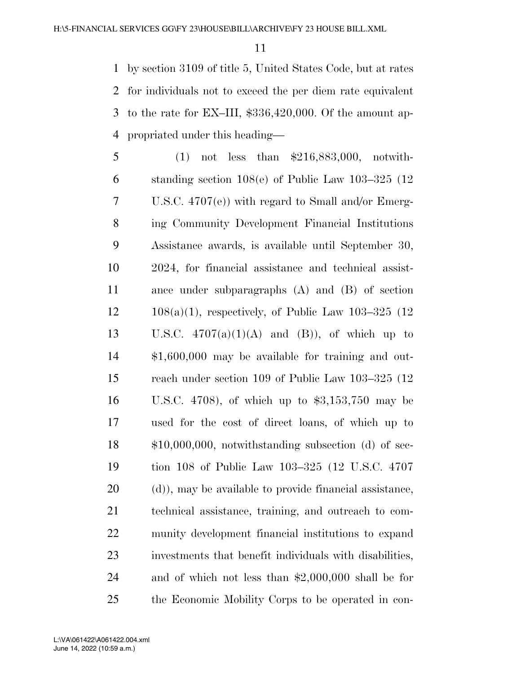by section 3109 of title 5, United States Code, but at rates for individuals not to exceed the per diem rate equivalent to the rate for EX–III, \$336,420,000. Of the amount ap-propriated under this heading—

 (1) not less than \$216,883,000, notwith- standing section 108(e) of Public Law 103–325 (12 U.S.C. 4707(e)) with regard to Small and/or Emerg- ing Community Development Financial Institutions Assistance awards, is available until September 30, 2024, for financial assistance and technical assist- ance under subparagraphs (A) and (B) of section  $12 \qquad 108(a)(1)$ , respectively, of Public Law  $103-325(12)$ 13 U.S.C.  $4707(a)(1)(A)$  and (B)), of which up to \$1,600,000 may be available for training and out- reach under section 109 of Public Law 103–325 (12 U.S.C. 4708), of which up to \$3,153,750 may be used for the cost of direct loans, of which up to \$10,000,000, notwithstanding subsection (d) of sec- tion 108 of Public Law 103–325 (12 U.S.C. 4707 (d)), may be available to provide financial assistance, technical assistance, training, and outreach to com- munity development financial institutions to expand investments that benefit individuals with disabilities, and of which not less than \$2,000,000 shall be for the Economic Mobility Corps to be operated in con-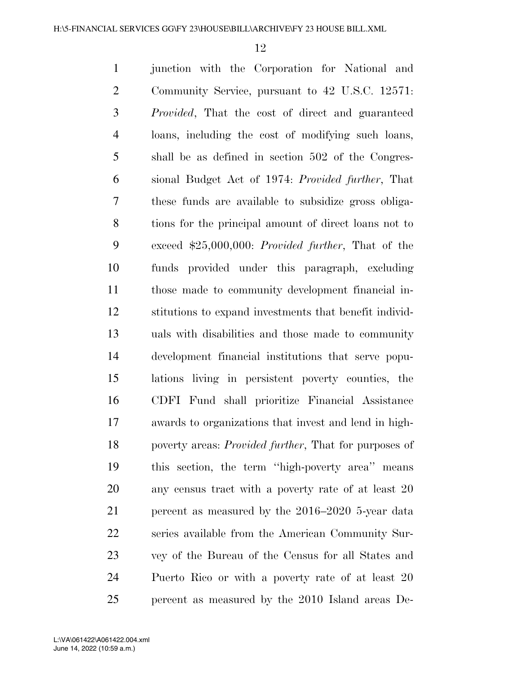junction with the Corporation for National and Community Service, pursuant to 42 U.S.C. 12571: *Provided*, That the cost of direct and guaranteed loans, including the cost of modifying such loans, shall be as defined in section 502 of the Congres- sional Budget Act of 1974: *Provided further*, That these funds are available to subsidize gross obliga- tions for the principal amount of direct loans not to exceed \$25,000,000: *Provided further*, That of the funds provided under this paragraph, excluding those made to community development financial in- stitutions to expand investments that benefit individ- uals with disabilities and those made to community development financial institutions that serve popu- lations living in persistent poverty counties, the CDFI Fund shall prioritize Financial Assistance awards to organizations that invest and lend in high- poverty areas: *Provided further*, That for purposes of this section, the term ''high-poverty area'' means 20 any census tract with a poverty rate of at least 20 percent as measured by the 2016–2020 5-year data series available from the American Community Sur- vey of the Bureau of the Census for all States and Puerto Rico or with a poverty rate of at least 20 percent as measured by the 2010 Island areas De-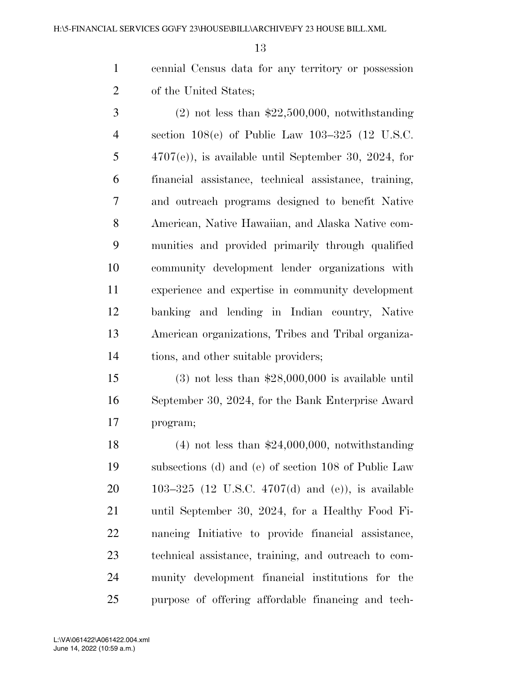cennial Census data for any territory or possession of the United States;

 $3 \t(2)$  not less than \$22,500,000, notwithstanding section 108(e) of Public Law 103–325 (12 U.S.C. 4707(e)), is available until September 30, 2024, for financial assistance, technical assistance, training, and outreach programs designed to benefit Native American, Native Hawaiian, and Alaska Native com- munities and provided primarily through qualified community development lender organizations with experience and expertise in community development banking and lending in Indian country, Native American organizations, Tribes and Tribal organiza-tions, and other suitable providers;

 (3) not less than \$28,000,000 is available until September 30, 2024, for the Bank Enterprise Award program;

 (4) not less than \$24,000,000, notwithstanding subsections (d) and (e) of section 108 of Public Law 103–325 (12 U.S.C. 4707(d) and (e)), is available until September 30, 2024, for a Healthy Food Fi- nancing Initiative to provide financial assistance, technical assistance, training, and outreach to com- munity development financial institutions for the purpose of offering affordable financing and tech-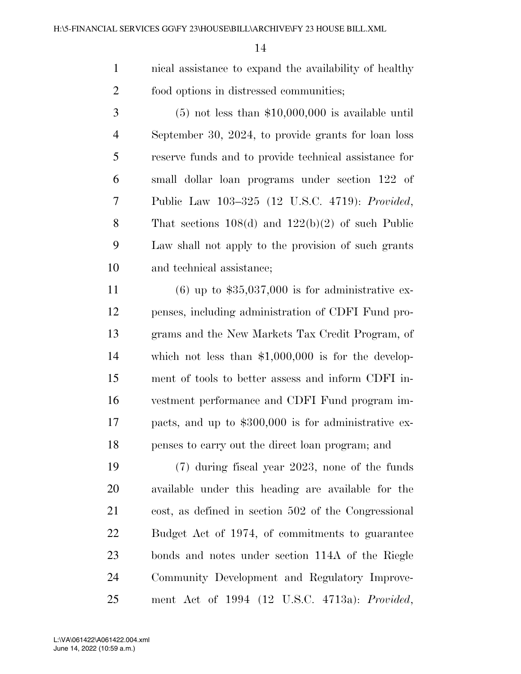nical assistance to expand the availability of healthy food options in distressed communities;

 $3 \qquad (5)$  not less than \$10,000,000 is available until September 30, 2024, to provide grants for loan loss reserve funds and to provide technical assistance for small dollar loan programs under section 122 of Public Law 103–325 (12 U.S.C. 4719): *Provided*, That sections 108(d) and 122(b)(2) of such Public Law shall not apply to the provision of such grants and technical assistance;

11 (6) up to  $$35,037,000$  is for administrative ex- penses, including administration of CDFI Fund pro- grams and the New Markets Tax Credit Program, of which not less than \$1,000,000 is for the develop- ment of tools to better assess and inform CDFI in- vestment performance and CDFI Fund program im- pacts, and up to \$300,000 is for administrative ex-penses to carry out the direct loan program; and

 (7) during fiscal year 2023, none of the funds available under this heading are available for the cost, as defined in section 502 of the Congressional Budget Act of 1974, of commitments to guarantee bonds and notes under section 114A of the Riegle Community Development and Regulatory Improve-ment Act of 1994 (12 U.S.C. 4713a): *Provided*,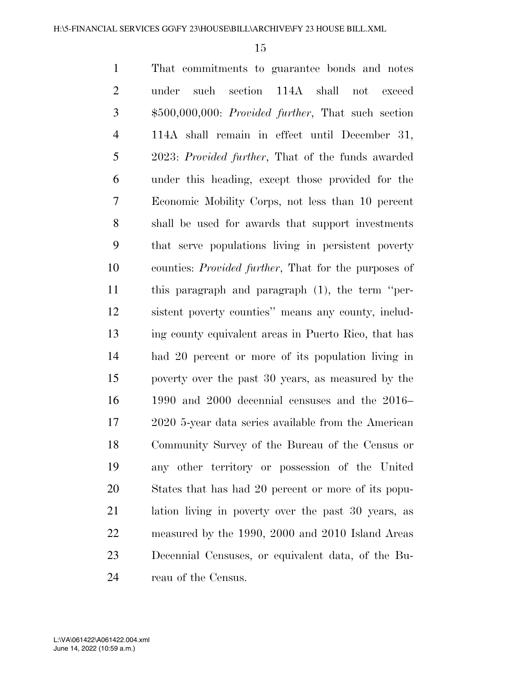That commitments to guarantee bonds and notes under such section 114A shall not exceed \$500,000,000: *Provided further*, That such section 114A shall remain in effect until December 31, 2023: *Provided further*, That of the funds awarded under this heading, except those provided for the Economic Mobility Corps, not less than 10 percent shall be used for awards that support investments that serve populations living in persistent poverty counties: *Provided further*, That for the purposes of this paragraph and paragraph (1), the term ''per- sistent poverty counties'' means any county, includ- ing county equivalent areas in Puerto Rico, that has had 20 percent or more of its population living in poverty over the past 30 years, as measured by the 1990 and 2000 decennial censuses and the 2016– 2020 5-year data series available from the American Community Survey of the Bureau of the Census or any other territory or possession of the United States that has had 20 percent or more of its popu- lation living in poverty over the past 30 years, as measured by the 1990, 2000 and 2010 Island Areas Decennial Censuses, or equivalent data, of the Bu-reau of the Census.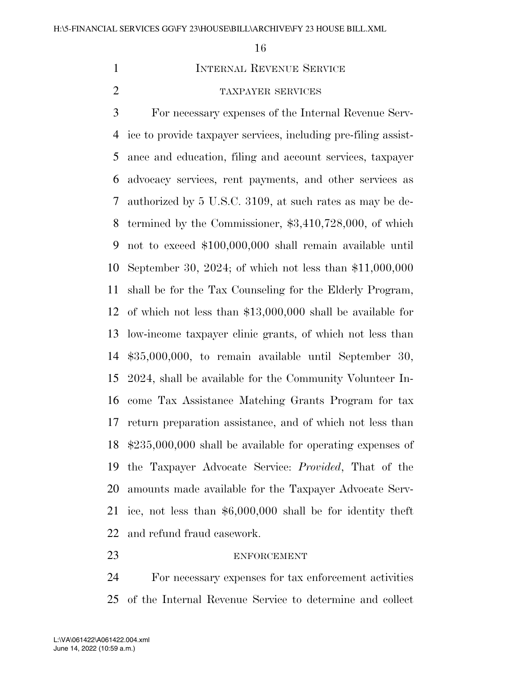## **INTERNAL REVENUE SERVICE**

# TAXPAYER SERVICES

 For necessary expenses of the Internal Revenue Serv- ice to provide taxpayer services, including pre-filing assist- ance and education, filing and account services, taxpayer advocacy services, rent payments, and other services as authorized by 5 U.S.C. 3109, at such rates as may be de- termined by the Commissioner, \$3,410,728,000, of which not to exceed \$100,000,000 shall remain available until September 30, 2024; of which not less than \$11,000,000 shall be for the Tax Counseling for the Elderly Program, of which not less than \$13,000,000 shall be available for low-income taxpayer clinic grants, of which not less than \$35,000,000, to remain available until September 30, 2024, shall be available for the Community Volunteer In- come Tax Assistance Matching Grants Program for tax return preparation assistance, and of which not less than \$235,000,000 shall be available for operating expenses of the Taxpayer Advocate Service: *Provided*, That of the amounts made available for the Taxpayer Advocate Serv- ice, not less than \$6,000,000 shall be for identity theft and refund fraud casework.

#### ENFORCEMENT

 For necessary expenses for tax enforcement activities of the Internal Revenue Service to determine and collect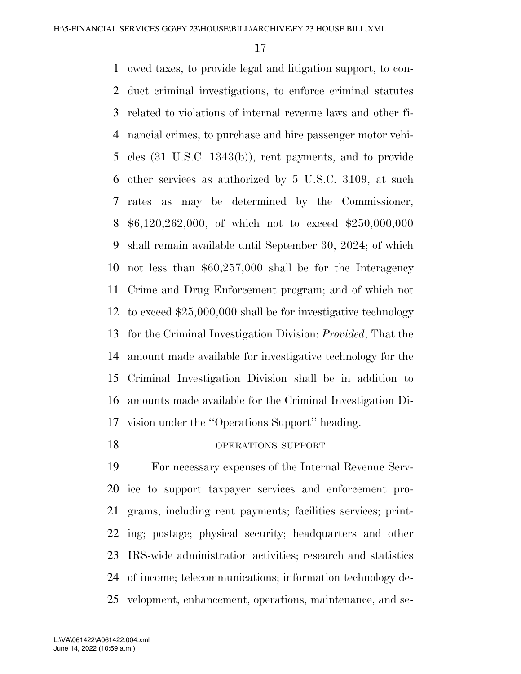owed taxes, to provide legal and litigation support, to con- duct criminal investigations, to enforce criminal statutes related to violations of internal revenue laws and other fi- nancial crimes, to purchase and hire passenger motor vehi- cles (31 U.S.C. 1343(b)), rent payments, and to provide other services as authorized by 5 U.S.C. 3109, at such rates as may be determined by the Commissioner, \$6,120,262,000, of which not to exceed \$250,000,000 shall remain available until September 30, 2024; of which not less than \$60,257,000 shall be for the Interagency Crime and Drug Enforcement program; and of which not to exceed \$25,000,000 shall be for investigative technology for the Criminal Investigation Division: *Provided*, That the amount made available for investigative technology for the Criminal Investigation Division shall be in addition to amounts made available for the Criminal Investigation Di-vision under the ''Operations Support'' heading.

# OPERATIONS SUPPORT

 For necessary expenses of the Internal Revenue Serv- ice to support taxpayer services and enforcement pro- grams, including rent payments; facilities services; print- ing; postage; physical security; headquarters and other IRS-wide administration activities; research and statistics of income; telecommunications; information technology de-velopment, enhancement, operations, maintenance, and se-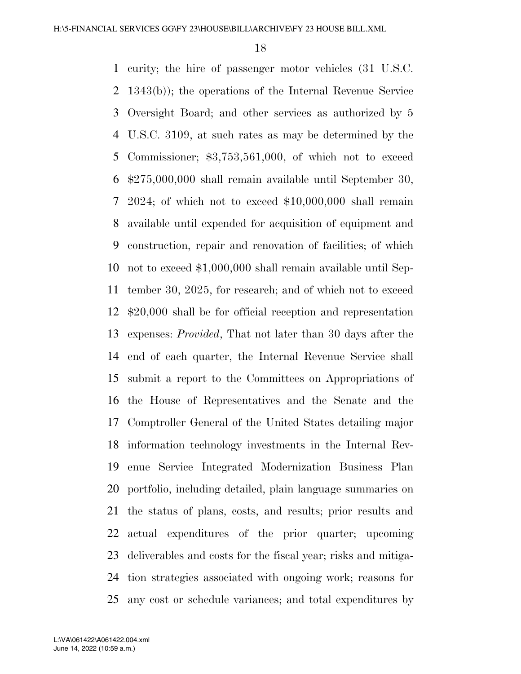curity; the hire of passenger motor vehicles (31 U.S.C. 1343(b)); the operations of the Internal Revenue Service Oversight Board; and other services as authorized by 5 U.S.C. 3109, at such rates as may be determined by the Commissioner; \$3,753,561,000, of which not to exceed \$275,000,000 shall remain available until September 30, 2024; of which not to exceed \$10,000,000 shall remain available until expended for acquisition of equipment and construction, repair and renovation of facilities; of which not to exceed \$1,000,000 shall remain available until Sep- tember 30, 2025, for research; and of which not to exceed \$20,000 shall be for official reception and representation expenses: *Provided*, That not later than 30 days after the end of each quarter, the Internal Revenue Service shall submit a report to the Committees on Appropriations of the House of Representatives and the Senate and the Comptroller General of the United States detailing major information technology investments in the Internal Rev- enue Service Integrated Modernization Business Plan portfolio, including detailed, plain language summaries on the status of plans, costs, and results; prior results and actual expenditures of the prior quarter; upcoming deliverables and costs for the fiscal year; risks and mitiga- tion strategies associated with ongoing work; reasons for any cost or schedule variances; and total expenditures by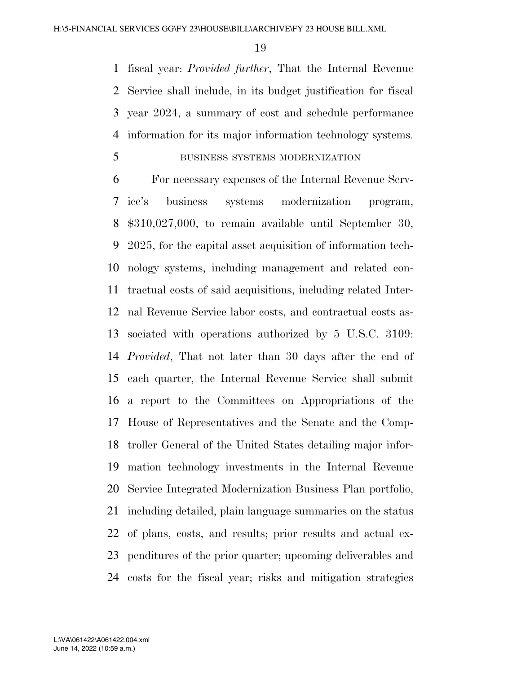fiscal year: *Provided further*, That the Internal Revenue Service shall include, in its budget justification for fiscal year 2024, a summary of cost and schedule performance information for its major information technology systems.

# BUSINESS SYSTEMS MODERNIZATION

 For necessary expenses of the Internal Revenue Serv- ice's business systems modernization program, \$310,027,000, to remain available until September 30, 2025, for the capital asset acquisition of information tech- nology systems, including management and related con- tractual costs of said acquisitions, including related Inter- nal Revenue Service labor costs, and contractual costs as- sociated with operations authorized by 5 U.S.C. 3109: *Provided*, That not later than 30 days after the end of each quarter, the Internal Revenue Service shall submit a report to the Committees on Appropriations of the House of Representatives and the Senate and the Comp- troller General of the United States detailing major infor- mation technology investments in the Internal Revenue Service Integrated Modernization Business Plan portfolio, including detailed, plain language summaries on the status of plans, costs, and results; prior results and actual ex- penditures of the prior quarter; upcoming deliverables and costs for the fiscal year; risks and mitigation strategies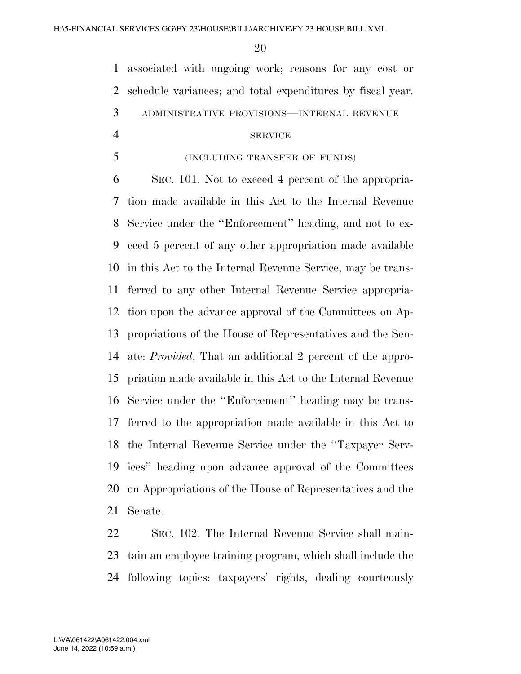associated with ongoing work; reasons for any cost or schedule variances; and total expenditures by fiscal year. ADMINISTRATIVE PROVISIONS—INTERNAL REVENUE

#### SERVICE

### (INCLUDING TRANSFER OF FUNDS)

 SEC. 101. Not to exceed 4 percent of the appropria- tion made available in this Act to the Internal Revenue Service under the ''Enforcement'' heading, and not to ex- ceed 5 percent of any other appropriation made available in this Act to the Internal Revenue Service, may be trans- ferred to any other Internal Revenue Service appropria- tion upon the advance approval of the Committees on Ap- propriations of the House of Representatives and the Sen- ate: *Provided*, That an additional 2 percent of the appro- priation made available in this Act to the Internal Revenue Service under the ''Enforcement'' heading may be trans- ferred to the appropriation made available in this Act to the Internal Revenue Service under the ''Taxpayer Serv- ices'' heading upon advance approval of the Committees on Appropriations of the House of Representatives and the Senate.

 SEC. 102. The Internal Revenue Service shall main- tain an employee training program, which shall include the following topics: taxpayers' rights, dealing courteously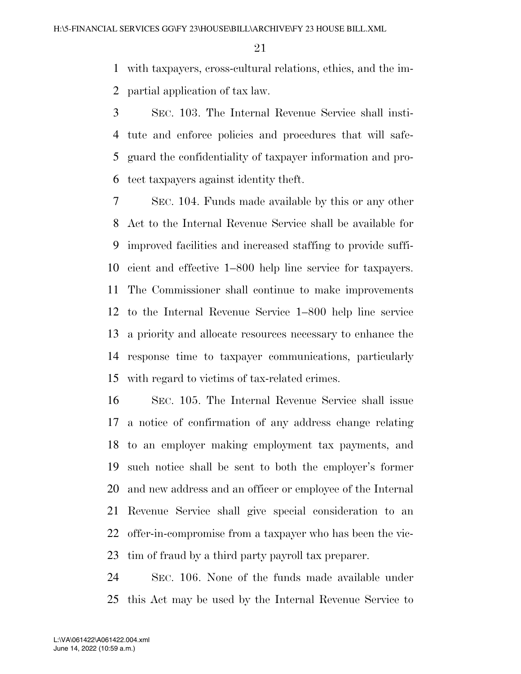with taxpayers, cross-cultural relations, ethics, and the im-partial application of tax law.

 SEC. 103. The Internal Revenue Service shall insti- tute and enforce policies and procedures that will safe- guard the confidentiality of taxpayer information and pro-tect taxpayers against identity theft.

 SEC. 104. Funds made available by this or any other Act to the Internal Revenue Service shall be available for improved facilities and increased staffing to provide suffi- cient and effective 1–800 help line service for taxpayers. The Commissioner shall continue to make improvements to the Internal Revenue Service 1–800 help line service a priority and allocate resources necessary to enhance the response time to taxpayer communications, particularly with regard to victims of tax-related crimes.

 SEC. 105. The Internal Revenue Service shall issue a notice of confirmation of any address change relating to an employer making employment tax payments, and such notice shall be sent to both the employer's former and new address and an officer or employee of the Internal Revenue Service shall give special consideration to an offer-in-compromise from a taxpayer who has been the vic-tim of fraud by a third party payroll tax preparer.

 SEC. 106. None of the funds made available under this Act may be used by the Internal Revenue Service to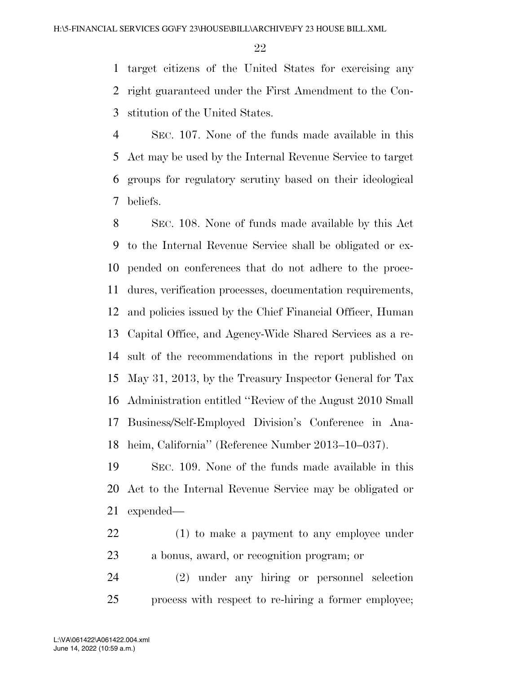target citizens of the United States for exercising any right guaranteed under the First Amendment to the Con-stitution of the United States.

 SEC. 107. None of the funds made available in this Act may be used by the Internal Revenue Service to target groups for regulatory scrutiny based on their ideological beliefs.

 SEC. 108. None of funds made available by this Act to the Internal Revenue Service shall be obligated or ex- pended on conferences that do not adhere to the proce- dures, verification processes, documentation requirements, and policies issued by the Chief Financial Officer, Human Capital Office, and Agency-Wide Shared Services as a re- sult of the recommendations in the report published on May 31, 2013, by the Treasury Inspector General for Tax Administration entitled ''Review of the August 2010 Small Business/Self-Employed Division's Conference in Ana-heim, California'' (Reference Number 2013–10–037).

 SEC. 109. None of the funds made available in this Act to the Internal Revenue Service may be obligated or expended—

 (1) to make a payment to any employee under a bonus, award, or recognition program; or

 (2) under any hiring or personnel selection process with respect to re-hiring a former employee;

June 14, 2022 (10:59 a.m.) L:\VA\061422\A061422.004.xml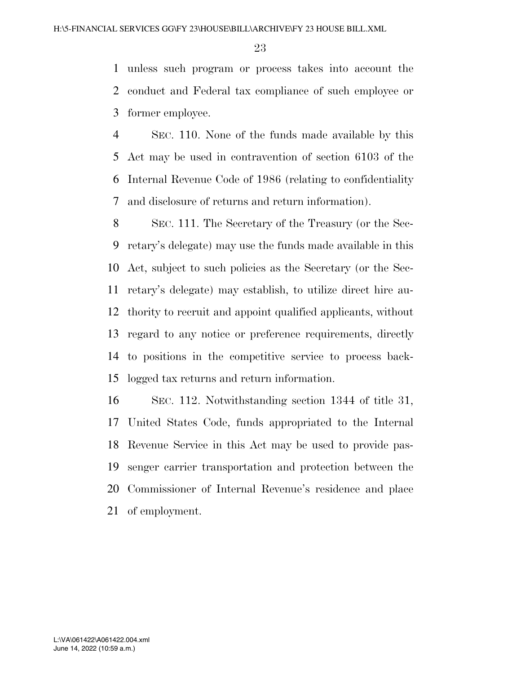unless such program or process takes into account the conduct and Federal tax compliance of such employee or former employee.

 SEC. 110. None of the funds made available by this Act may be used in contravention of section 6103 of the Internal Revenue Code of 1986 (relating to confidentiality and disclosure of returns and return information).

 SEC. 111. The Secretary of the Treasury (or the Sec- retary's delegate) may use the funds made available in this Act, subject to such policies as the Secretary (or the Sec- retary's delegate) may establish, to utilize direct hire au- thority to recruit and appoint qualified applicants, without regard to any notice or preference requirements, directly to positions in the competitive service to process back-logged tax returns and return information.

 SEC. 112. Notwithstanding section 1344 of title 31, United States Code, funds appropriated to the Internal Revenue Service in this Act may be used to provide pas- senger carrier transportation and protection between the Commissioner of Internal Revenue's residence and place of employment.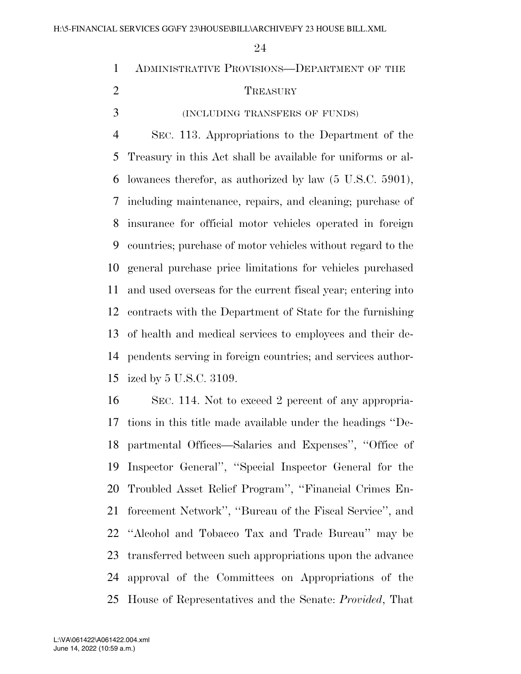ADMINISTRATIVE PROVISIONS—DEPARTMENT OF THE 2 TREASURY (INCLUDING TRANSFERS OF FUNDS) SEC. 113. Appropriations to the Department of the Treasury in this Act shall be available for uniforms or al- lowances therefor, as authorized by law (5 U.S.C. 5901), including maintenance, repairs, and cleaning; purchase of insurance for official motor vehicles operated in foreign countries; purchase of motor vehicles without regard to the general purchase price limitations for vehicles purchased and used overseas for the current fiscal year; entering into contracts with the Department of State for the furnishing of health and medical services to employees and their de- pendents serving in foreign countries; and services author-ized by 5 U.S.C. 3109.

 SEC. 114. Not to exceed 2 percent of any appropria- tions in this title made available under the headings ''De- partmental Offices—Salaries and Expenses'', ''Office of Inspector General'', ''Special Inspector General for the Troubled Asset Relief Program'', ''Financial Crimes En- forcement Network'', ''Bureau of the Fiscal Service'', and ''Alcohol and Tobacco Tax and Trade Bureau'' may be transferred between such appropriations upon the advance approval of the Committees on Appropriations of the House of Representatives and the Senate: *Provided*, That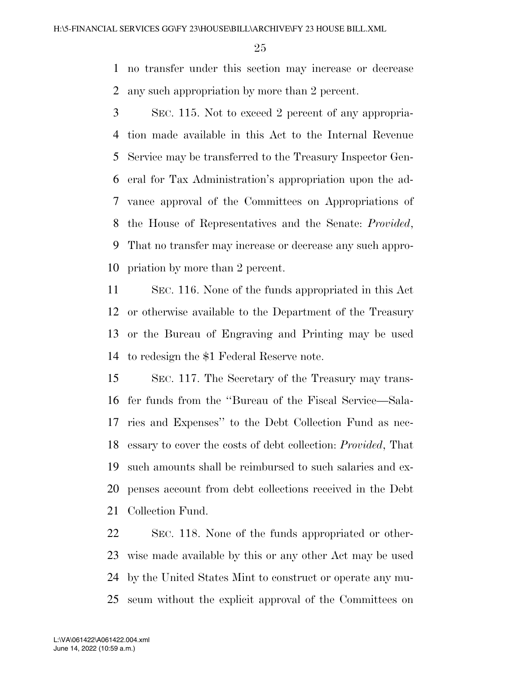no transfer under this section may increase or decrease any such appropriation by more than 2 percent.

 SEC. 115. Not to exceed 2 percent of any appropria- tion made available in this Act to the Internal Revenue Service may be transferred to the Treasury Inspector Gen- eral for Tax Administration's appropriation upon the ad- vance approval of the Committees on Appropriations of the House of Representatives and the Senate: *Provided*, That no transfer may increase or decrease any such appro-priation by more than 2 percent.

 SEC. 116. None of the funds appropriated in this Act or otherwise available to the Department of the Treasury or the Bureau of Engraving and Printing may be used to redesign the \$1 Federal Reserve note.

 SEC. 117. The Secretary of the Treasury may trans- fer funds from the ''Bureau of the Fiscal Service—Sala- ries and Expenses'' to the Debt Collection Fund as nec- essary to cover the costs of debt collection: *Provided*, That such amounts shall be reimbursed to such salaries and ex- penses account from debt collections received in the Debt Collection Fund.

 SEC. 118. None of the funds appropriated or other- wise made available by this or any other Act may be used by the United States Mint to construct or operate any mu-seum without the explicit approval of the Committees on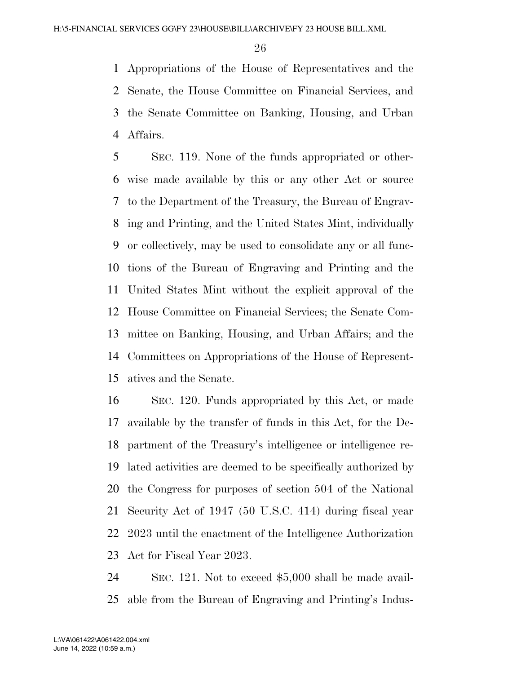Appropriations of the House of Representatives and the Senate, the House Committee on Financial Services, and the Senate Committee on Banking, Housing, and Urban Affairs.

 SEC. 119. None of the funds appropriated or other- wise made available by this or any other Act or source to the Department of the Treasury, the Bureau of Engrav- ing and Printing, and the United States Mint, individually or collectively, may be used to consolidate any or all func- tions of the Bureau of Engraving and Printing and the United States Mint without the explicit approval of the House Committee on Financial Services; the Senate Com- mittee on Banking, Housing, and Urban Affairs; and the Committees on Appropriations of the House of Represent-atives and the Senate.

 SEC. 120. Funds appropriated by this Act, or made available by the transfer of funds in this Act, for the De- partment of the Treasury's intelligence or intelligence re- lated activities are deemed to be specifically authorized by the Congress for purposes of section 504 of the National Security Act of 1947 (50 U.S.C. 414) during fiscal year 2023 until the enactment of the Intelligence Authorization Act for Fiscal Year 2023.

 SEC. 121. Not to exceed \$5,000 shall be made avail-able from the Bureau of Engraving and Printing's Indus-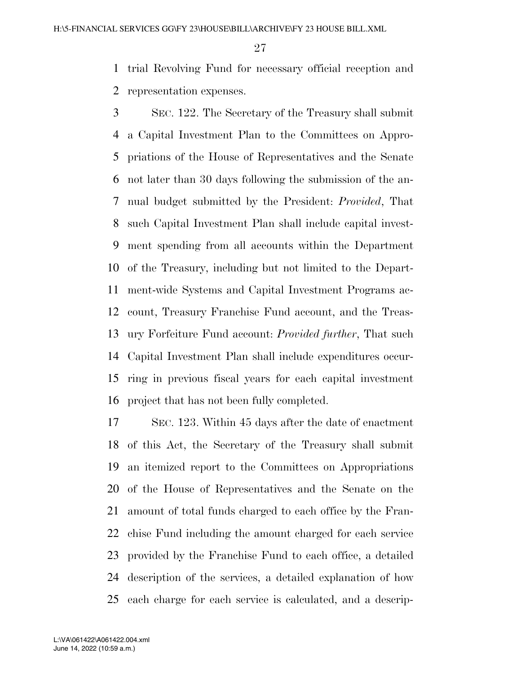trial Revolving Fund for necessary official reception and representation expenses.

 SEC. 122. The Secretary of the Treasury shall submit a Capital Investment Plan to the Committees on Appro- priations of the House of Representatives and the Senate not later than 30 days following the submission of the an- nual budget submitted by the President: *Provided*, That such Capital Investment Plan shall include capital invest- ment spending from all accounts within the Department of the Treasury, including but not limited to the Depart- ment-wide Systems and Capital Investment Programs ac- count, Treasury Franchise Fund account, and the Treas- ury Forfeiture Fund account: *Provided further*, That such Capital Investment Plan shall include expenditures occur- ring in previous fiscal years for each capital investment project that has not been fully completed.

 SEC. 123. Within 45 days after the date of enactment of this Act, the Secretary of the Treasury shall submit an itemized report to the Committees on Appropriations of the House of Representatives and the Senate on the amount of total funds charged to each office by the Fran- chise Fund including the amount charged for each service provided by the Franchise Fund to each office, a detailed description of the services, a detailed explanation of how each charge for each service is calculated, and a descrip-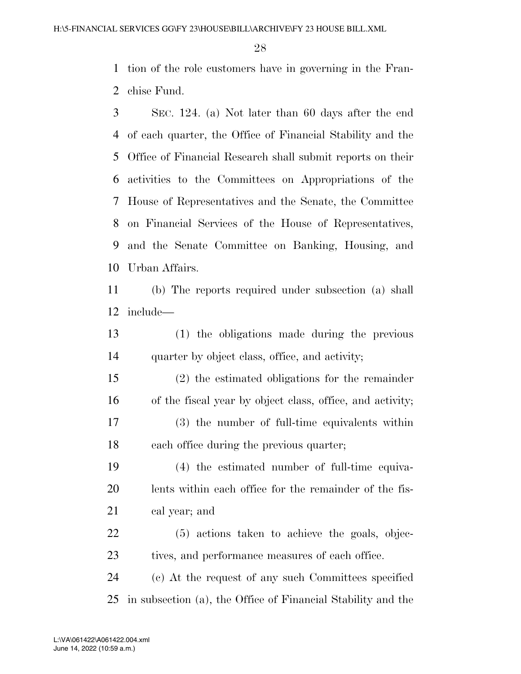tion of the role customers have in governing in the Fran-chise Fund.

 SEC. 124. (a) Not later than 60 days after the end of each quarter, the Office of Financial Stability and the Office of Financial Research shall submit reports on their activities to the Committees on Appropriations of the House of Representatives and the Senate, the Committee on Financial Services of the House of Representatives, and the Senate Committee on Banking, Housing, and Urban Affairs.

 (b) The reports required under subsection (a) shall include—

 (1) the obligations made during the previous quarter by object class, office, and activity;

 (2) the estimated obligations for the remainder of the fiscal year by object class, office, and activity;

 (3) the number of full-time equivalents within each office during the previous quarter;

 (4) the estimated number of full-time equiva- lents within each office for the remainder of the fis-cal year; and

 (5) actions taken to achieve the goals, objec-23 tives, and performance measures of each office.

 (c) At the request of any such Committees specified in subsection (a), the Office of Financial Stability and the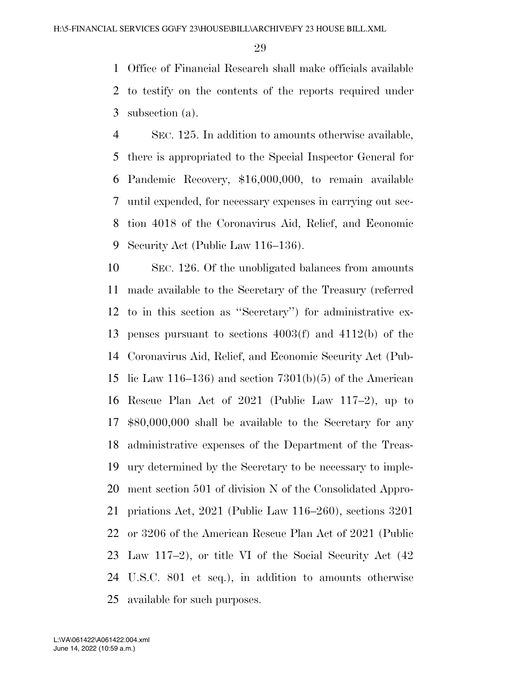Office of Financial Research shall make officials available to testify on the contents of the reports required under subsection (a).

 SEC. 125. In addition to amounts otherwise available, there is appropriated to the Special Inspector General for Pandemic Recovery, \$16,000,000, to remain available until expended, for necessary expenses in carrying out sec- tion 4018 of the Coronavirus Aid, Relief, and Economic Security Act (Public Law 116–136).

 SEC. 126. Of the unobligated balances from amounts made available to the Secretary of the Treasury (referred to in this section as ''Secretary'') for administrative ex- penses pursuant to sections 4003(f) and 4112(b) of the Coronavirus Aid, Relief, and Economic Security Act (Pub-15 lic Law 116–136) and section  $7301(b)(5)$  of the American Rescue Plan Act of 2021 (Public Law 117–2), up to \$80,000,000 shall be available to the Secretary for any administrative expenses of the Department of the Treas- ury determined by the Secretary to be necessary to imple- ment section 501 of division N of the Consolidated Appro- priations Act, 2021 (Public Law 116–260), sections 3201 or 3206 of the American Rescue Plan Act of 2021 (Public Law 117–2), or title VI of the Social Security Act (42 U.S.C. 801 et seq.), in addition to amounts otherwise available for such purposes.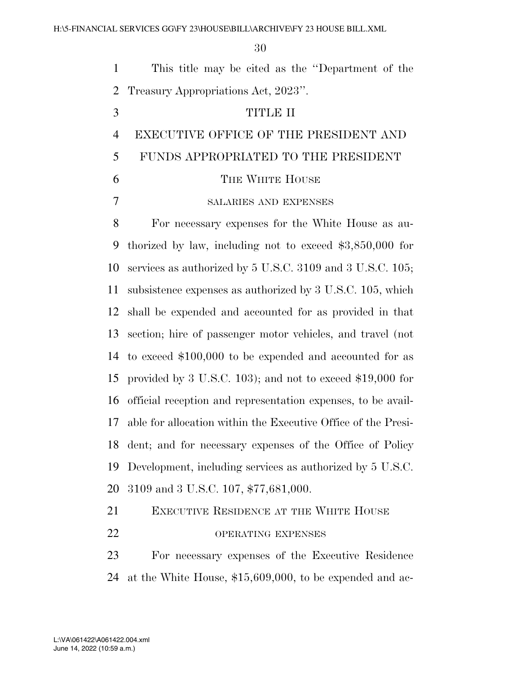|               | This title may be cited as the "Department of the |
|---------------|---------------------------------------------------|
|               | 2 Treasury Appropriations Act, 2023".             |
| $\mathcal{R}$ | TITLE II                                          |
|               | EXECUTIVE OFFICE OF THE PRESIDENT AND             |

# FUNDS APPROPRIATED TO THE PRESIDENT

6 THE WHITE HOUSE

SALARIES AND EXPENSES

 For necessary expenses for the White House as au- thorized by law, including not to exceed \$3,850,000 for services as authorized by 5 U.S.C. 3109 and 3 U.S.C. 105; subsistence expenses as authorized by 3 U.S.C. 105, which shall be expended and accounted for as provided in that section; hire of passenger motor vehicles, and travel (not to exceed \$100,000 to be expended and accounted for as provided by 3 U.S.C. 103); and not to exceed \$19,000 for official reception and representation expenses, to be avail- able for allocation within the Executive Office of the Presi- dent; and for necessary expenses of the Office of Policy Development, including services as authorized by 5 U.S.C. 3109 and 3 U.S.C. 107, \$77,681,000.

EXECUTIVE RESIDENCE AT THE WHITE HOUSE

22 OPERATING EXPENSES

 For necessary expenses of the Executive Residence at the White House, \$15,609,000, to be expended and ac-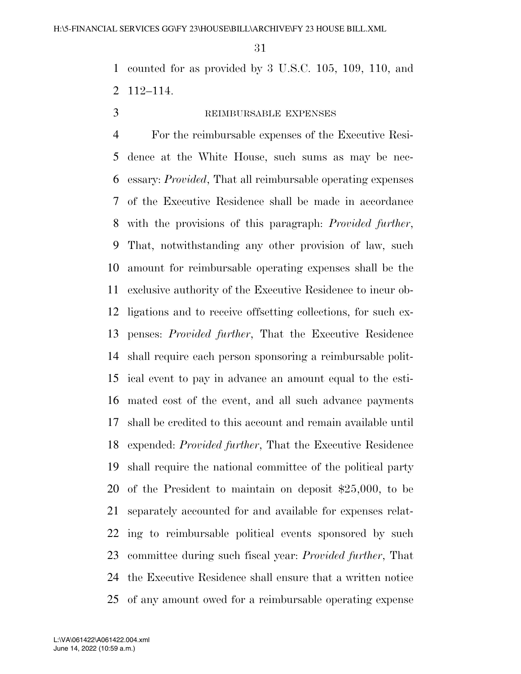counted for as provided by 3 U.S.C. 105, 109, 110, and 112–114.

## REIMBURSABLE EXPENSES

 For the reimbursable expenses of the Executive Resi- dence at the White House, such sums as may be nec- essary: *Provided*, That all reimbursable operating expenses of the Executive Residence shall be made in accordance with the provisions of this paragraph: *Provided further*, That, notwithstanding any other provision of law, such amount for reimbursable operating expenses shall be the exclusive authority of the Executive Residence to incur ob- ligations and to receive offsetting collections, for such ex- penses: *Provided further*, That the Executive Residence shall require each person sponsoring a reimbursable polit- ical event to pay in advance an amount equal to the esti- mated cost of the event, and all such advance payments shall be credited to this account and remain available until expended: *Provided further*, That the Executive Residence shall require the national committee of the political party of the President to maintain on deposit \$25,000, to be separately accounted for and available for expenses relat- ing to reimbursable political events sponsored by such committee during such fiscal year: *Provided further*, That the Executive Residence shall ensure that a written notice of any amount owed for a reimbursable operating expense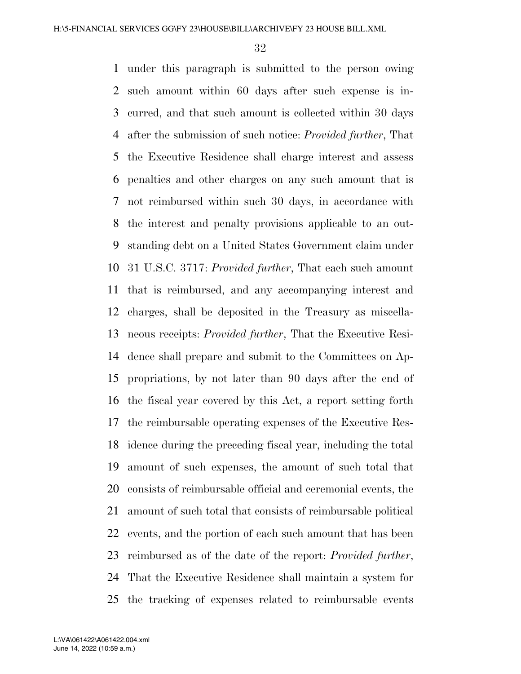under this paragraph is submitted to the person owing such amount within 60 days after such expense is in- curred, and that such amount is collected within 30 days after the submission of such notice: *Provided further*, That the Executive Residence shall charge interest and assess penalties and other charges on any such amount that is not reimbursed within such 30 days, in accordance with the interest and penalty provisions applicable to an out- standing debt on a United States Government claim under 31 U.S.C. 3717: *Provided further*, That each such amount that is reimbursed, and any accompanying interest and charges, shall be deposited in the Treasury as miscella- neous receipts: *Provided further*, That the Executive Resi- dence shall prepare and submit to the Committees on Ap- propriations, by not later than 90 days after the end of the fiscal year covered by this Act, a report setting forth the reimbursable operating expenses of the Executive Res- idence during the preceding fiscal year, including the total amount of such expenses, the amount of such total that consists of reimbursable official and ceremonial events, the amount of such total that consists of reimbursable political events, and the portion of each such amount that has been reimbursed as of the date of the report: *Provided further*, That the Executive Residence shall maintain a system for the tracking of expenses related to reimbursable events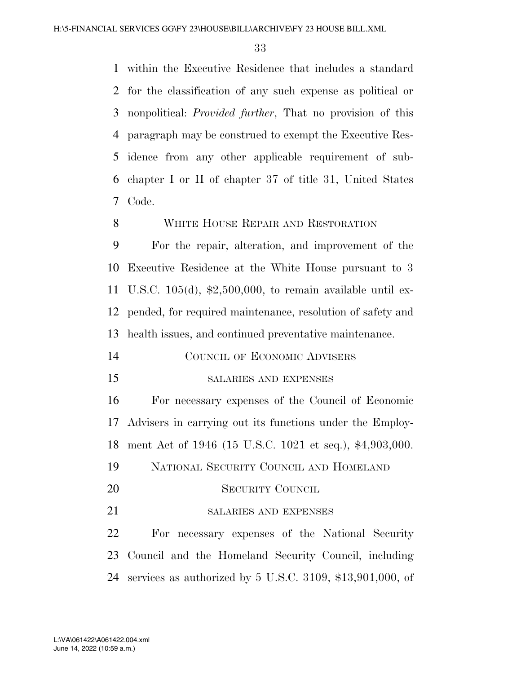within the Executive Residence that includes a standard for the classification of any such expense as political or nonpolitical: *Provided further*, That no provision of this paragraph may be construed to exempt the Executive Res- idence from any other applicable requirement of sub- chapter I or II of chapter 37 of title 31, United States Code.

#### 8 WHITE HOUSE REPAIR AND RESTORATION

 For the repair, alteration, and improvement of the Executive Residence at the White House pursuant to 3 U.S.C. 105(d), \$2,500,000, to remain available until ex- pended, for required maintenance, resolution of safety and health issues, and continued preventative maintenance.

| 14 |  | COUNCIL OF ECONOMIC ADVISERS |  |
|----|--|------------------------------|--|
|    |  |                              |  |

SALARIES AND EXPENSES

 For necessary expenses of the Council of Economic Advisers in carrying out its functions under the Employ-ment Act of 1946 (15 U.S.C. 1021 et seq.), \$4,903,000.

- NATIONAL SECURITY COUNCIL AND HOMELAND
- SECURITY COUNCIL
- 21 SALARIES AND EXPENSES

 For necessary expenses of the National Security Council and the Homeland Security Council, including services as authorized by 5 U.S.C. 3109, \$13,901,000, of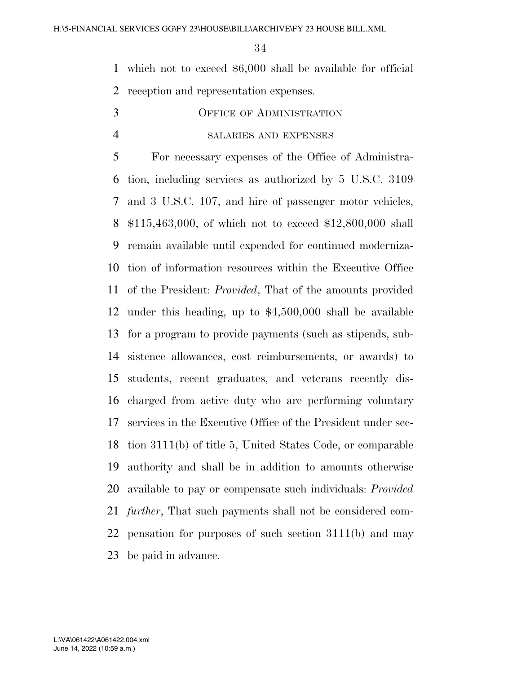which not to exceed \$6,000 shall be available for official reception and representation expenses.

OFFICE OF ADMINISTRATION

# SALARIES AND EXPENSES

 For necessary expenses of the Office of Administra- tion, including services as authorized by 5 U.S.C. 3109 and 3 U.S.C. 107, and hire of passenger motor vehicles, \$115,463,000, of which not to exceed \$12,800,000 shall remain available until expended for continued moderniza- tion of information resources within the Executive Office of the President: *Provided*, That of the amounts provided under this heading, up to \$4,500,000 shall be available for a program to provide payments (such as stipends, sub- sistence allowances, cost reimbursements, or awards) to students, recent graduates, and veterans recently dis- charged from active duty who are performing voluntary services in the Executive Office of the President under sec- tion 3111(b) of title 5, United States Code, or comparable authority and shall be in addition to amounts otherwise available to pay or compensate such individuals: *Provided further*, That such payments shall not be considered com- pensation for purposes of such section 3111(b) and may be paid in advance.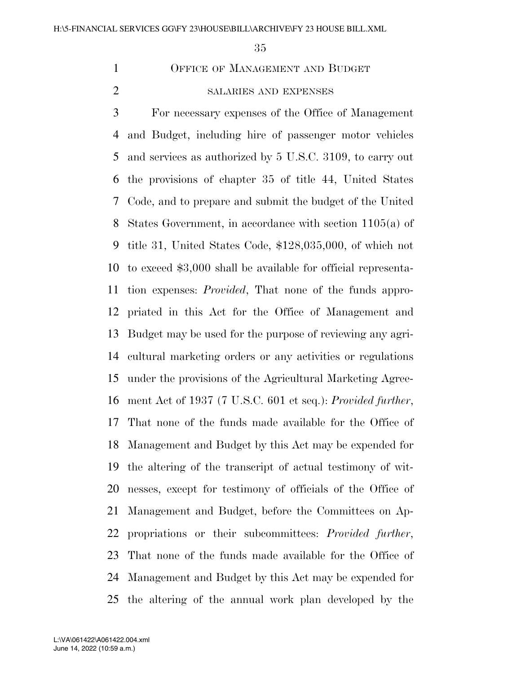OFFICE OF MANAGEMENT AND BUDGET

# SALARIES AND EXPENSES

 For necessary expenses of the Office of Management and Budget, including hire of passenger motor vehicles and services as authorized by 5 U.S.C. 3109, to carry out the provisions of chapter 35 of title 44, United States Code, and to prepare and submit the budget of the United States Government, in accordance with section 1105(a) of title 31, United States Code, \$128,035,000, of which not to exceed \$3,000 shall be available for official representa- tion expenses: *Provided*, That none of the funds appro- priated in this Act for the Office of Management and Budget may be used for the purpose of reviewing any agri- cultural marketing orders or any activities or regulations under the provisions of the Agricultural Marketing Agree- ment Act of 1937 (7 U.S.C. 601 et seq.): *Provided further*, That none of the funds made available for the Office of Management and Budget by this Act may be expended for the altering of the transcript of actual testimony of wit- nesses, except for testimony of officials of the Office of Management and Budget, before the Committees on Ap- propriations or their subcommittees: *Provided further*, That none of the funds made available for the Office of Management and Budget by this Act may be expended for the altering of the annual work plan developed by the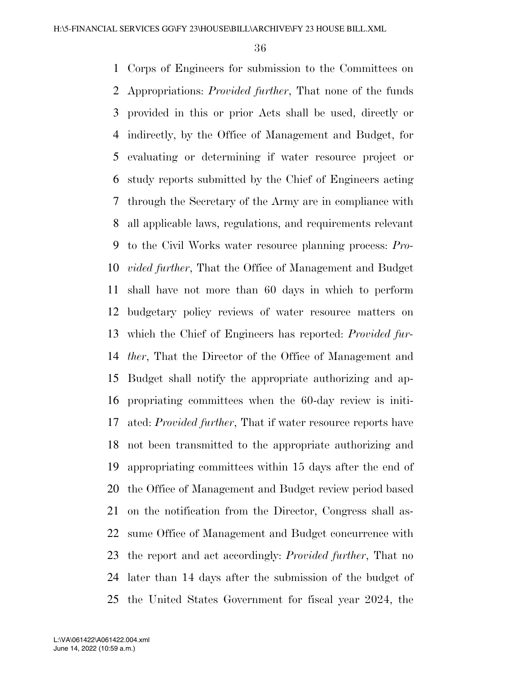Corps of Engineers for submission to the Committees on Appropriations: *Provided further*, That none of the funds provided in this or prior Acts shall be used, directly or indirectly, by the Office of Management and Budget, for evaluating or determining if water resource project or study reports submitted by the Chief of Engineers acting through the Secretary of the Army are in compliance with all applicable laws, regulations, and requirements relevant to the Civil Works water resource planning process: *Pro- vided further*, That the Office of Management and Budget shall have not more than 60 days in which to perform budgetary policy reviews of water resource matters on which the Chief of Engineers has reported: *Provided fur- ther*, That the Director of the Office of Management and Budget shall notify the appropriate authorizing and ap- propriating committees when the 60-day review is initi- ated: *Provided further*, That if water resource reports have not been transmitted to the appropriate authorizing and appropriating committees within 15 days after the end of the Office of Management and Budget review period based on the notification from the Director, Congress shall as- sume Office of Management and Budget concurrence with the report and act accordingly: *Provided further*, That no later than 14 days after the submission of the budget of the United States Government for fiscal year 2024, the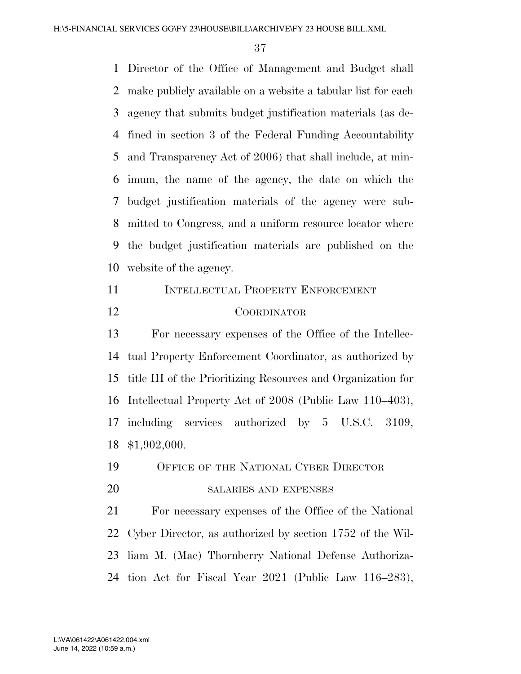Director of the Office of Management and Budget shall make publicly available on a website a tabular list for each agency that submits budget justification materials (as de- fined in section 3 of the Federal Funding Accountability and Transparency Act of 2006) that shall include, at min- imum, the name of the agency, the date on which the budget justification materials of the agency were sub- mitted to Congress, and a uniform resource locator where the budget justification materials are published on the website of the agency.

**INTELLECTUAL PROPERTY ENFORCEMENT** COORDINATOR

 For necessary expenses of the Office of the Intellec- tual Property Enforcement Coordinator, as authorized by title III of the Prioritizing Resources and Organization for Intellectual Property Act of 2008 (Public Law 110–403), including services authorized by 5 U.S.C. 3109, \$1,902,000.

OFFICE OF THE NATIONAL CYBER DIRECTOR

SALARIES AND EXPENSES

 For necessary expenses of the Office of the National Cyber Director, as authorized by section 1752 of the Wil- liam M. (Mac) Thornberry National Defense Authoriza-tion Act for Fiscal Year 2021 (Public Law 116–283),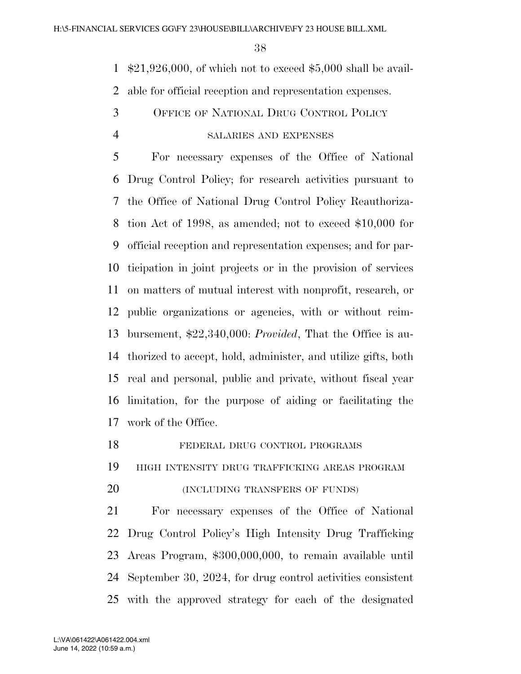\$21,926,000, of which not to exceed \$5,000 shall be avail-able for official reception and representation expenses.

 OFFICE OF NATIONAL DRUG CONTROL POLICY SALARIES AND EXPENSES

 For necessary expenses of the Office of National Drug Control Policy; for research activities pursuant to the Office of National Drug Control Policy Reauthoriza- tion Act of 1998, as amended; not to exceed \$10,000 for official reception and representation expenses; and for par- ticipation in joint projects or in the provision of services on matters of mutual interest with nonprofit, research, or public organizations or agencies, with or without reim- bursement, \$22,340,000: *Provided*, That the Office is au- thorized to accept, hold, administer, and utilize gifts, both real and personal, public and private, without fiscal year limitation, for the purpose of aiding or facilitating the work of the Office.

 HIGH INTENSITY DRUG TRAFFICKING AREAS PROGRAM **(INCLUDING TRANSFERS OF FUNDS)**  For necessary expenses of the Office of National Drug Control Policy's High Intensity Drug Trafficking Areas Program, \$300,000,000, to remain available until September 30, 2024, for drug control activities consistent with the approved strategy for each of the designated

FEDERAL DRUG CONTROL PROGRAMS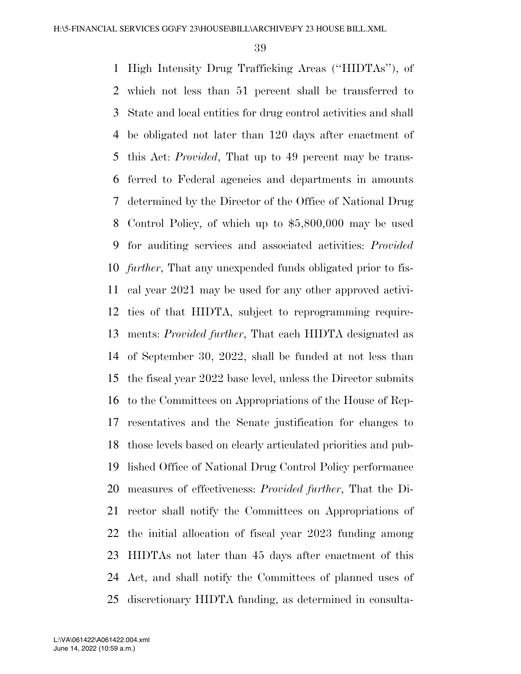High Intensity Drug Trafficking Areas (''HIDTAs''), of which not less than 51 percent shall be transferred to State and local entities for drug control activities and shall be obligated not later than 120 days after enactment of this Act: *Provided*, That up to 49 percent may be trans- ferred to Federal agencies and departments in amounts determined by the Director of the Office of National Drug Control Policy, of which up to \$5,800,000 may be used for auditing services and associated activities: *Provided further*, That any unexpended funds obligated prior to fis- cal year 2021 may be used for any other approved activi- ties of that HIDTA, subject to reprogramming require- ments: *Provided further*, That each HIDTA designated as of September 30, 2022, shall be funded at not less than the fiscal year 2022 base level, unless the Director submits to the Committees on Appropriations of the House of Rep- resentatives and the Senate justification for changes to those levels based on clearly articulated priorities and pub- lished Office of National Drug Control Policy performance measures of effectiveness: *Provided further*, That the Di- rector shall notify the Committees on Appropriations of the initial allocation of fiscal year 2023 funding among HIDTAs not later than 45 days after enactment of this Act, and shall notify the Committees of planned uses of discretionary HIDTA funding, as determined in consulta-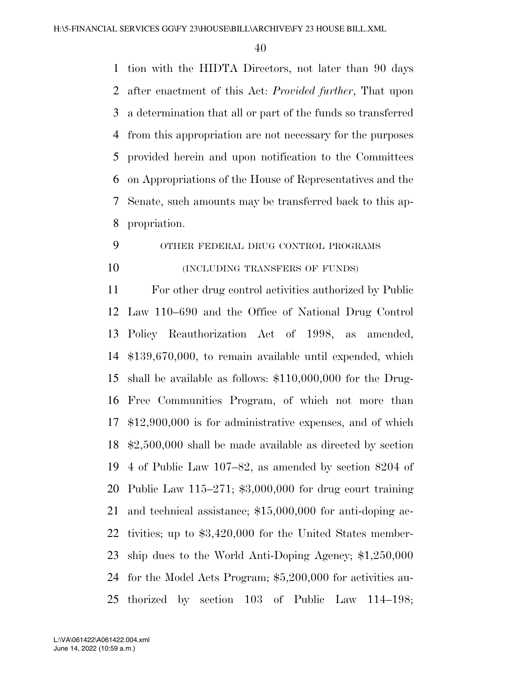tion with the HIDTA Directors, not later than 90 days after enactment of this Act: *Provided further*, That upon a determination that all or part of the funds so transferred from this appropriation are not necessary for the purposes provided herein and upon notification to the Committees on Appropriations of the House of Representatives and the Senate, such amounts may be transferred back to this ap-propriation.

# OTHER FEDERAL DRUG CONTROL PROGRAMS

**(INCLUDING TRANSFERS OF FUNDS)** 

 For other drug control activities authorized by Public Law 110–690 and the Office of National Drug Control Policy Reauthorization Act of 1998, as amended, \$139,670,000, to remain available until expended, which shall be available as follows: \$110,000,000 for the Drug- Free Communities Program, of which not more than \$12,900,000 is for administrative expenses, and of which \$2,500,000 shall be made available as directed by section 4 of Public Law 107–82, as amended by section 8204 of Public Law 115–271; \$3,000,000 for drug court training and technical assistance; \$15,000,000 for anti-doping ac- tivities; up to \$3,420,000 for the United States member- ship dues to the World Anti-Doping Agency; \$1,250,000 for the Model Acts Program; \$5,200,000 for activities au-thorized by section 103 of Public Law 114–198;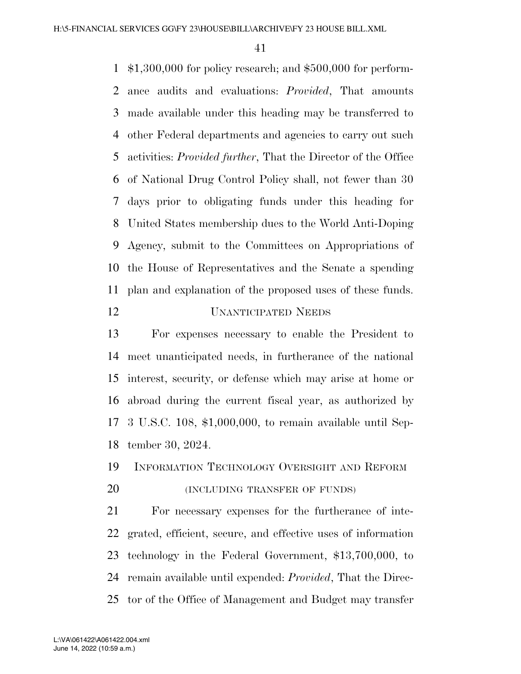\$1,300,000 for policy research; and \$500,000 for perform- ance audits and evaluations: *Provided*, That amounts made available under this heading may be transferred to other Federal departments and agencies to carry out such activities: *Provided further*, That the Director of the Office of National Drug Control Policy shall, not fewer than 30 days prior to obligating funds under this heading for United States membership dues to the World Anti-Doping Agency, submit to the Committees on Appropriations of the House of Representatives and the Senate a spending plan and explanation of the proposed uses of these funds.

# UNANTICIPATED NEEDS

 For expenses necessary to enable the President to meet unanticipated needs, in furtherance of the national interest, security, or defense which may arise at home or abroad during the current fiscal year, as authorized by 3 U.S.C. 108, \$1,000,000, to remain available until Sep-tember 30, 2024.

# INFORMATION TECHNOLOGY OVERSIGHT AND REFORM

**(INCLUDING TRANSFER OF FUNDS)** 

 For necessary expenses for the furtherance of inte- grated, efficient, secure, and effective uses of information technology in the Federal Government, \$13,700,000, to remain available until expended: *Provided*, That the Direc-tor of the Office of Management and Budget may transfer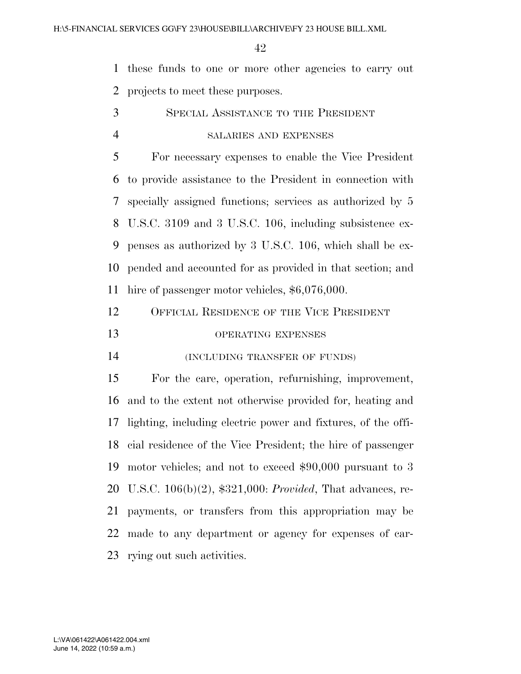these funds to one or more other agencies to carry out projects to meet these purposes.

SPECIAL ASSISTANCE TO THE PRESIDENT

# SALARIES AND EXPENSES

 For necessary expenses to enable the Vice President to provide assistance to the President in connection with specially assigned functions; services as authorized by 5 U.S.C. 3109 and 3 U.S.C. 106, including subsistence ex- penses as authorized by 3 U.S.C. 106, which shall be ex- pended and accounted for as provided in that section; and hire of passenger motor vehicles, \$6,076,000.

| 12 | OFFICIAL RESIDENCE OF THE VICE PRESIDENT |
|----|------------------------------------------|
| 13 | <b>OPERATING EXPENSES</b>                |

(INCLUDING TRANSFER OF FUNDS)

 For the care, operation, refurnishing, improvement, and to the extent not otherwise provided for, heating and lighting, including electric power and fixtures, of the offi- cial residence of the Vice President; the hire of passenger motor vehicles; and not to exceed \$90,000 pursuant to 3 U.S.C. 106(b)(2), \$321,000: *Provided*, That advances, re- payments, or transfers from this appropriation may be made to any department or agency for expenses of car-rying out such activities.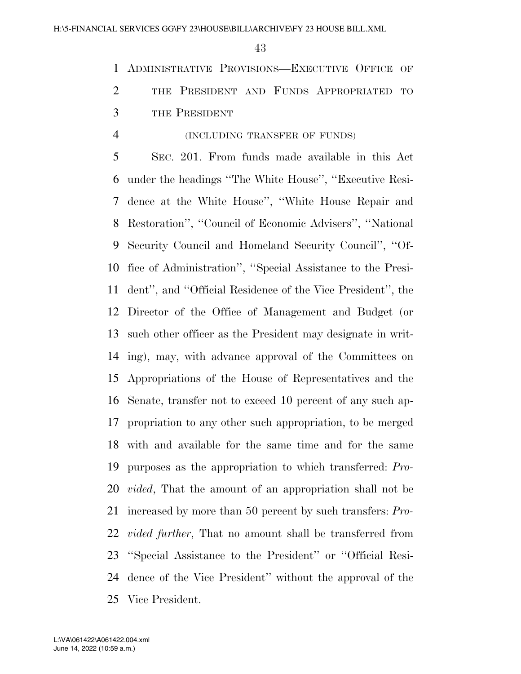ADMINISTRATIVE PROVISIONS—EXECUTIVE OFFICE OF 2 THE PRESIDENT AND FUNDS APPROPRIATED TO THE PRESIDENT

# (INCLUDING TRANSFER OF FUNDS)

 SEC. 201. From funds made available in this Act under the headings ''The White House'', ''Executive Resi- dence at the White House'', ''White House Repair and Restoration'', ''Council of Economic Advisers'', ''National Security Council and Homeland Security Council'', ''Of- fice of Administration'', ''Special Assistance to the Presi- dent'', and ''Official Residence of the Vice President'', the Director of the Office of Management and Budget (or such other officer as the President may designate in writ- ing), may, with advance approval of the Committees on Appropriations of the House of Representatives and the Senate, transfer not to exceed 10 percent of any such ap- propriation to any other such appropriation, to be merged with and available for the same time and for the same purposes as the appropriation to which transferred: *Pro- vided*, That the amount of an appropriation shall not be increased by more than 50 percent by such transfers: *Pro- vided further*, That no amount shall be transferred from ''Special Assistance to the President'' or ''Official Resi- dence of the Vice President'' without the approval of the Vice President.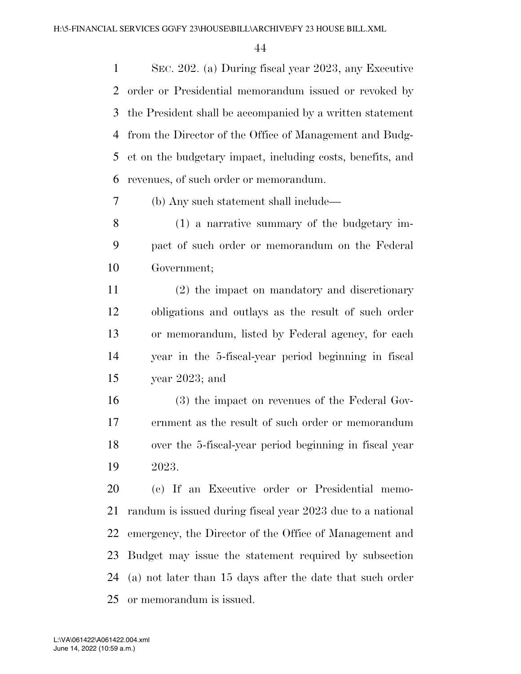SEC. 202. (a) During fiscal year 2023, any Executive order or Presidential memorandum issued or revoked by the President shall be accompanied by a written statement from the Director of the Office of Management and Budg- et on the budgetary impact, including costs, benefits, and revenues, of such order or memorandum.

(b) Any such statement shall include—

 (1) a narrative summary of the budgetary im- pact of such order or memorandum on the Federal Government;

 (2) the impact on mandatory and discretionary obligations and outlays as the result of such order or memorandum, listed by Federal agency, for each year in the 5-fiscal-year period beginning in fiscal year 2023; and

 (3) the impact on revenues of the Federal Gov- ernment as the result of such order or memorandum over the 5-fiscal-year period beginning in fiscal year 2023.

 (c) If an Executive order or Presidential memo- randum is issued during fiscal year 2023 due to a national emergency, the Director of the Office of Management and Budget may issue the statement required by subsection (a) not later than 15 days after the date that such order or memorandum is issued.

June 14, 2022 (10:59 a.m.) L:\VA\061422\A061422.004.xml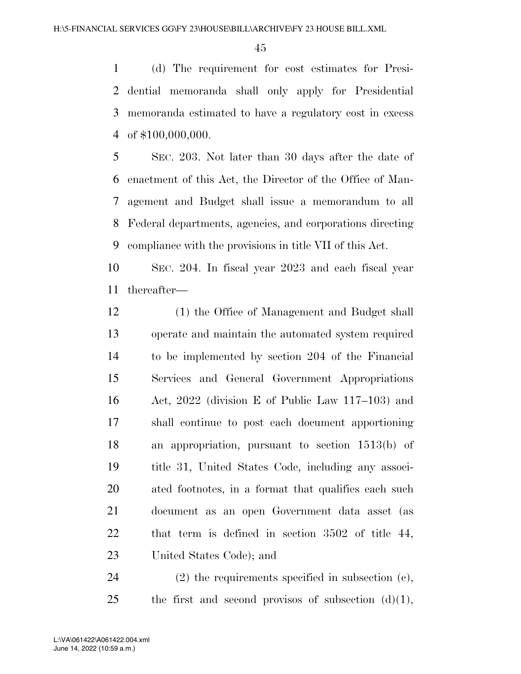(d) The requirement for cost estimates for Presi- dential memoranda shall only apply for Presidential memoranda estimated to have a regulatory cost in excess of \$100,000,000.

 SEC. 203. Not later than 30 days after the date of enactment of this Act, the Director of the Office of Man- agement and Budget shall issue a memorandum to all Federal departments, agencies, and corporations directing compliance with the provisions in title VII of this Act.

 SEC. 204. In fiscal year 2023 and each fiscal year thereafter—

 (1) the Office of Management and Budget shall operate and maintain the automated system required to be implemented by section 204 of the Financial Services and General Government Appropriations Act, 2022 (division E of Public Law 117–103) and shall continue to post each document apportioning an appropriation, pursuant to section 1513(b) of title 31, United States Code, including any associ- ated footnotes, in a format that qualifies each such document as an open Government data asset (as that term is defined in section 3502 of title 44, United States Code); and

 (2) the requirements specified in subsection (c), 25 the first and second provisos of subsection  $(d)(1)$ ,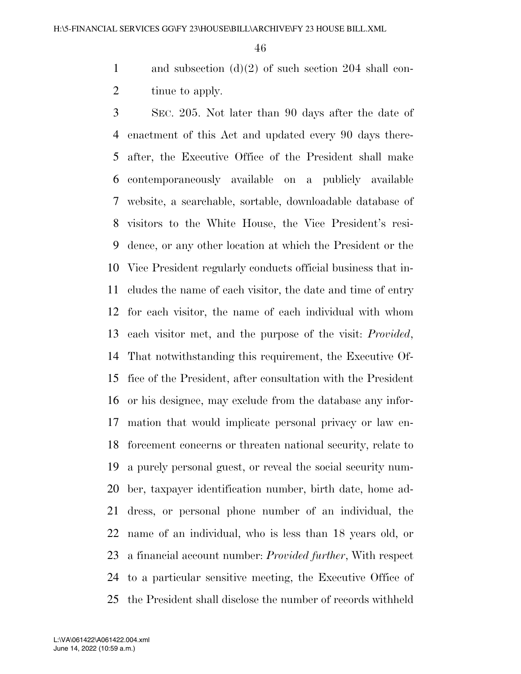and subsection (d)(2) of such section 204 shall con-2 tinue to apply.

 SEC. 205. Not later than 90 days after the date of enactment of this Act and updated every 90 days there- after, the Executive Office of the President shall make contemporaneously available on a publicly available website, a searchable, sortable, downloadable database of visitors to the White House, the Vice President's resi- dence, or any other location at which the President or the Vice President regularly conducts official business that in- cludes the name of each visitor, the date and time of entry for each visitor, the name of each individual with whom each visitor met, and the purpose of the visit: *Provided*, That notwithstanding this requirement, the Executive Of- fice of the President, after consultation with the President or his designee, may exclude from the database any infor- mation that would implicate personal privacy or law en- forcement concerns or threaten national security, relate to a purely personal guest, or reveal the social security num- ber, taxpayer identification number, birth date, home ad- dress, or personal phone number of an individual, the name of an individual, who is less than 18 years old, or a financial account number: *Provided further*, With respect to a particular sensitive meeting, the Executive Office of the President shall disclose the number of records withheld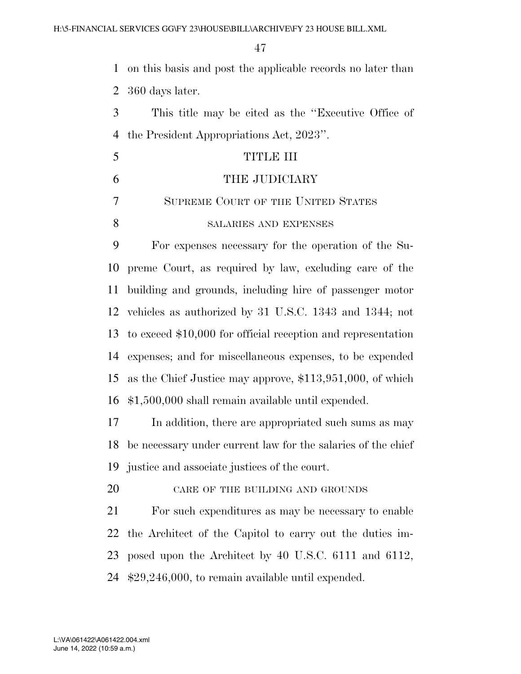on this basis and post the applicable records no later than 360 days later.

| This title may be cited as the "Executive Office of" |
|------------------------------------------------------|
| 4 the President Appropriations Act, 2023".           |

| $\overline{\mathbf{5}}$ | TITLE III                          |
|-------------------------|------------------------------------|
| 6                       | THE JUDICIARY                      |
| $\tau$                  | SUPREME COURT OF THE UNITED STATES |
|                         | SALARIES AND EXPENSES              |

 For expenses necessary for the operation of the Su- preme Court, as required by law, excluding care of the building and grounds, including hire of passenger motor vehicles as authorized by 31 U.S.C. 1343 and 1344; not to exceed \$10,000 for official reception and representation expenses; and for miscellaneous expenses, to be expended as the Chief Justice may approve, \$113,951,000, of which \$1,500,000 shall remain available until expended.

17 In addition, there are appropriated such sums as may be necessary under current law for the salaries of the chief justice and associate justices of the court.

20 CARE OF THE BUILDING AND GROUNDS

 For such expenditures as may be necessary to enable the Architect of the Capitol to carry out the duties im- posed upon the Architect by 40 U.S.C. 6111 and 6112, \$29,246,000, to remain available until expended.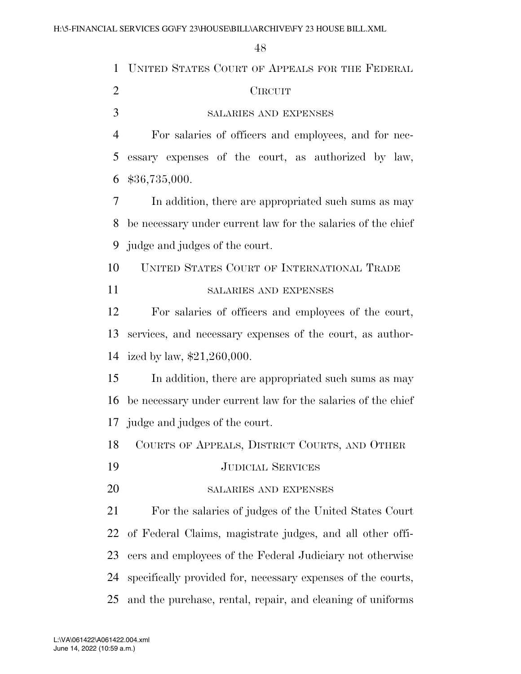| 1              | UNITED STATES COURT OF APPEALS FOR THE FEDERAL               |
|----------------|--------------------------------------------------------------|
| $\overline{2}$ | <b>CIRCUIT</b>                                               |
| 3              | SALARIES AND EXPENSES                                        |
| 4              | For salaries of officers and employees, and for nec-         |
| 5              | essary expenses of the court, as authorized by law,          |
| 6              | \$36,735,000.                                                |
| 7              | In addition, there are appropriated such sums as may         |
| 8              | be necessary under current law for the salaries of the chief |
| 9              | judge and judges of the court.                               |
| 10             | UNITED STATES COURT OF INTERNATIONAL TRADE                   |
| 11             | <b>SALARIES AND EXPENSES</b>                                 |
| 12             | For salaries of officers and employees of the court,         |
| 13             | services, and necessary expenses of the court, as author-    |
| 14             | ized by law, $$21,260,000$ .                                 |
| 15             | In addition, there are appropriated such sums as may         |
| 16             | be necessary under current law for the salaries of the chief |
|                | 17 judge and judges of the court.                            |
| 18             | COURTS OF APPEALS, DISTRICT COURTS, AND OTHER                |
| 19             | <b>JUDICIAL SERVICES</b>                                     |
| 20             | <b>SALARIES AND EXPENSES</b>                                 |
| 21             | For the salaries of judges of the United States Court        |
| 22             | of Federal Claims, magistrate judges, and all other offi-    |
| 23             | cers and employees of the Federal Judiciary not otherwise    |
| 24             | specifically provided for, necessary expenses of the courts, |
| 25             | and the purchase, rental, repair, and cleaning of uniforms   |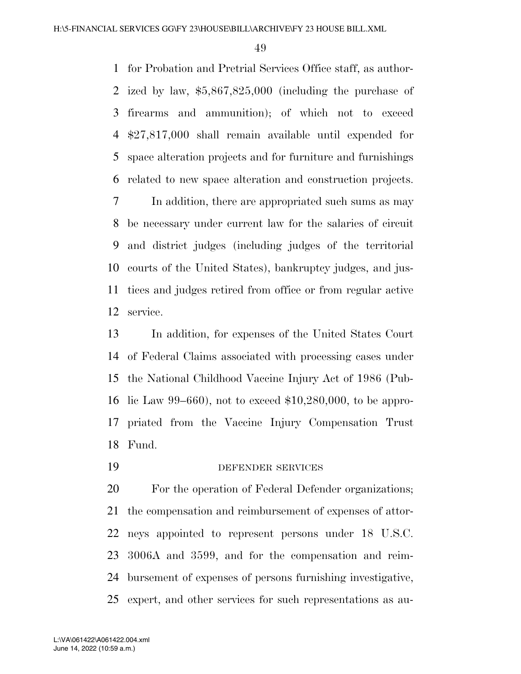for Probation and Pretrial Services Office staff, as author- ized by law, \$5,867,825,000 (including the purchase of firearms and ammunition); of which not to exceed \$27,817,000 shall remain available until expended for space alteration projects and for furniture and furnishings related to new space alteration and construction projects.

 In addition, there are appropriated such sums as may be necessary under current law for the salaries of circuit and district judges (including judges of the territorial courts of the United States), bankruptcy judges, and jus- tices and judges retired from office or from regular active service.

 In addition, for expenses of the United States Court of Federal Claims associated with processing cases under the National Childhood Vaccine Injury Act of 1986 (Pub- lic Law 99–660), not to exceed \$10,280,000, to be appro- priated from the Vaccine Injury Compensation Trust Fund.

DEFENDER SERVICES

 For the operation of Federal Defender organizations; the compensation and reimbursement of expenses of attor- neys appointed to represent persons under 18 U.S.C. 3006A and 3599, and for the compensation and reim- bursement of expenses of persons furnishing investigative, expert, and other services for such representations as au-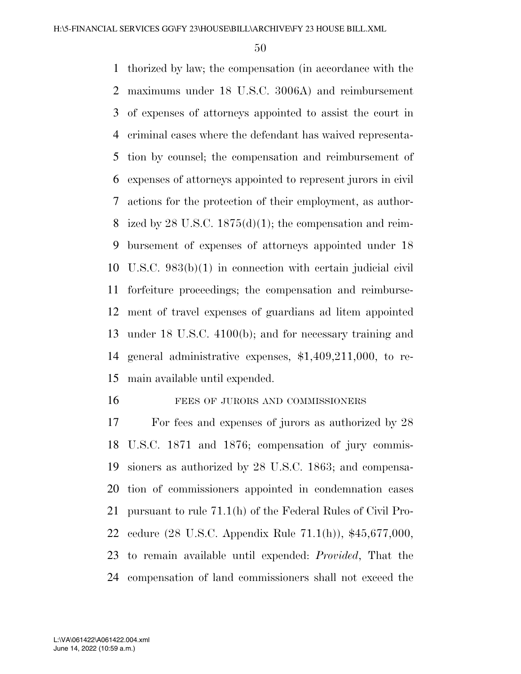thorized by law; the compensation (in accordance with the maximums under 18 U.S.C. 3006A) and reimbursement of expenses of attorneys appointed to assist the court in criminal cases where the defendant has waived representa- tion by counsel; the compensation and reimbursement of expenses of attorneys appointed to represent jurors in civil actions for the protection of their employment, as author-8 ized by 28 U.S.C.  $1875(d)(1)$ ; the compensation and reim- bursement of expenses of attorneys appointed under 18 U.S.C. 983(b)(1) in connection with certain judicial civil forfeiture proceedings; the compensation and reimburse- ment of travel expenses of guardians ad litem appointed under 18 U.S.C. 4100(b); and for necessary training and general administrative expenses, \$1,409,211,000, to re-main available until expended.

#### 16 FEES OF JURORS AND COMMISSIONERS

 For fees and expenses of jurors as authorized by 28 U.S.C. 1871 and 1876; compensation of jury commis- sioners as authorized by 28 U.S.C. 1863; and compensa- tion of commissioners appointed in condemnation cases pursuant to rule 71.1(h) of the Federal Rules of Civil Pro- cedure (28 U.S.C. Appendix Rule 71.1(h)), \$45,677,000, to remain available until expended: *Provided*, That the compensation of land commissioners shall not exceed the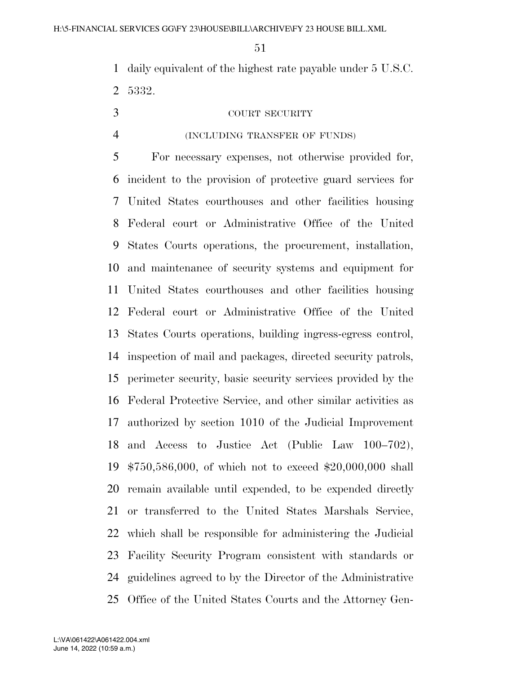daily equivalent of the highest rate payable under 5 U.S.C. 5332.

### COURT SECURITY

#### (INCLUDING TRANSFER OF FUNDS)

 For necessary expenses, not otherwise provided for, incident to the provision of protective guard services for United States courthouses and other facilities housing Federal court or Administrative Office of the United States Courts operations, the procurement, installation, and maintenance of security systems and equipment for United States courthouses and other facilities housing Federal court or Administrative Office of the United States Courts operations, building ingress-egress control, inspection of mail and packages, directed security patrols, perimeter security, basic security services provided by the Federal Protective Service, and other similar activities as authorized by section 1010 of the Judicial Improvement and Access to Justice Act (Public Law 100–702), \$750,586,000, of which not to exceed \$20,000,000 shall remain available until expended, to be expended directly or transferred to the United States Marshals Service, which shall be responsible for administering the Judicial Facility Security Program consistent with standards or guidelines agreed to by the Director of the Administrative Office of the United States Courts and the Attorney Gen-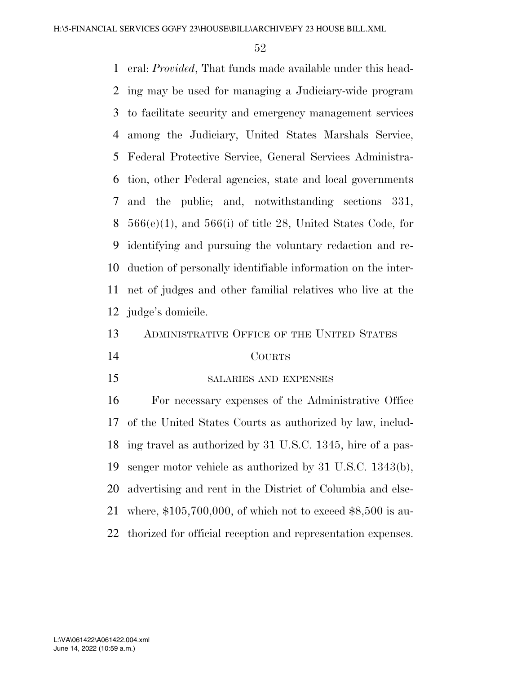eral: *Provided*, That funds made available under this head- ing may be used for managing a Judiciary-wide program to facilitate security and emergency management services among the Judiciary, United States Marshals Service, Federal Protective Service, General Services Administra- tion, other Federal agencies, state and local governments and the public; and, notwithstanding sections 331,  $566(e)(1)$ , and  $566(i)$  of title 28, United States Code, for identifying and pursuing the voluntary redaction and re- duction of personally identifiable information on the inter- net of judges and other familial relatives who live at the judge's domicile.

13 ADMINISTRATIVE OFFICE OF THE UNITED STATES

#### COURTS

SALARIES AND EXPENSES

 For necessary expenses of the Administrative Office of the United States Courts as authorized by law, includ- ing travel as authorized by 31 U.S.C. 1345, hire of a pas- senger motor vehicle as authorized by 31 U.S.C. 1343(b), advertising and rent in the District of Columbia and else- where, \$105,700,000, of which not to exceed \$8,500 is au-thorized for official reception and representation expenses.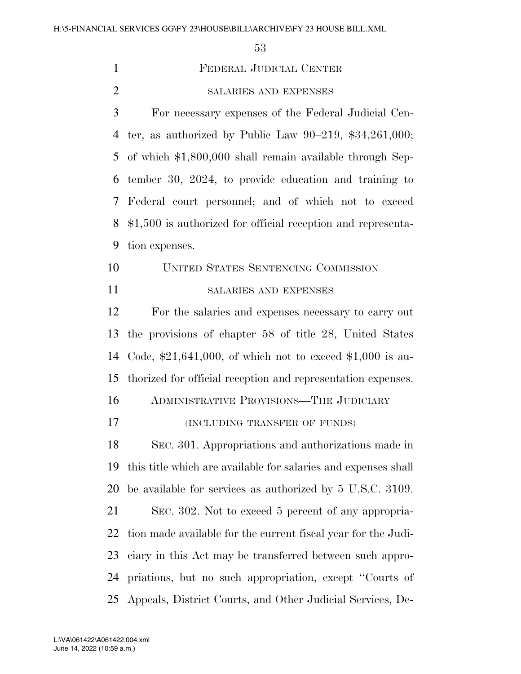| $\mathbf{1}$   | FEDERAL JUDICIAL CENTER                                        |
|----------------|----------------------------------------------------------------|
| $\overline{2}$ | SALARIES AND EXPENSES                                          |
| 3              | For necessary expenses of the Federal Judicial Cen-            |
| 4              | ter, as authorized by Public Law $90-219$ , \$34,261,000;      |
| 5              | of which \$1,800,000 shall remain available through Sep-       |
| 6              | tember 30, 2024, to provide education and training to          |
| 7              | Federal court personnel; and of which not to exceed            |
| 8              | $$1,500$ is authorized for official reception and representa-  |
| 9              | tion expenses.                                                 |
| 10             | <b>UNITED STATES SENTENCING COMMISSION</b>                     |
| 11             | <b>SALARIES AND EXPENSES</b>                                   |
| 12             | For the salaries and expenses necessary to carry out           |
| 13             | the provisions of chapter 58 of title 28, United States        |
| 14             | Code, $*21,641,000$ , of which not to exceed $*1,000$ is au-   |
| 15             | thorized for official reception and representation expenses.   |
| 16             | ADMINISTRATIVE PROVISIONS-THE JUDICIARY                        |
| 17             | (INCLUDING TRANSFER OF FUNDS)                                  |
| 18             | SEC. 301. Appropriations and authorizations made in            |
| 19             | this title which are available for salaries and expenses shall |
| 20             | be available for services as authorized by 5 U.S.C. 3109.      |
| 21             | SEC. 302. Not to exceed 5 percent of any appropria-            |
| 22             | tion made available for the current fiscal year for the Judi-  |
| 23             | ciary in this Act may be transferred between such appro-       |
| 24             | priations, but no such appropriation, except "Courts of        |
| 25             | Appeals, District Courts, and Other Judicial Services, De-     |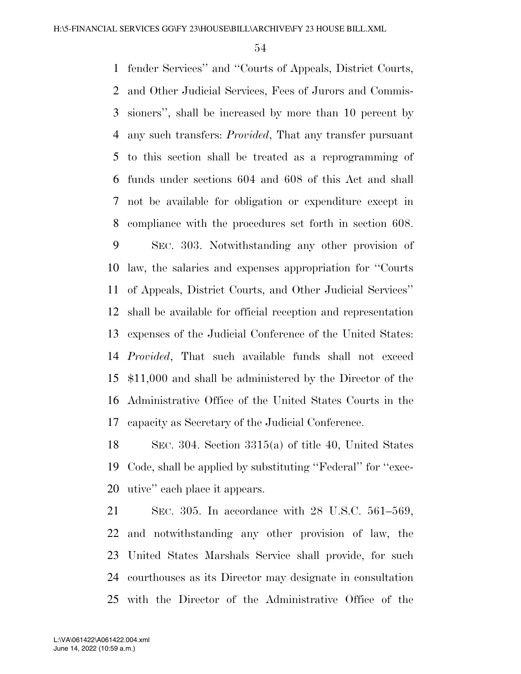fender Services'' and ''Courts of Appeals, District Courts, and Other Judicial Services, Fees of Jurors and Commis- sioners'', shall be increased by more than 10 percent by any such transfers: *Provided*, That any transfer pursuant to this section shall be treated as a reprogramming of funds under sections 604 and 608 of this Act and shall not be available for obligation or expenditure except in compliance with the procedures set forth in section 608.

 SEC. 303. Notwithstanding any other provision of law, the salaries and expenses appropriation for ''Courts of Appeals, District Courts, and Other Judicial Services'' shall be available for official reception and representation expenses of the Judicial Conference of the United States: *Provided*, That such available funds shall not exceed \$11,000 and shall be administered by the Director of the Administrative Office of the United States Courts in the capacity as Secretary of the Judicial Conference.

 SEC. 304. Section 3315(a) of title 40, United States Code, shall be applied by substituting ''Federal'' for ''exec-utive'' each place it appears.

 SEC. 305. In accordance with 28 U.S.C. 561–569, and notwithstanding any other provision of law, the United States Marshals Service shall provide, for such courthouses as its Director may designate in consultation with the Director of the Administrative Office of the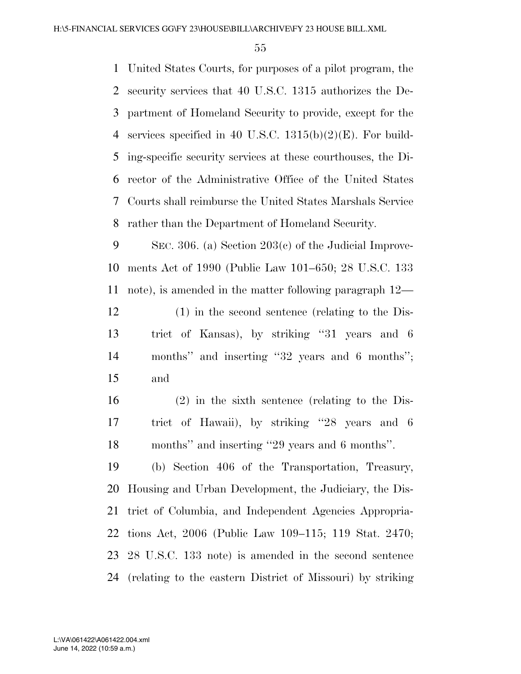United States Courts, for purposes of a pilot program, the security services that 40 U.S.C. 1315 authorizes the De- partment of Homeland Security to provide, except for the services specified in 40 U.S.C. 1315(b)(2)(E). For build- ing-specific security services at these courthouses, the Di- rector of the Administrative Office of the United States Courts shall reimburse the United States Marshals Service rather than the Department of Homeland Security.

 SEC. 306. (a) Section 203(c) of the Judicial Improve- ments Act of 1990 (Public Law 101–650; 28 U.S.C. 133 note), is amended in the matter following paragraph 12—

 (1) in the second sentence (relating to the Dis- trict of Kansas), by striking ''31 years and 6 months'' and inserting ''32 years and 6 months''; and

 (2) in the sixth sentence (relating to the Dis- trict of Hawaii), by striking ''28 years and 6 months'' and inserting ''29 years and 6 months''.

 (b) Section 406 of the Transportation, Treasury, Housing and Urban Development, the Judiciary, the Dis- trict of Columbia, and Independent Agencies Appropria- tions Act, 2006 (Public Law 109–115; 119 Stat. 2470; 28 U.S.C. 133 note) is amended in the second sentence (relating to the eastern District of Missouri) by striking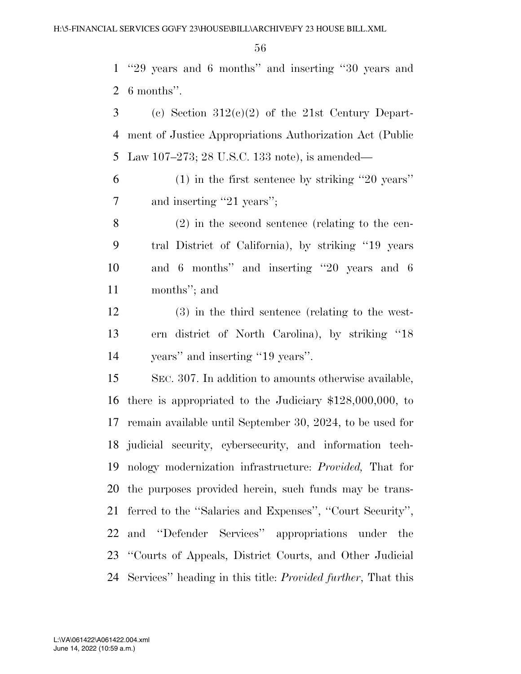''29 years and 6 months'' and inserting ''30 years and 6 months''.

3 (c) Section  $312(c)(2)$  of the 21st Century Depart- ment of Justice Appropriations Authorization Act (Public Law 107–273; 28 U.S.C. 133 note), is amended—

 (1) in the first sentence by striking ''20 years'' 7 and inserting "21 years";

 (2) in the second sentence (relating to the cen- tral District of California), by striking ''19 years and 6 months'' and inserting ''20 years and 6 months''; and

 (3) in the third sentence (relating to the west- ern district of North Carolina), by striking ''18 years'' and inserting ''19 years''.

 SEC. 307. In addition to amounts otherwise available, there is appropriated to the Judiciary \$128,000,000, to remain available until September 30, 2024, to be used for judicial security, cybersecurity, and information tech- nology modernization infrastructure: *Provided,* That for the purposes provided herein, such funds may be trans- ferred to the ''Salaries and Expenses'', ''Court Security'', and ''Defender Services'' appropriations under the ''Courts of Appeals, District Courts, and Other Judicial Services'' heading in this title: *Provided further*, That this

June 14, 2022 (10:59 a.m.) L:\VA\061422\A061422.004.xml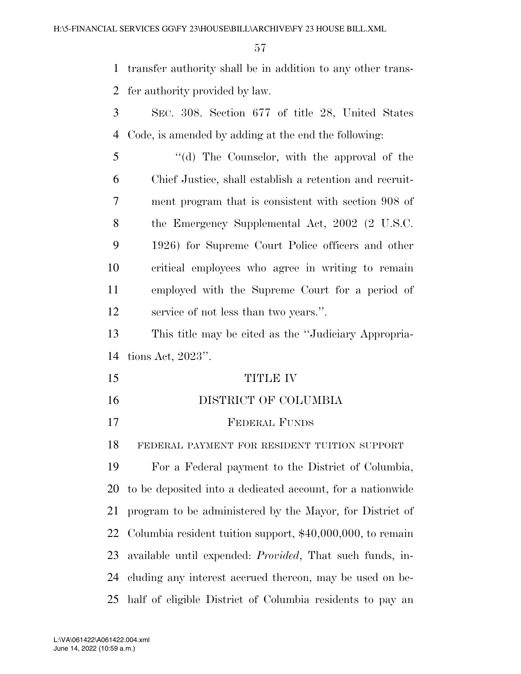transfer authority shall be in addition to any other trans-fer authority provided by law.

 SEC. 308. Section 677 of title 28, United States Code, is amended by adding at the end the following:

 ''(d) The Counselor, with the approval of the Chief Justice, shall establish a retention and recruit- ment program that is consistent with section 908 of the Emergency Supplemental Act, 2002 (2 U.S.C. 1926) for Supreme Court Police officers and other critical employees who agree in writing to remain employed with the Supreme Court for a period of service of not less than two years.''.

 This title may be cited as the ''Judiciary Appropria-tions Act, 2023''.

 TITLE IV DISTRICT OF COLUMBIA FEDERAL FUNDS FEDERAL PAYMENT FOR RESIDENT TUITION SUPPORT

 For a Federal payment to the District of Columbia, to be deposited into a dedicated account, for a nationwide program to be administered by the Mayor, for District of Columbia resident tuition support, \$40,000,000, to remain available until expended: *Provided*, That such funds, in- cluding any interest accrued thereon, may be used on be-half of eligible District of Columbia residents to pay an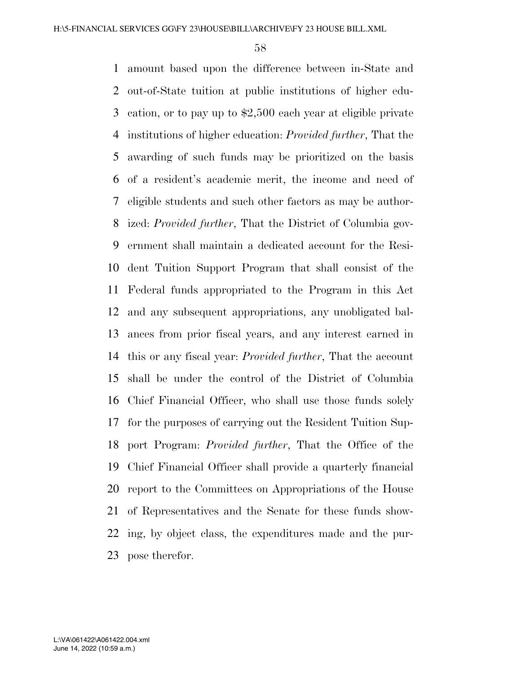amount based upon the difference between in-State and out-of-State tuition at public institutions of higher edu- cation, or to pay up to \$2,500 each year at eligible private institutions of higher education: *Provided further*, That the awarding of such funds may be prioritized on the basis of a resident's academic merit, the income and need of eligible students and such other factors as may be author- ized: *Provided further*, That the District of Columbia gov- ernment shall maintain a dedicated account for the Resi- dent Tuition Support Program that shall consist of the Federal funds appropriated to the Program in this Act and any subsequent appropriations, any unobligated bal- ances from prior fiscal years, and any interest earned in this or any fiscal year: *Provided further*, That the account shall be under the control of the District of Columbia Chief Financial Officer, who shall use those funds solely for the purposes of carrying out the Resident Tuition Sup- port Program: *Provided further*, That the Office of the Chief Financial Officer shall provide a quarterly financial report to the Committees on Appropriations of the House of Representatives and the Senate for these funds show- ing, by object class, the expenditures made and the pur-pose therefor.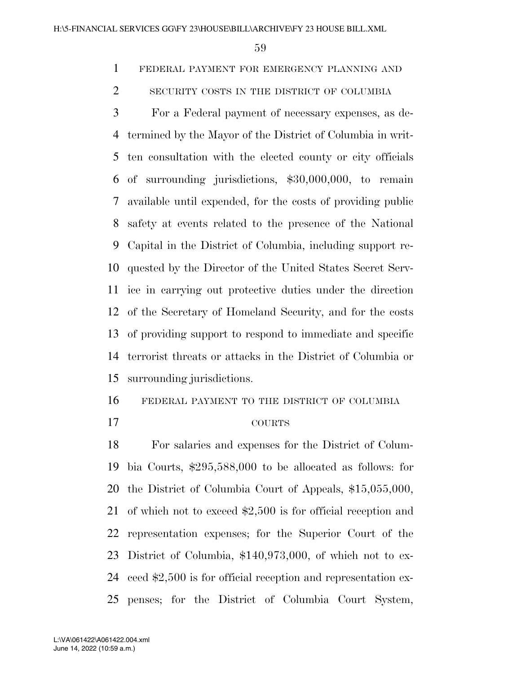FEDERAL PAYMENT FOR EMERGENCY PLANNING AND

2 SECURITY COSTS IN THE DISTRICT OF COLUMBIA

 For a Federal payment of necessary expenses, as de- termined by the Mayor of the District of Columbia in writ- ten consultation with the elected county or city officials of surrounding jurisdictions, \$30,000,000, to remain available until expended, for the costs of providing public safety at events related to the presence of the National Capital in the District of Columbia, including support re- quested by the Director of the United States Secret Serv- ice in carrying out protective duties under the direction of the Secretary of Homeland Security, and for the costs of providing support to respond to immediate and specific terrorist threats or attacks in the District of Columbia or surrounding jurisdictions.

FEDERAL PAYMENT TO THE DISTRICT OF COLUMBIA

### COURTS

 For salaries and expenses for the District of Colum- bia Courts, \$295,588,000 to be allocated as follows: for the District of Columbia Court of Appeals, \$15,055,000, of which not to exceed \$2,500 is for official reception and representation expenses; for the Superior Court of the District of Columbia, \$140,973,000, of which not to ex- ceed \$2,500 is for official reception and representation ex-penses; for the District of Columbia Court System,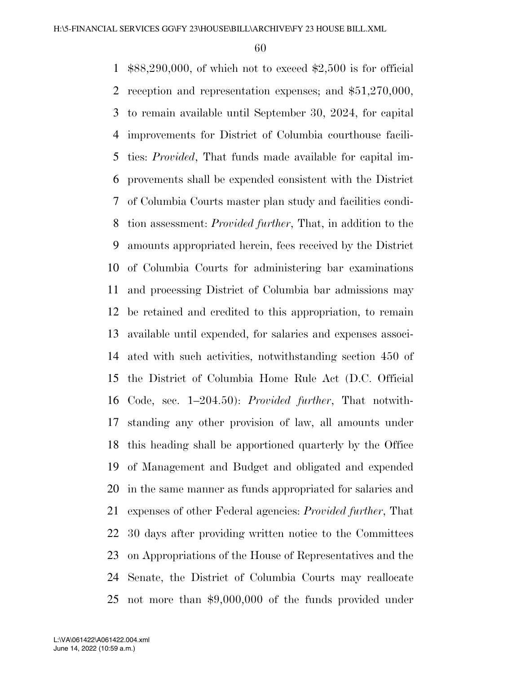\$88,290,000, of which not to exceed \$2,500 is for official reception and representation expenses; and \$51,270,000, to remain available until September 30, 2024, for capital improvements for District of Columbia courthouse facili- ties: *Provided*, That funds made available for capital im- provements shall be expended consistent with the District of Columbia Courts master plan study and facilities condi- tion assessment: *Provided further*, That, in addition to the amounts appropriated herein, fees received by the District of Columbia Courts for administering bar examinations and processing District of Columbia bar admissions may be retained and credited to this appropriation, to remain available until expended, for salaries and expenses associ- ated with such activities, notwithstanding section 450 of the District of Columbia Home Rule Act (D.C. Official Code, sec. 1–204.50): *Provided further*, That notwith- standing any other provision of law, all amounts under this heading shall be apportioned quarterly by the Office of Management and Budget and obligated and expended in the same manner as funds appropriated for salaries and expenses of other Federal agencies: *Provided further*, That 30 days after providing written notice to the Committees on Appropriations of the House of Representatives and the Senate, the District of Columbia Courts may reallocate not more than \$9,000,000 of the funds provided under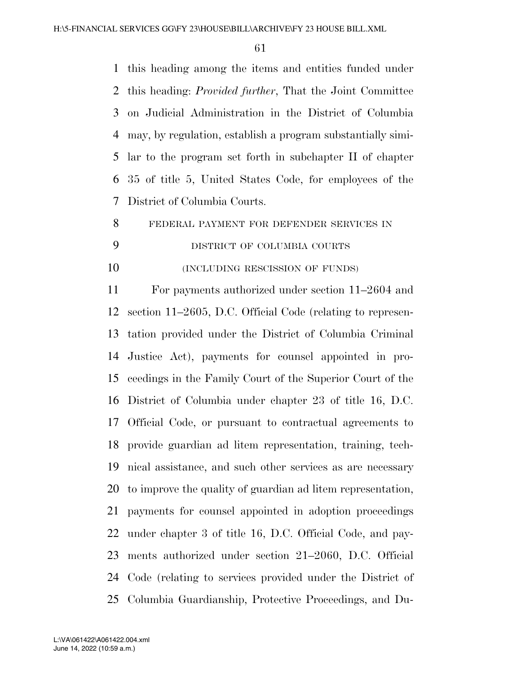this heading among the items and entities funded under this heading: *Provided further*, That the Joint Committee on Judicial Administration in the District of Columbia may, by regulation, establish a program substantially simi- lar to the program set forth in subchapter II of chapter 35 of title 5, United States Code, for employees of the District of Columbia Courts.

FEDERAL PAYMENT FOR DEFENDER SERVICES IN

# DISTRICT OF COLUMBIA COURTS

10 (INCLUDING RESCISSION OF FUNDS)

 For payments authorized under section 11–2604 and section 11–2605, D.C. Official Code (relating to represen- tation provided under the District of Columbia Criminal Justice Act), payments for counsel appointed in pro- ceedings in the Family Court of the Superior Court of the District of Columbia under chapter 23 of title 16, D.C. Official Code, or pursuant to contractual agreements to provide guardian ad litem representation, training, tech- nical assistance, and such other services as are necessary to improve the quality of guardian ad litem representation, payments for counsel appointed in adoption proceedings under chapter 3 of title 16, D.C. Official Code, and pay- ments authorized under section 21–2060, D.C. Official Code (relating to services provided under the District of Columbia Guardianship, Protective Proceedings, and Du-

June 14, 2022 (10:59 a.m.) L:\VA\061422\A061422.004.xml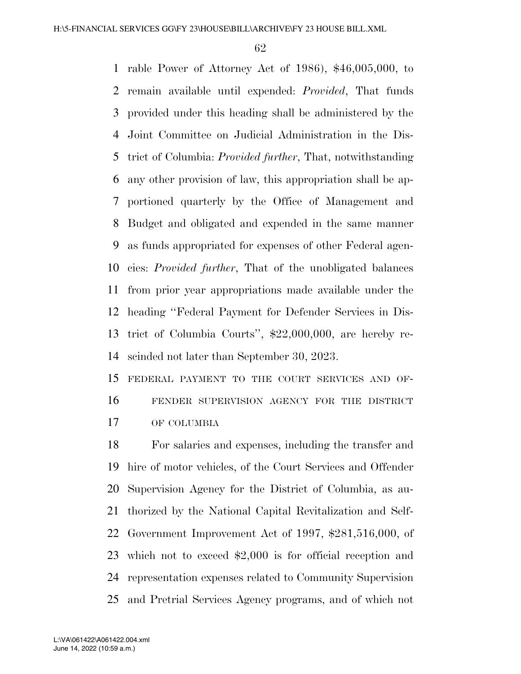rable Power of Attorney Act of 1986), \$46,005,000, to remain available until expended: *Provided*, That funds provided under this heading shall be administered by the Joint Committee on Judicial Administration in the Dis- trict of Columbia: *Provided further*, That, notwithstanding any other provision of law, this appropriation shall be ap- portioned quarterly by the Office of Management and Budget and obligated and expended in the same manner as funds appropriated for expenses of other Federal agen- cies: *Provided further*, That of the unobligated balances from prior year appropriations made available under the heading ''Federal Payment for Defender Services in Dis- trict of Columbia Courts'', \$22,000,000, are hereby re-scinded not later than September 30, 2023.

 FEDERAL PAYMENT TO THE COURT SERVICES AND OF- FENDER SUPERVISION AGENCY FOR THE DISTRICT OF COLUMBIA

 For salaries and expenses, including the transfer and hire of motor vehicles, of the Court Services and Offender Supervision Agency for the District of Columbia, as au- thorized by the National Capital Revitalization and Self- Government Improvement Act of 1997, \$281,516,000, of which not to exceed \$2,000 is for official reception and representation expenses related to Community Supervision and Pretrial Services Agency programs, and of which not

June 14, 2022 (10:59 a.m.) L:\VA\061422\A061422.004.xml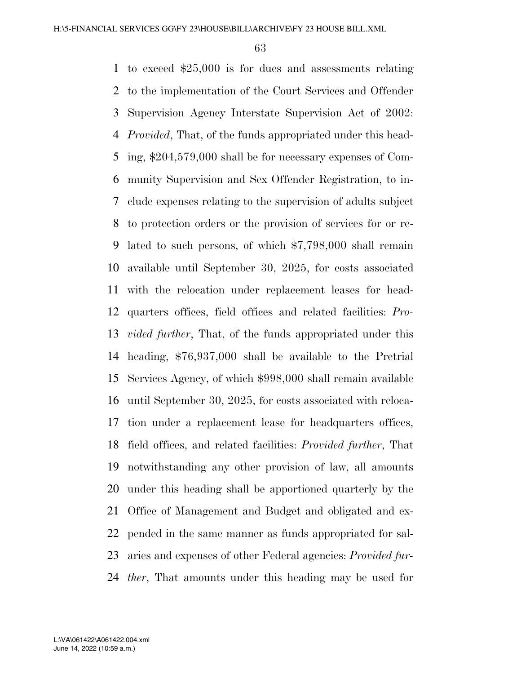to exceed \$25,000 is for dues and assessments relating to the implementation of the Court Services and Offender Supervision Agency Interstate Supervision Act of 2002: *Provided*, That, of the funds appropriated under this head- ing, \$204,579,000 shall be for necessary expenses of Com- munity Supervision and Sex Offender Registration, to in- clude expenses relating to the supervision of adults subject to protection orders or the provision of services for or re- lated to such persons, of which \$7,798,000 shall remain available until September 30, 2025, for costs associated with the relocation under replacement leases for head- quarters offices, field offices and related facilities: *Pro- vided further*, That, of the funds appropriated under this heading, \$76,937,000 shall be available to the Pretrial Services Agency, of which \$998,000 shall remain available until September 30, 2025, for costs associated with reloca- tion under a replacement lease for headquarters offices, field offices, and related facilities: *Provided further*, That notwithstanding any other provision of law, all amounts under this heading shall be apportioned quarterly by the Office of Management and Budget and obligated and ex- pended in the same manner as funds appropriated for sal- aries and expenses of other Federal agencies: *Provided fur-ther*, That amounts under this heading may be used for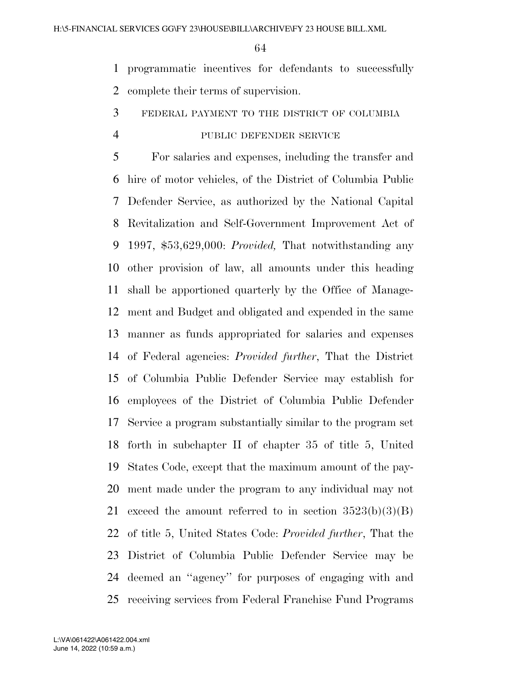programmatic incentives for defendants to successfully complete their terms of supervision.

# FEDERAL PAYMENT TO THE DISTRICT OF COLUMBIA

#### PUBLIC DEFENDER SERVICE

 For salaries and expenses, including the transfer and hire of motor vehicles, of the District of Columbia Public Defender Service, as authorized by the National Capital Revitalization and Self-Government Improvement Act of 1997, \$53,629,000: *Provided,* That notwithstanding any other provision of law, all amounts under this heading shall be apportioned quarterly by the Office of Manage- ment and Budget and obligated and expended in the same manner as funds appropriated for salaries and expenses of Federal agencies: *Provided further*, That the District of Columbia Public Defender Service may establish for employees of the District of Columbia Public Defender Service a program substantially similar to the program set forth in subchapter II of chapter 35 of title 5, United States Code, except that the maximum amount of the pay- ment made under the program to any individual may not 21 exceed the amount referred to in section  $3523(b)(3)(B)$  of title 5, United States Code: *Provided further*, That the District of Columbia Public Defender Service may be deemed an ''agency'' for purposes of engaging with and receiving services from Federal Franchise Fund Programs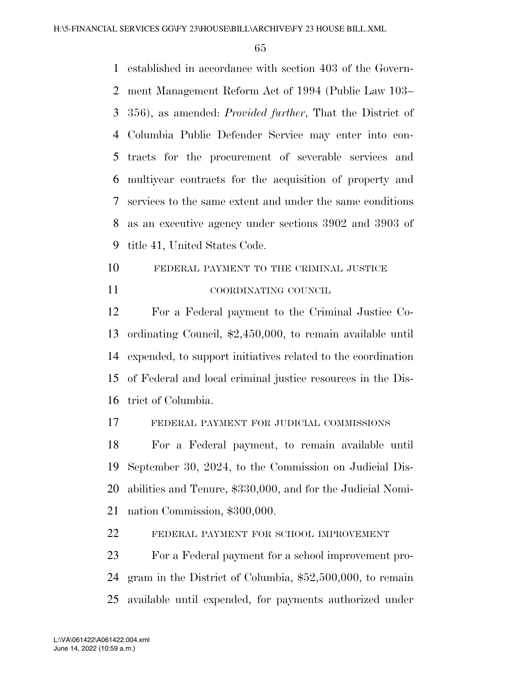established in accordance with section 403 of the Govern- ment Management Reform Act of 1994 (Public Law 103– 356), as amended: *Provided further*, That the District of Columbia Public Defender Service may enter into con- tracts for the procurement of severable services and multiyear contracts for the acquisition of property and services to the same extent and under the same conditions as an executive agency under sections 3902 and 3903 of title 41, United States Code.

10 FEDERAL PAYMENT TO THE CRIMINAL JUSTICE COORDINATING COUNCIL

 For a Federal payment to the Criminal Justice Co- ordinating Council, \$2,450,000, to remain available until expended, to support initiatives related to the coordination of Federal and local criminal justice resources in the Dis-trict of Columbia.

FEDERAL PAYMENT FOR JUDICIAL COMMISSIONS

 For a Federal payment, to remain available until September 30, 2024, to the Commission on Judicial Dis- abilities and Tenure, \$330,000, and for the Judicial Nomi-nation Commission, \$300,000.

FEDERAL PAYMENT FOR SCHOOL IMPROVEMENT

 For a Federal payment for a school improvement pro- gram in the District of Columbia, \$52,500,000, to remain available until expended, for payments authorized under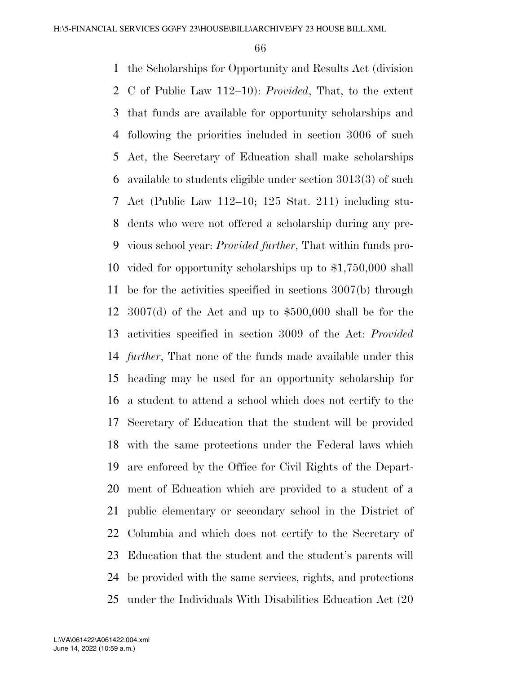the Scholarships for Opportunity and Results Act (division C of Public Law 112–10): *Provided*, That, to the extent that funds are available for opportunity scholarships and following the priorities included in section 3006 of such Act, the Secretary of Education shall make scholarships available to students eligible under section 3013(3) of such Act (Public Law 112–10; 125 Stat. 211) including stu- dents who were not offered a scholarship during any pre- vious school year: *Provided further*, That within funds pro- vided for opportunity scholarships up to \$1,750,000 shall be for the activities specified in sections 3007(b) through 3007(d) of the Act and up to \$500,000 shall be for the activities specified in section 3009 of the Act: *Provided further*, That none of the funds made available under this heading may be used for an opportunity scholarship for a student to attend a school which does not certify to the Secretary of Education that the student will be provided with the same protections under the Federal laws which are enforced by the Office for Civil Rights of the Depart- ment of Education which are provided to a student of a public elementary or secondary school in the District of Columbia and which does not certify to the Secretary of Education that the student and the student's parents will be provided with the same services, rights, and protections under the Individuals With Disabilities Education Act (20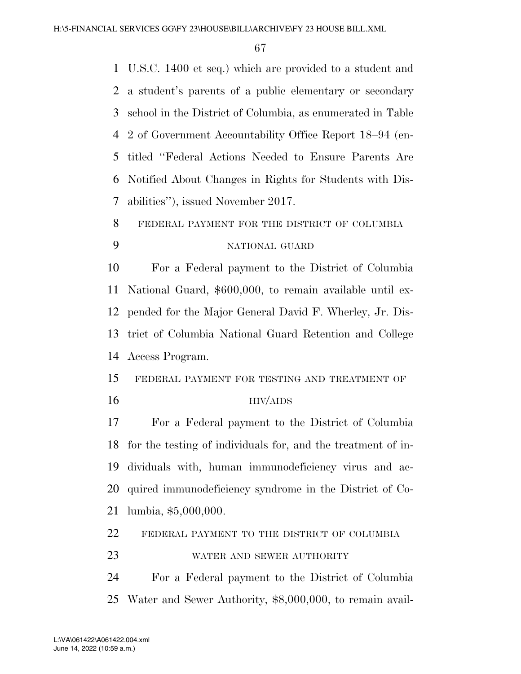U.S.C. 1400 et seq.) which are provided to a student and a student's parents of a public elementary or secondary school in the District of Columbia, as enumerated in Table 2 of Government Accountability Office Report 18–94 (en- titled ''Federal Actions Needed to Ensure Parents Are Notified About Changes in Rights for Students with Dis-abilities''), issued November 2017.

# FEDERAL PAYMENT FOR THE DISTRICT OF COLUMBIA NATIONAL GUARD

 For a Federal payment to the District of Columbia National Guard, \$600,000, to remain available until ex- pended for the Major General David F. Wherley, Jr. Dis- trict of Columbia National Guard Retention and College Access Program.

 FEDERAL PAYMENT FOR TESTING AND TREATMENT OF 16 HIV/AIDS

 For a Federal payment to the District of Columbia for the testing of individuals for, and the treatment of in- dividuals with, human immunodeficiency virus and ac- quired immunodeficiency syndrome in the District of Co-lumbia, \$5,000,000.

FEDERAL PAYMENT TO THE DISTRICT OF COLUMBIA

WATER AND SEWER AUTHORITY

 For a Federal payment to the District of Columbia Water and Sewer Authority, \$8,000,000, to remain avail-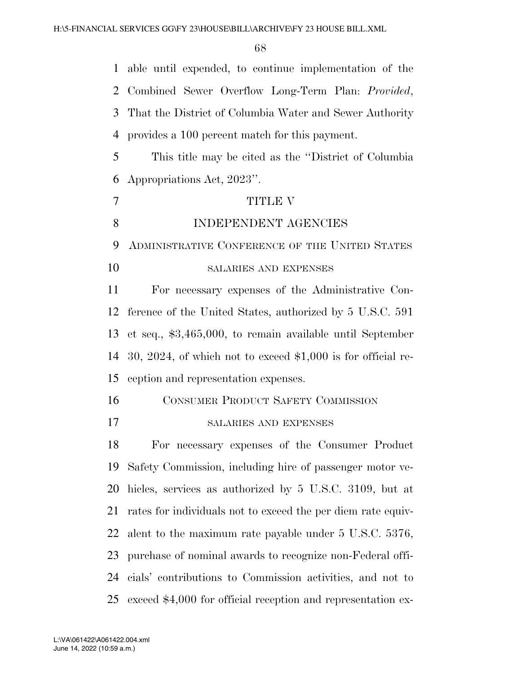|    | 1 able until expended, to continue implementation of the      |
|----|---------------------------------------------------------------|
| 2  | Combined Sewer Overflow Long-Term Plan: Provided,             |
| 3  | That the District of Columbia Water and Sewer Authority       |
| 4  | provides a 100 percent match for this payment.                |
| 5  | This title may be cited as the "District of Columbia"         |
| 6  | Appropriations Act, 2023".                                    |
| 7  | <b>TITLE V</b>                                                |
| 8  | INDEPENDENT AGENCIES                                          |
| 9  | ADMINISTRATIVE CONFERENCE OF THE UNITED STATES                |
| 10 | SALARIES AND EXPENSES                                         |
| 11 | For necessary expenses of the Administrative Con-             |
| 12 | ference of the United States, authorized by 5 U.S.C. 591      |
| 13 | et seq., $$3,465,000$ , to remain available until September   |
| 14 | 30, 2024, of which not to exceed $$1,000$ is for official re- |
| 15 | ception and representation expenses.                          |
| 16 | <b>CONSUMER PRODUCT SAFETY COMMISSION</b>                     |
| 17 | <b>SALARIES AND EXPENSES</b>                                  |
| 18 | For necessary expenses of the Consumer Product                |
| 19 | Safety Commission, including hire of passenger motor ve-      |
| 20 | hicles, services as authorized by 5 U.S.C. 3109, but at       |
| 21 | rates for individuals not to exceed the per diem rate equiv-  |
| 22 | alent to the maximum rate payable under 5 U.S.C. 5376,        |
| 23 | purchase of nominal awards to recognize non-Federal offi-     |
| 24 | cials' contributions to Commission activities, and not to     |
| 25 | exceed \$4,000 for official reception and representation ex-  |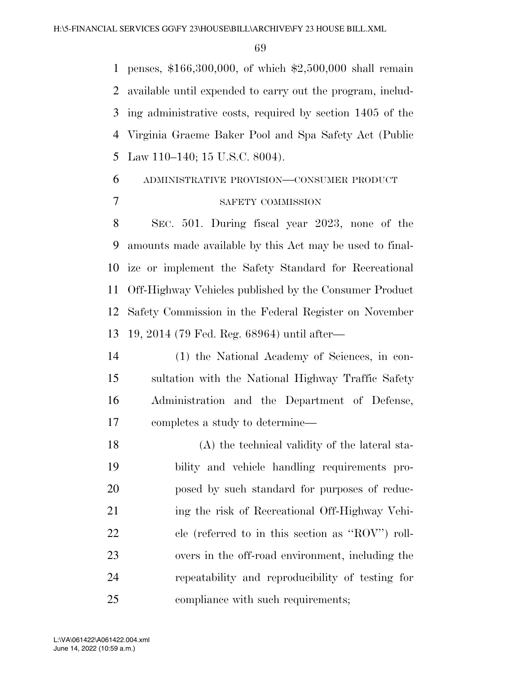penses, \$166,300,000, of which \$2,500,000 shall remain available until expended to carry out the program, includ- ing administrative costs, required by section 1405 of the Virginia Graeme Baker Pool and Spa Safety Act (Public Law 110–140; 15 U.S.C. 8004).

# ADMINISTRATIVE PROVISION—CONSUMER PRODUCT SAFETY COMMISSION

 SEC. 501. During fiscal year 2023, none of the amounts made available by this Act may be used to final- ize or implement the Safety Standard for Recreational Off-Highway Vehicles published by the Consumer Product Safety Commission in the Federal Register on November 19, 2014 (79 Fed. Reg. 68964) until after—

 (1) the National Academy of Sciences, in con- sultation with the National Highway Traffic Safety Administration and the Department of Defense, completes a study to determine—

 (A) the technical validity of the lateral sta- bility and vehicle handling requirements pro- posed by such standard for purposes of reduc- ing the risk of Recreational Off-Highway Vehi- cle (referred to in this section as ''ROV'') roll- overs in the off-road environment, including the repeatability and reproducibility of testing for 25 compliance with such requirements;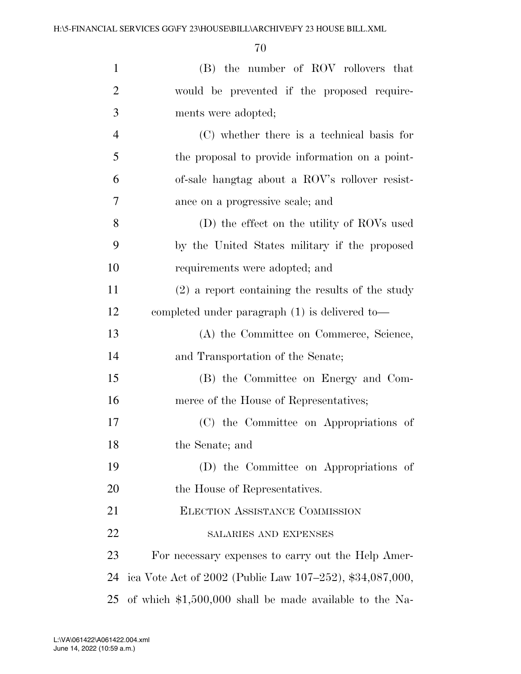| $\mathbf{1}$   | (B) the number of ROV rollovers that                     |
|----------------|----------------------------------------------------------|
| $\overline{2}$ | would be prevented if the proposed require-              |
| 3              | ments were adopted;                                      |
| $\overline{4}$ | (C) whether there is a technical basis for               |
| 5              | the proposal to provide information on a point-          |
| 6              | of-sale hangtag about a ROV's rollover resist-           |
| 7              | ance on a progressive scale; and                         |
| 8              | (D) the effect on the utility of ROVs used               |
| 9              | by the United States military if the proposed            |
| 10             | requirements were adopted; and                           |
| 11             | $(2)$ a report containing the results of the study       |
| 12             | completed under paragraph $(1)$ is delivered to-         |
| 13             | (A) the Committee on Commerce, Science,                  |
| 14             | and Transportation of the Senate;                        |
| 15             | (B) the Committee on Energy and Com-                     |
| 16             | merce of the House of Representatives;                   |
| 17             | (C) the Committee on Appropriations of                   |
| 18             | the Senate; and                                          |
| 19             | (D) the Committee on Appropriations of                   |
| 20             | the House of Representatives.                            |
| 21             | <b>ELECTION ASSISTANCE COMMISSION</b>                    |
| 22             | SALARIES AND EXPENSES                                    |
| 23             | For necessary expenses to carry out the Help Amer-       |
| 24             | ica Vote Act of 2002 (Public Law 107–252), \$34,087,000, |
| 25             | of which $$1,500,000$ shall be made available to the Na- |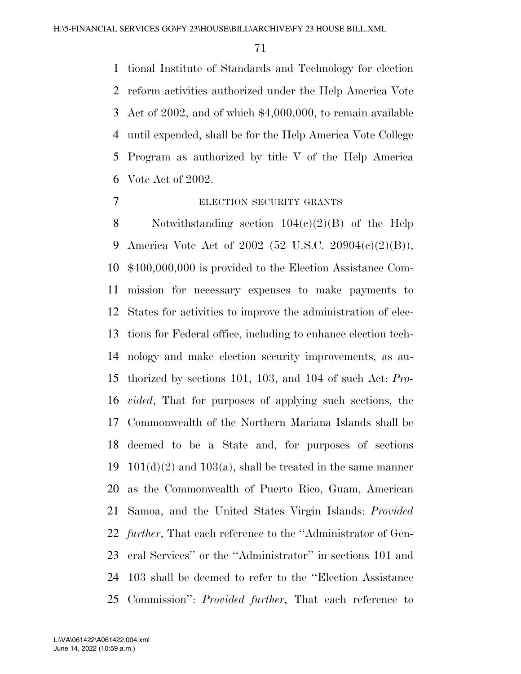tional Institute of Standards and Technology for election reform activities authorized under the Help America Vote Act of 2002, and of which \$4,000,000, to remain available until expended, shall be for the Help America Vote College Program as authorized by title V of the Help America Vote Act of 2002.

#### ELECTION SECURITY GRANTS

8 Notwithstanding section  $104(c)(2)(B)$  of the Help America Vote Act of 2002 (52 U.S.C. 20904(c)(2)(B)), \$400,000,000 is provided to the Election Assistance Com- mission for necessary expenses to make payments to States for activities to improve the administration of elec- tions for Federal office, including to enhance election tech- nology and make election security improvements, as au- thorized by sections 101, 103, and 104 of such Act: *Pro- vided*, That for purposes of applying such sections, the Commonwealth of the Northern Mariana Islands shall be deemed to be a State and, for purposes of sections 19 101(d)(2) and 103(a), shall be treated in the same manner as the Commonwealth of Puerto Rico, Guam, American Samoa, and the United States Virgin Islands: *Provided further*, That each reference to the ''Administrator of Gen- eral Services'' or the ''Administrator'' in sections 101 and 103 shall be deemed to refer to the ''Election Assistance Commission'': *Provided further*, That each reference to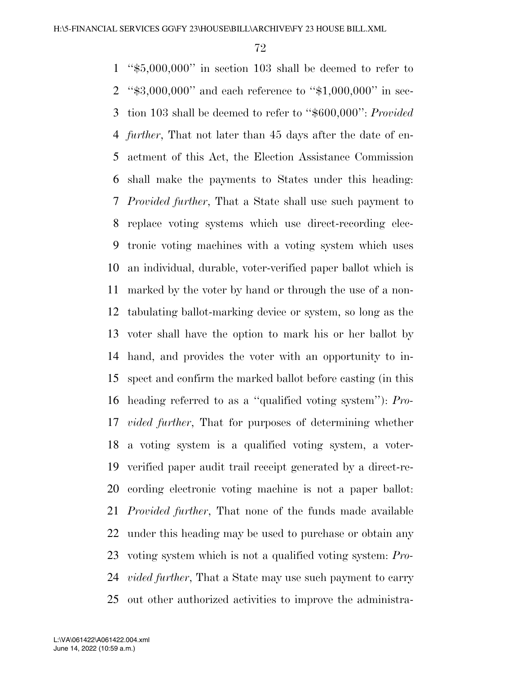''\$5,000,000'' in section 103 shall be deemed to refer to ''\$3,000,000'' and each reference to ''\$1,000,000'' in sec- tion 103 shall be deemed to refer to ''\$600,000'': *Provided further*, That not later than 45 days after the date of en- actment of this Act, the Election Assistance Commission shall make the payments to States under this heading: *Provided further*, That a State shall use such payment to replace voting systems which use direct-recording elec- tronic voting machines with a voting system which uses an individual, durable, voter-verified paper ballot which is marked by the voter by hand or through the use of a non- tabulating ballot-marking device or system, so long as the voter shall have the option to mark his or her ballot by hand, and provides the voter with an opportunity to in- spect and confirm the marked ballot before casting (in this heading referred to as a ''qualified voting system''): *Pro- vided further*, That for purposes of determining whether a voting system is a qualified voting system, a voter- verified paper audit trail receipt generated by a direct-re- cording electronic voting machine is not a paper ballot: *Provided further*, That none of the funds made available under this heading may be used to purchase or obtain any voting system which is not a qualified voting system: *Pro- vided further*, That a State may use such payment to carry out other authorized activities to improve the administra-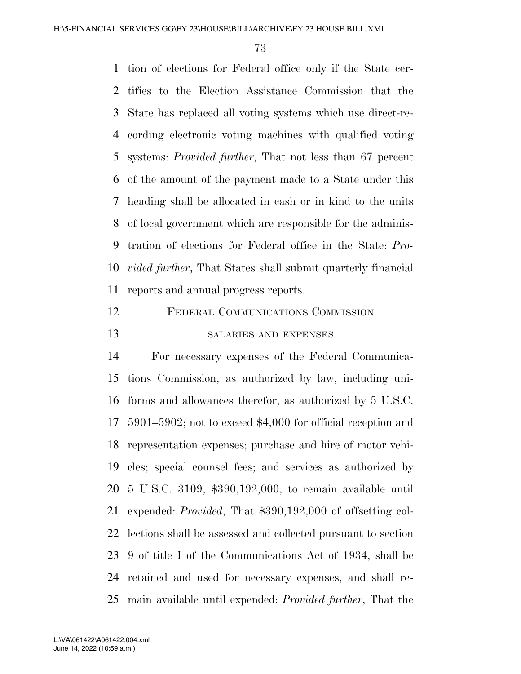tion of elections for Federal office only if the State cer- tifies to the Election Assistance Commission that the State has replaced all voting systems which use direct-re- cording electronic voting machines with qualified voting systems: *Provided further*, That not less than 67 percent of the amount of the payment made to a State under this heading shall be allocated in cash or in kind to the units of local government which are responsible for the adminis- tration of elections for Federal office in the State: *Pro- vided further*, That States shall submit quarterly financial reports and annual progress reports.

 FEDERAL COMMUNICATIONS COMMISSION SALARIES AND EXPENSES

 For necessary expenses of the Federal Communica- tions Commission, as authorized by law, including uni- forms and allowances therefor, as authorized by 5 U.S.C. 5901–5902; not to exceed \$4,000 for official reception and representation expenses; purchase and hire of motor vehi- cles; special counsel fees; and services as authorized by 5 U.S.C. 3109, \$390,192,000, to remain available until expended: *Provided*, That \$390,192,000 of offsetting col- lections shall be assessed and collected pursuant to section 9 of title I of the Communications Act of 1934, shall be retained and used for necessary expenses, and shall re-main available until expended: *Provided further*, That the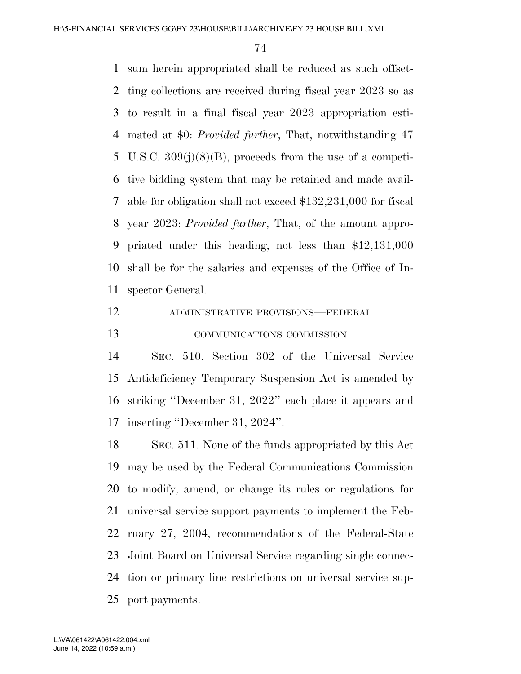sum herein appropriated shall be reduced as such offset- ting collections are received during fiscal year 2023 so as to result in a final fiscal year 2023 appropriation esti- mated at \$0: *Provided further*, That, notwithstanding 47 U.S.C. 309(j)(8)(B), proceeds from the use of a competi- tive bidding system that may be retained and made avail- able for obligation shall not exceed \$132,231,000 for fiscal year 2023: *Provided further*, That, of the amount appro- priated under this heading, not less than \$12,131,000 shall be for the salaries and expenses of the Office of In-spector General.

# ADMINISTRATIVE PROVISIONS—FEDERAL

# COMMUNICATIONS COMMISSION

 SEC. 510. Section 302 of the Universal Service Antideficiency Temporary Suspension Act is amended by striking ''December 31, 2022'' each place it appears and inserting ''December 31, 2024''.

 SEC. 511. None of the funds appropriated by this Act may be used by the Federal Communications Commission to modify, amend, or change its rules or regulations for universal service support payments to implement the Feb- ruary 27, 2004, recommendations of the Federal-State Joint Board on Universal Service regarding single connec- tion or primary line restrictions on universal service sup-port payments.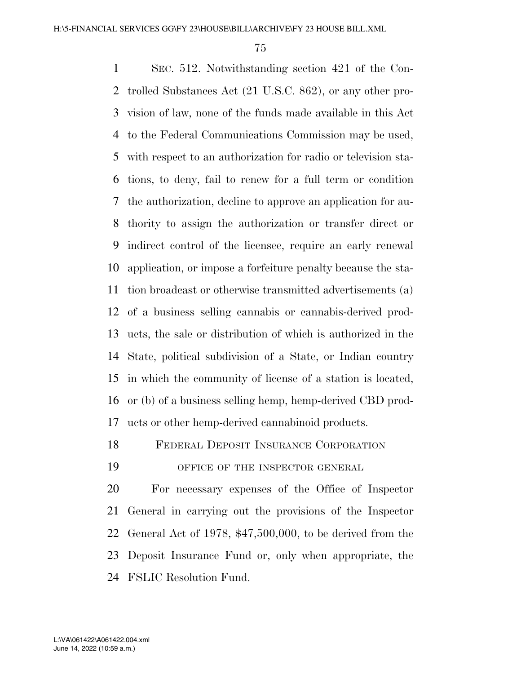SEC. 512. Notwithstanding section 421 of the Con- trolled Substances Act (21 U.S.C. 862), or any other pro- vision of law, none of the funds made available in this Act to the Federal Communications Commission may be used, with respect to an authorization for radio or television sta- tions, to deny, fail to renew for a full term or condition the authorization, decline to approve an application for au- thority to assign the authorization or transfer direct or indirect control of the licensee, require an early renewal application, or impose a forfeiture penalty because the sta- tion broadcast or otherwise transmitted advertisements (a) of a business selling cannabis or cannabis-derived prod- ucts, the sale or distribution of which is authorized in the State, political subdivision of a State, or Indian country in which the community of license of a station is located, or (b) of a business selling hemp, hemp-derived CBD prod-ucts or other hemp-derived cannabinoid products.

FEDERAL DEPOSIT INSURANCE CORPORATION

19 OFFICE OF THE INSPECTOR GENERAL

 For necessary expenses of the Office of Inspector General in carrying out the provisions of the Inspector General Act of 1978, \$47,500,000, to be derived from the Deposit Insurance Fund or, only when appropriate, the FSLIC Resolution Fund.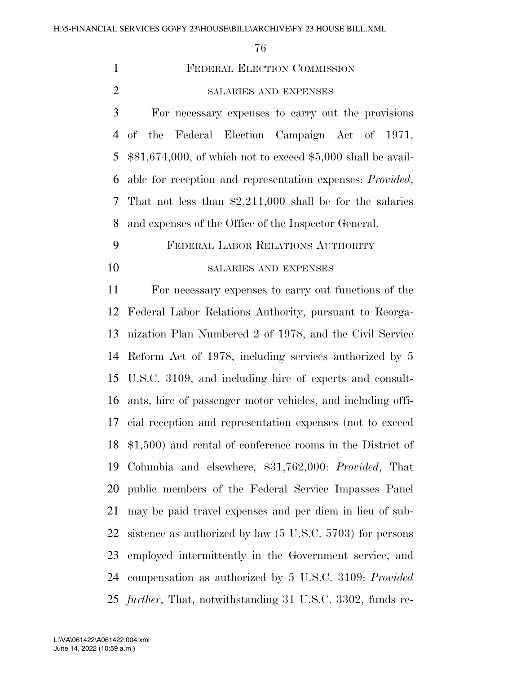| $\mathbf{1}$   | FEDERAL ELECTION COMMISSION                                          |
|----------------|----------------------------------------------------------------------|
| $\mathbf{2}$   | SALARIES AND EXPENSES                                                |
| 3              | For necessary expenses to carry out the provisions                   |
| $\overline{4}$ | Federal Election Campaign Act of 1971,<br>of the                     |
| 5              | $$81,674,000$ , of which not to exceed \$5,000 shall be avail-       |
| 6              | able for reception and representation expenses: <i>Provided</i> ,    |
| 7              | That not less than $\text{$2,211,000}$ shall be for the salaries     |
| 8              | and expenses of the Office of the Inspector General.                 |
| 9              | FEDERAL LABOR RELATIONS AUTHORITY                                    |
| 10             | SALARIES AND EXPENSES                                                |
| 11             | For necessary expenses to carry out functions of the                 |
| 12             | Federal Labor Relations Authority, pursuant to Reorga-               |
| 13             | nization Plan Numbered 2 of 1978, and the Civil Service              |
| 14             | Reform Act of 1978, including services authorized by 5               |
| 15             | U.S.C. 3109, and including hire of experts and consult-              |
| 16             | ants, hire of passenger motor vehicles, and including offi-          |
| 17             | cial reception and representation expenses (not to exceed            |
| 18             | $$1,500$ and rental of conference rooms in the District of           |
| 19             | Columbia and elsewhere, \$31,762,000: Provided, That                 |
| 20             | public members of the Federal Service Impasses Panel                 |
| 21             | may be paid travel expenses and per diem in lieu of sub-             |
| 22             | sistence as authorized by law $(5 \text{ U.S.C. } 5703)$ for persons |
| 23             | employed intermittently in the Government service, and               |
| 24             | compensation as authorized by 5 U.S.C. 3109: Provided                |
|                | 25 <i>further</i> , That, notwithstanding 31 U.S.C. 3302, funds re-  |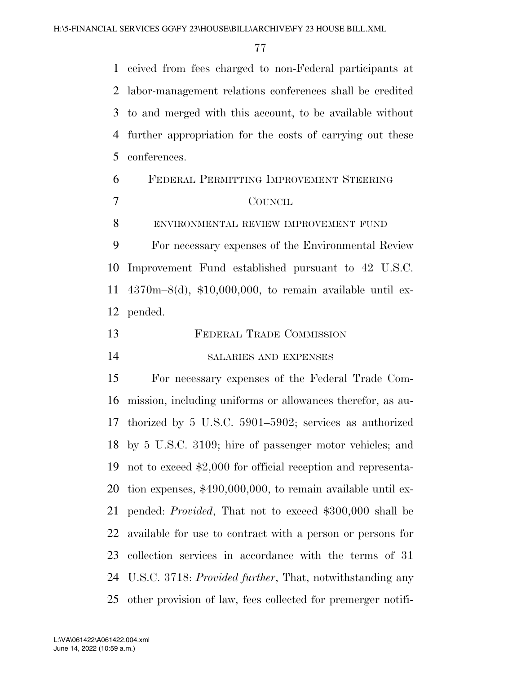ceived from fees charged to non-Federal participants at labor-management relations conferences shall be credited to and merged with this account, to be available without further appropriation for the costs of carrying out these conferences.

| 6 | FEDERAL PERMITTING IMPROVEMENT STEERING |
|---|-----------------------------------------|
|   | <b>COUNCIL</b>                          |
|   | ENVIRONMENTAL REVIEW IMPROVEMENT FUND   |

 For necessary expenses of the Environmental Review Improvement Fund established pursuant to 42 U.S.C. 4370m–8(d), \$10,000,000, to remain available until ex-pended.

FEDERAL TRADE COMMISSION

SALARIES AND EXPENSES

 For necessary expenses of the Federal Trade Com- mission, including uniforms or allowances therefor, as au- thorized by 5 U.S.C. 5901–5902; services as authorized by 5 U.S.C. 3109; hire of passenger motor vehicles; and not to exceed \$2,000 for official reception and representa- tion expenses, \$490,000,000, to remain available until ex- pended: *Provided*, That not to exceed \$300,000 shall be available for use to contract with a person or persons for collection services in accordance with the terms of 31 U.S.C. 3718: *Provided further*, That, notwithstanding any other provision of law, fees collected for premerger notifi-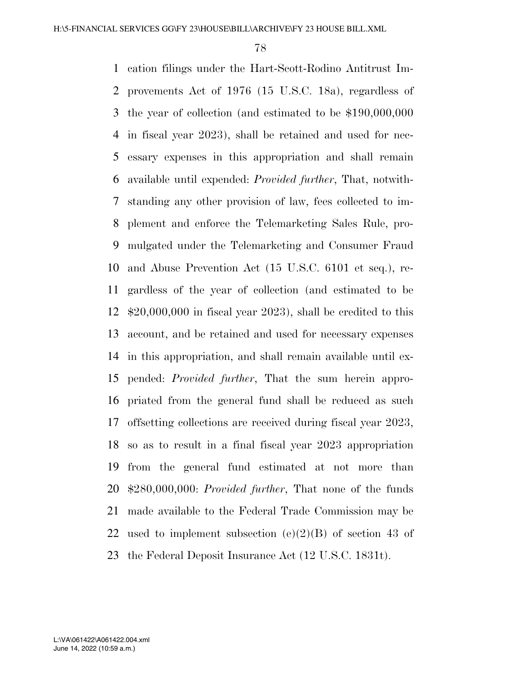cation filings under the Hart-Scott-Rodino Antitrust Im- provements Act of 1976 (15 U.S.C. 18a), regardless of the year of collection (and estimated to be \$190,000,000 in fiscal year 2023), shall be retained and used for nec- essary expenses in this appropriation and shall remain available until expended: *Provided further*, That, notwith- standing any other provision of law, fees collected to im- plement and enforce the Telemarketing Sales Rule, pro- mulgated under the Telemarketing and Consumer Fraud and Abuse Prevention Act (15 U.S.C. 6101 et seq.), re- gardless of the year of collection (and estimated to be \$20,000,000 in fiscal year 2023), shall be credited to this account, and be retained and used for necessary expenses in this appropriation, and shall remain available until ex- pended: *Provided further*, That the sum herein appro- priated from the general fund shall be reduced as such offsetting collections are received during fiscal year 2023, so as to result in a final fiscal year 2023 appropriation from the general fund estimated at not more than \$280,000,000: *Provided further*, That none of the funds made available to the Federal Trade Commission may be 22 used to implement subsection  $(e)(2)(B)$  of section 43 of the Federal Deposit Insurance Act (12 U.S.C. 1831t).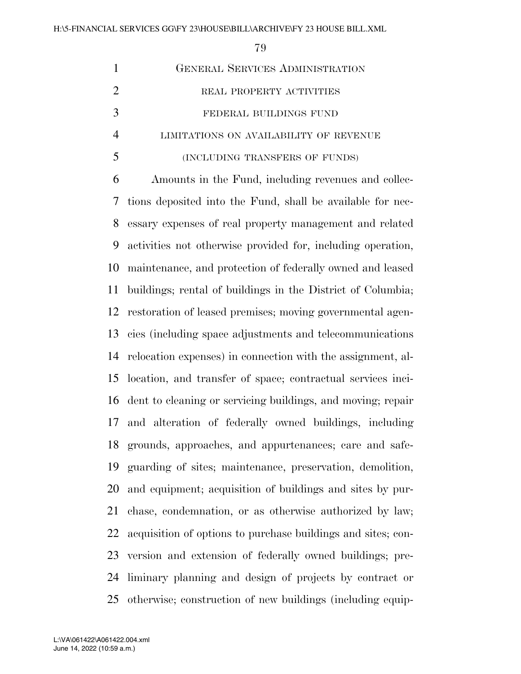|                | 79                                                          |
|----------------|-------------------------------------------------------------|
| $\mathbf{1}$   | <b>GENERAL SERVICES ADMINISTRATION</b>                      |
| $\overline{2}$ | REAL PROPERTY ACTIVITIES                                    |
| 3              | FEDERAL BUILDINGS FUND                                      |
| $\overline{4}$ | LIMITATIONS ON AVAILABILITY OF REVENUE                      |
| 5              | (INCLUDING TRANSFERS OF FUNDS)                              |
| 6              | Amounts in the Fund, including revenues and collec-         |
| 7              | tions deposited into the Fund, shall be available for nec-  |
| 8              | essary expenses of real property management and related     |
| 9              | activities not otherwise provided for, including operation, |
| 10             | maintenance, and protection of federally owned and leased   |
| 11             | buildings; rental of buildings in the District of Columbia; |
| 12             | restoration of leased premises; moving governmental agen-   |
| 13             | cies (including space adjustments and telecommunications)   |
| 14             | relocation expenses) in connection with the assignment, al- |
| 15             | location, and transfer of space; contractual services inci- |
| 16             | dent to cleaning or servicing buildings, and moving; repair |
| 17             | and alteration of federally owned buildings, including      |
| 18             | grounds, approaches, and appurtenances; care and safe-      |
| 19             | guarding of sites; maintenance, preservation, demolition,   |

and equipment; acquisition of buildings and sites by pur-

chase, condemnation, or as otherwise authorized by law;

acquisition of options to purchase buildings and sites; con-

version and extension of federally owned buildings; pre-

liminary planning and design of projects by contract or

otherwise; construction of new buildings (including equip-

June 14, 2022 (10:59 a.m.) L:\VA\061422\A061422.004.xml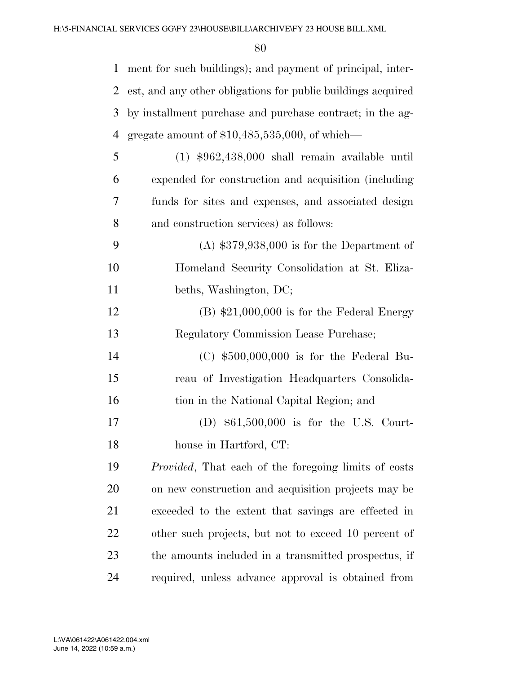| $\mathbf{1}$ | ment for such buildings); and payment of principal, inter-   |
|--------------|--------------------------------------------------------------|
| 2            | est, and any other obligations for public buildings acquired |
| 3            | by installment purchase and purchase contract; in the ag-    |
| 4            | gregate amount of $$10,485,535,000$ , of which—              |
| 5            | $(1)$ \$962,438,000 shall remain available until             |
| 6            | expended for construction and acquisition (including         |
| 7            | funds for sites and expenses, and associated design          |
| 8            | and construction services) as follows:                       |
| 9            | $(A)$ \$379,938,000 is for the Department of                 |
| 10           | Homeland Security Consolidation at St. Eliza-                |
| 11           | beths, Washington, DC;                                       |
| 12           | $(B)$ \$21,000,000 is for the Federal Energy                 |
| 13           | Regulatory Commission Lease Purchase;                        |
| 14           | $(C)$ \$500,000,000 is for the Federal Bu-                   |
| 15           | reau of Investigation Headquarters Consolida-                |
| 16           | tion in the National Capital Region; and                     |
| 17           | (D) $$61,500,000$ is for the U.S. Court-                     |
| 18           | house in Hartford, CT:                                       |
| 19           | <i>Provided</i> , That each of the foregoing limits of costs |
| 20           | on new construction and acquisition projects may be          |
| 21           | exceeded to the extent that savings are effected in          |
| 22           | other such projects, but not to exceed 10 percent of         |
| 23           | the amounts included in a transmitted prospectus, if         |
| 24           | required, unless advance approval is obtained from           |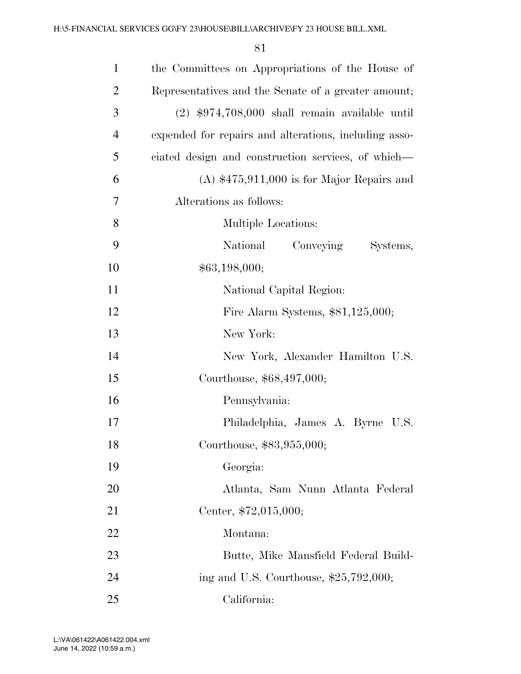| $\mathbf{1}$   | the Committees on Appropriations of the House of      |
|----------------|-------------------------------------------------------|
| $\overline{2}$ | Representatives and the Senate of a greater amount;   |
| 3              | $(2)$ \$974,708,000 shall remain available until      |
| $\overline{4}$ | expended for repairs and alterations, including asso- |
| 5              | ciated design and construction services, of which—    |
| 6              | $(A)$ \$475,911,000 is for Major Repairs and          |
| 7              | Alterations as follows:                               |
| 8              | Multiple Locations:                                   |
| 9              | National<br>Conveying<br>Systems,                     |
| 10             | \$63,198,000;                                         |
| 11             | National Capital Region:                              |
| 12             | Fire Alarm Systems, $$81,125,000;$                    |
| 13             | New York:                                             |
| 14             | New York, Alexander Hamilton U.S.                     |
| 15             | Courthouse, \$68,497,000;                             |
| 16             | Pennsylvania:                                         |
| 17             | Philadelphia, James A. Byrne U.S.                     |
| 18             | Courthouse, \$83,955,000;                             |
| 19             | Georgia:                                              |
| 20             | Atlanta, Sam Nunn Atlanta Federal                     |
| 21             | Center, \$72,015,000;                                 |
| 22             | Montana:                                              |
| 23             | Butte, Mike Mansfield Federal Build-                  |
| 24             | ing and U.S. Courthouse, $$25,792,000;$               |
| 25             | California:                                           |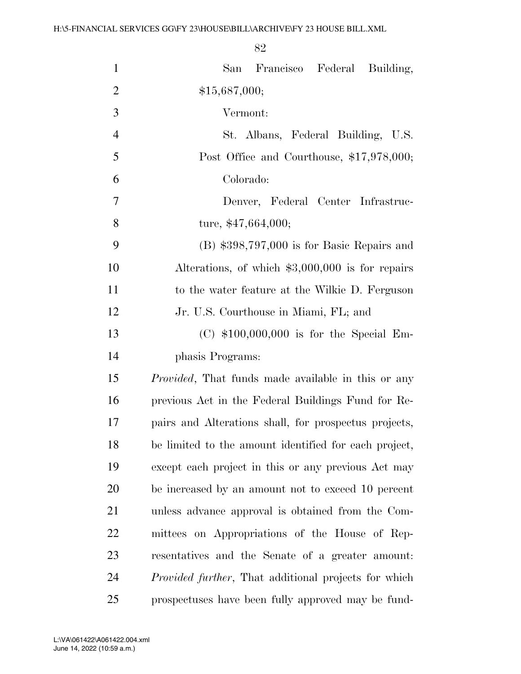| $\mathbf{1}$   | San Francisco Federal Building,                              |
|----------------|--------------------------------------------------------------|
| $\overline{2}$ | \$15,687,000;                                                |
| 3              | Vermont:                                                     |
| $\overline{4}$ | St. Albans, Federal Building, U.S.                           |
| 5              | Post Office and Courthouse, \$17,978,000;                    |
| 6              | Colorado:                                                    |
| $\overline{7}$ | Denver, Federal Center Infrastruc-                           |
| 8              | ture, $$47,664,000;$                                         |
| 9              | $(B)$ \$398,797,000 is for Basic Repairs and                 |
| 10             | Alterations, of which $$3,000,000$ is for repairs            |
| 11             | to the water feature at the Wilkie D. Ferguson               |
| 12             | Jr. U.S. Courthouse in Miami, FL; and                        |
| 13             | $(C)$ \$100,000,000 is for the Special Em-                   |
| 14             | phasis Programs:                                             |
| 15             | <i>Provided</i> , That funds made available in this or any   |
| 16             | previous Act in the Federal Buildings Fund for Re-           |
| 17             | pairs and Alterations shall, for prospectus projects,        |
| 18             | be limited to the amount identified for each project,        |
| 19             | except each project in this or any previous Act may          |
| 20             | be increased by an amount not to exceed 10 percent           |
| 21             | unless advance approval is obtained from the Com-            |
| <u>22</u>      | mittees on Appropriations of the House of Rep-               |
| 23             | resentatives and the Senate of a greater amount:             |
| 24             | <i>Provided further</i> , That additional projects for which |
| 25             | prospectuses have been fully approved may be fund-           |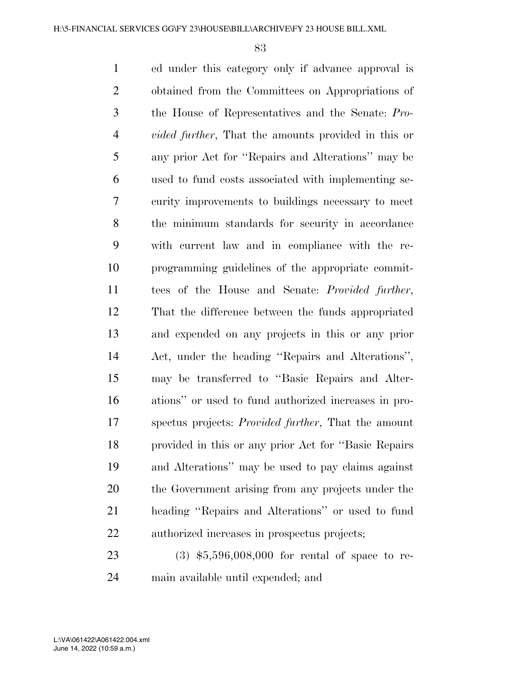ed under this category only if advance approval is obtained from the Committees on Appropriations of the House of Representatives and the Senate: *Pro- vided further*, That the amounts provided in this or any prior Act for ''Repairs and Alterations'' may be used to fund costs associated with implementing se- curity improvements to buildings necessary to meet the minimum standards for security in accordance with current law and in compliance with the re- programming guidelines of the appropriate commit- tees of the House and Senate: *Provided further*, That the difference between the funds appropriated and expended on any projects in this or any prior Act, under the heading ''Repairs and Alterations'', may be transferred to ''Basic Repairs and Alter- ations'' or used to fund authorized increases in pro- spectus projects: *Provided further*, That the amount provided in this or any prior Act for ''Basic Repairs and Alterations'' may be used to pay claims against the Government arising from any projects under the heading ''Repairs and Alterations'' or used to fund authorized increases in prospectus projects;

 (3) \$5,596,008,000 for rental of space to re-main available until expended; and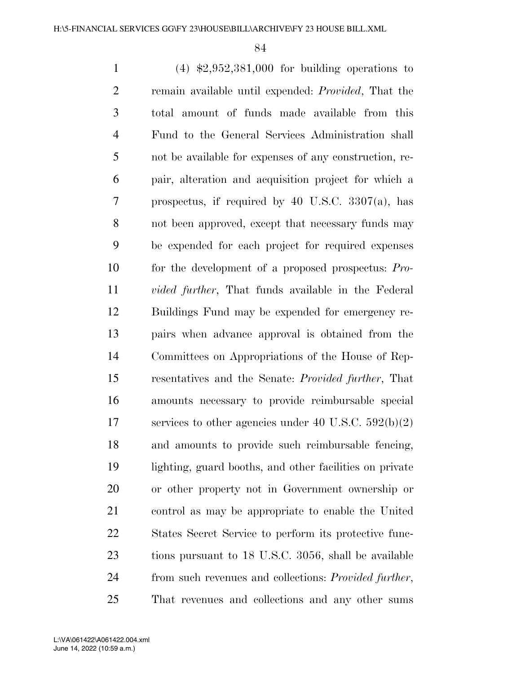(4) \$2,952,381,000 for building operations to remain available until expended: *Provided*, That the total amount of funds made available from this Fund to the General Services Administration shall not be available for expenses of any construction, re- pair, alteration and acquisition project for which a prospectus, if required by 40 U.S.C. 3307(a), has not been approved, except that necessary funds may be expended for each project for required expenses for the development of a proposed prospectus: *Pro- vided further*, That funds available in the Federal Buildings Fund may be expended for emergency re- pairs when advance approval is obtained from the Committees on Appropriations of the House of Rep- resentatives and the Senate: *Provided further*, That amounts necessary to provide reimbursable special services to other agencies under 40 U.S.C. 592(b)(2) and amounts to provide such reimbursable fencing, lighting, guard booths, and other facilities on private or other property not in Government ownership or control as may be appropriate to enable the United States Secret Service to perform its protective func- tions pursuant to 18 U.S.C. 3056, shall be available from such revenues and collections: *Provided further*, That revenues and collections and any other sums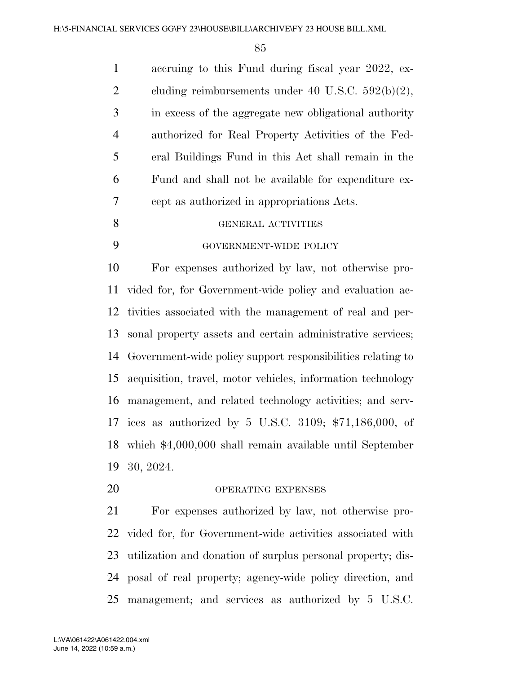| $\mathbf{1}$   | accruing to this Fund during fiscal year 2022, ex-    |
|----------------|-------------------------------------------------------|
| 2              | cluding reimbursements under 40 U.S.C. $592(b)(2)$ ,  |
| 3              | in excess of the aggregate new obligational authority |
| $\overline{4}$ | authorized for Real Property Activities of the Fed-   |
| 5              | eral Buildings Fund in this Act shall remain in the   |
| 6              | Fund and shall not be available for expenditure ex-   |
| 7              | cept as authorized in appropriations Acts.            |
| 8              | GENERAL ACTIVITIES                                    |
| 9              | GOVERNMENT-WIDE POLICY                                |
|                |                                                       |

 For expenses authorized by law, not otherwise pro- vided for, for Government-wide policy and evaluation ac- tivities associated with the management of real and per- sonal property assets and certain administrative services; Government-wide policy support responsibilities relating to acquisition, travel, motor vehicles, information technology management, and related technology activities; and serv- ices as authorized by 5 U.S.C. 3109; \$71,186,000, of which \$4,000,000 shall remain available until September 30, 2024.

20 OPERATING EXPENSES

 For expenses authorized by law, not otherwise pro- vided for, for Government-wide activities associated with utilization and donation of surplus personal property; dis- posal of real property; agency-wide policy direction, and management; and services as authorized by 5 U.S.C.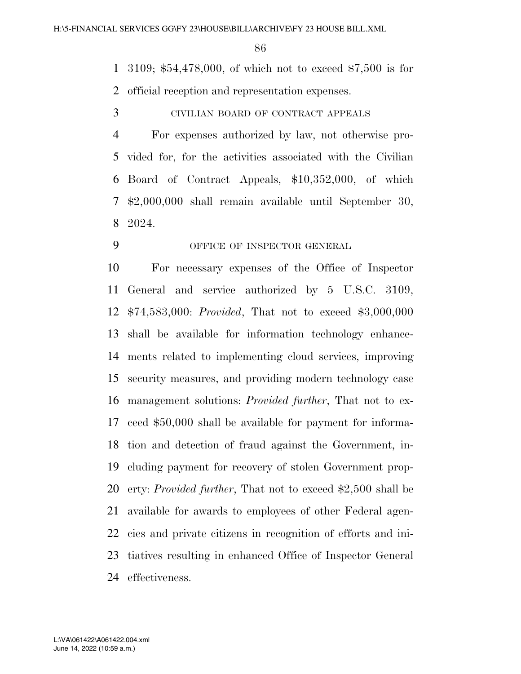3109; \$54,478,000, of which not to exceed \$7,500 is for official reception and representation expenses.

CIVILIAN BOARD OF CONTRACT APPEALS

 For expenses authorized by law, not otherwise pro- vided for, for the activities associated with the Civilian Board of Contract Appeals, \$10,352,000, of which \$2,000,000 shall remain available until September 30, 2024.

### OFFICE OF INSPECTOR GENERAL

 For necessary expenses of the Office of Inspector General and service authorized by 5 U.S.C. 3109, \$74,583,000: *Provided*, That not to exceed \$3,000,000 shall be available for information technology enhance- ments related to implementing cloud services, improving security measures, and providing modern technology case management solutions: *Provided further*, That not to ex- ceed \$50,000 shall be available for payment for informa- tion and detection of fraud against the Government, in- cluding payment for recovery of stolen Government prop- erty: *Provided further*, That not to exceed \$2,500 shall be available for awards to employees of other Federal agen- cies and private citizens in recognition of efforts and ini- tiatives resulting in enhanced Office of Inspector General effectiveness.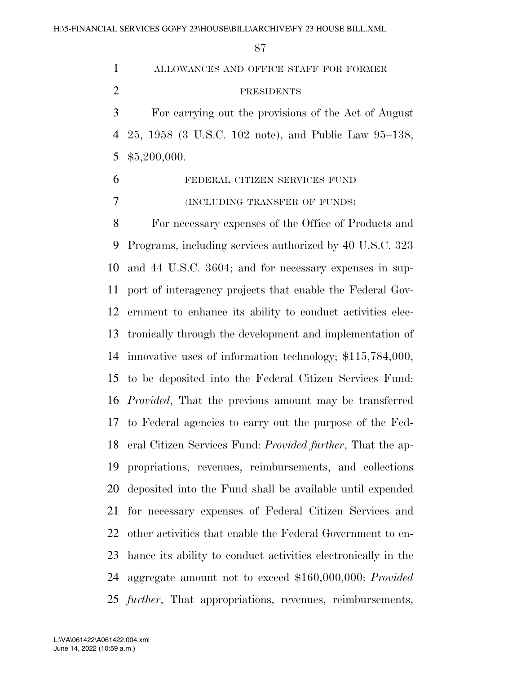ALLOWANCES AND OFFICE STAFF FOR FORMER PRESIDENTS For carrying out the provisions of the Act of August 25, 1958 (3 U.S.C. 102 note), and Public Law 95–138, \$5,200,000. FEDERAL CITIZEN SERVICES FUND (INCLUDING TRANSFER OF FUNDS) For necessary expenses of the Office of Products and Programs, including services authorized by 40 U.S.C. 323 and 44 U.S.C. 3604; and for necessary expenses in sup- port of interagency projects that enable the Federal Gov- ernment to enhance its ability to conduct activities elec- tronically through the development and implementation of innovative uses of information technology; \$115,784,000, to be deposited into the Federal Citizen Services Fund:

 *Provided*, That the previous amount may be transferred to Federal agencies to carry out the purpose of the Fed- eral Citizen Services Fund: *Provided further*, That the ap- propriations, revenues, reimbursements, and collections deposited into the Fund shall be available until expended for necessary expenses of Federal Citizen Services and other activities that enable the Federal Government to en- hance its ability to conduct activities electronically in the aggregate amount not to exceed \$160,000,000: *Provided further*, That appropriations, revenues, reimbursements,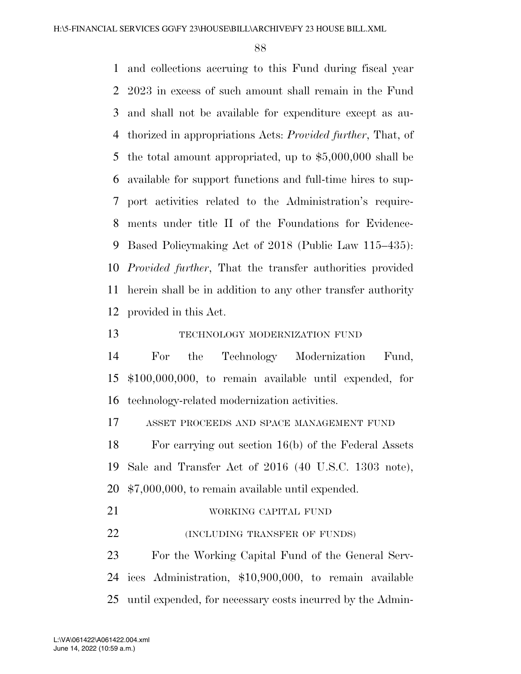and collections accruing to this Fund during fiscal year 2023 in excess of such amount shall remain in the Fund and shall not be available for expenditure except as au- thorized in appropriations Acts: *Provided further*, That, of the total amount appropriated, up to \$5,000,000 shall be available for support functions and full-time hires to sup- port activities related to the Administration's require- ments under title II of the Foundations for Evidence- Based Policymaking Act of 2018 (Public Law 115–435): *Provided further*, That the transfer authorities provided herein shall be in addition to any other transfer authority provided in this Act.

TECHNOLOGY MODERNIZATION FUND

 For the Technology Modernization Fund, \$100,000,000, to remain available until expended, for technology-related modernization activities.

ASSET PROCEEDS AND SPACE MANAGEMENT FUND

 For carrying out section 16(b) of the Federal Assets Sale and Transfer Act of 2016 (40 U.S.C. 1303 note), \$7,000,000, to remain available until expended.

21 WORKING CAPITAL FUND **(INCLUDING TRANSFER OF FUNDS)** 

 For the Working Capital Fund of the General Serv- ices Administration, \$10,900,000, to remain available until expended, for necessary costs incurred by the Admin-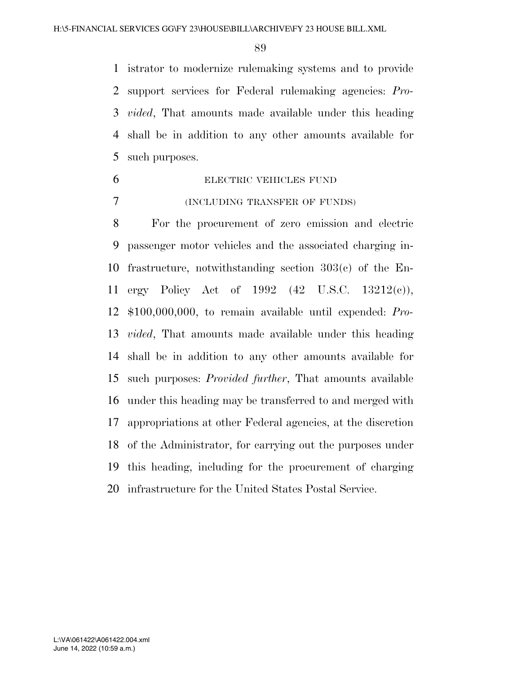istrator to modernize rulemaking systems and to provide support services for Federal rulemaking agencies: *Pro- vided*, That amounts made available under this heading shall be in addition to any other amounts available for such purposes.

 ELECTRIC VEHICLES FUND (INCLUDING TRANSFER OF FUNDS)

 For the procurement of zero emission and electric passenger motor vehicles and the associated charging in- frastructure, notwithstanding section 303(c) of the En- ergy Policy Act of 1992 (42 U.S.C. 13212(c)), \$100,000,000, to remain available until expended: *Pro- vided*, That amounts made available under this heading shall be in addition to any other amounts available for such purposes: *Provided further*, That amounts available under this heading may be transferred to and merged with appropriations at other Federal agencies, at the discretion of the Administrator, for carrying out the purposes under this heading, including for the procurement of charging infrastructure for the United States Postal Service.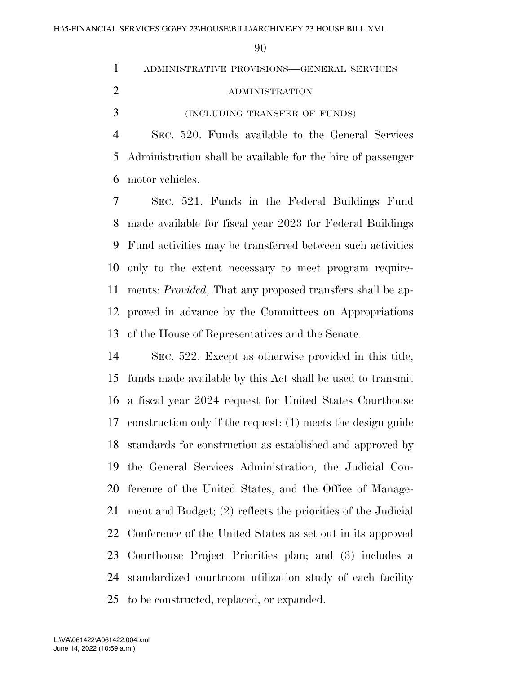| $\mathbf{1}$   | ADMINISTRATIVE PROVISIONS-GENERAL SERVICES                    |
|----------------|---------------------------------------------------------------|
| 2              | ADMINISTRATION                                                |
| 3              | (INCLUDING TRANSFER OF FUNDS)                                 |
| $\overline{4}$ | SEC. 520. Funds available to the General Services             |
|                | 5 Administration shall be available for the hire of passenger |
| 6              | motor vehicles.                                               |
| 7              | SEC. 521. Funds in the Federal Buildings Fund                 |
|                | 8 made available for fiscal year 2023 for Federal Buildings   |

 Fund activities may be transferred between such activities only to the extent necessary to meet program require- ments: *Provided*, That any proposed transfers shall be ap- proved in advance by the Committees on Appropriations of the House of Representatives and the Senate.

 SEC. 522. Except as otherwise provided in this title, funds made available by this Act shall be used to transmit a fiscal year 2024 request for United States Courthouse construction only if the request: (1) meets the design guide standards for construction as established and approved by the General Services Administration, the Judicial Con- ference of the United States, and the Office of Manage- ment and Budget; (2) reflects the priorities of the Judicial Conference of the United States as set out in its approved Courthouse Project Priorities plan; and (3) includes a standardized courtroom utilization study of each facility to be constructed, replaced, or expanded.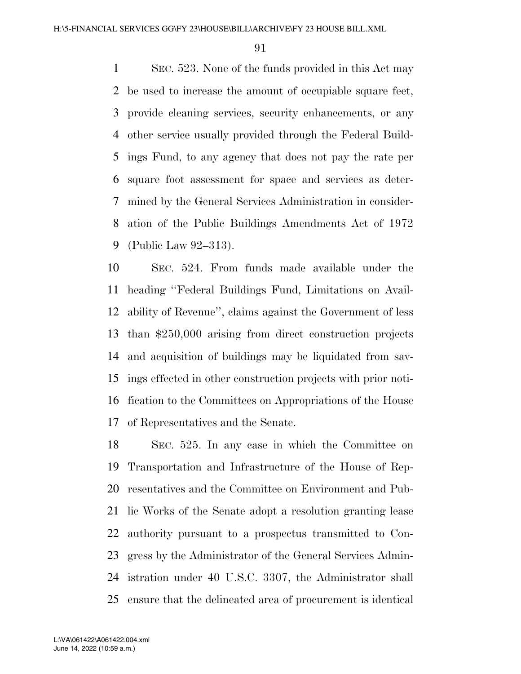SEC. 523. None of the funds provided in this Act may be used to increase the amount of occupiable square feet, provide cleaning services, security enhancements, or any other service usually provided through the Federal Build- ings Fund, to any agency that does not pay the rate per square foot assessment for space and services as deter- mined by the General Services Administration in consider- ation of the Public Buildings Amendments Act of 1972 (Public Law 92–313).

 SEC. 524. From funds made available under the heading ''Federal Buildings Fund, Limitations on Avail- ability of Revenue'', claims against the Government of less than \$250,000 arising from direct construction projects and acquisition of buildings may be liquidated from sav- ings effected in other construction projects with prior noti- fication to the Committees on Appropriations of the House of Representatives and the Senate.

 SEC. 525. In any case in which the Committee on Transportation and Infrastructure of the House of Rep- resentatives and the Committee on Environment and Pub- lic Works of the Senate adopt a resolution granting lease authority pursuant to a prospectus transmitted to Con- gress by the Administrator of the General Services Admin- istration under 40 U.S.C. 3307, the Administrator shall ensure that the delineated area of procurement is identical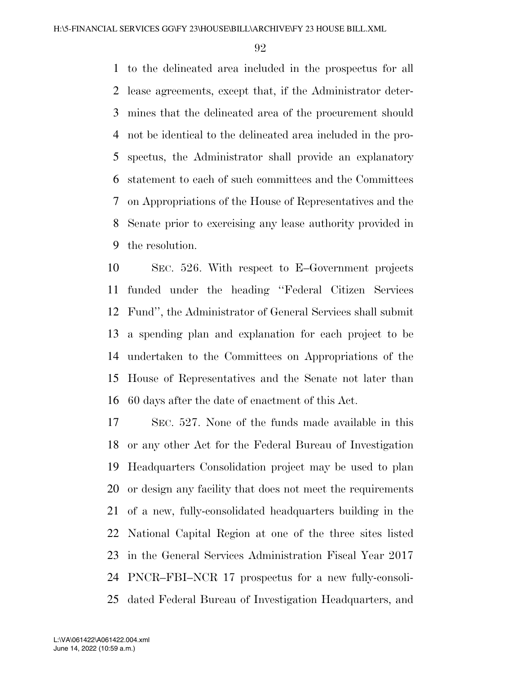to the delineated area included in the prospectus for all lease agreements, except that, if the Administrator deter- mines that the delineated area of the procurement should not be identical to the delineated area included in the pro- spectus, the Administrator shall provide an explanatory statement to each of such committees and the Committees on Appropriations of the House of Representatives and the Senate prior to exercising any lease authority provided in the resolution.

 SEC. 526. With respect to E–Government projects funded under the heading ''Federal Citizen Services Fund'', the Administrator of General Services shall submit a spending plan and explanation for each project to be undertaken to the Committees on Appropriations of the House of Representatives and the Senate not later than 60 days after the date of enactment of this Act.

 SEC. 527. None of the funds made available in this or any other Act for the Federal Bureau of Investigation Headquarters Consolidation project may be used to plan or design any facility that does not meet the requirements of a new, fully-consolidated headquarters building in the National Capital Region at one of the three sites listed in the General Services Administration Fiscal Year 2017 PNCR–FBI–NCR 17 prospectus for a new fully-consoli-dated Federal Bureau of Investigation Headquarters, and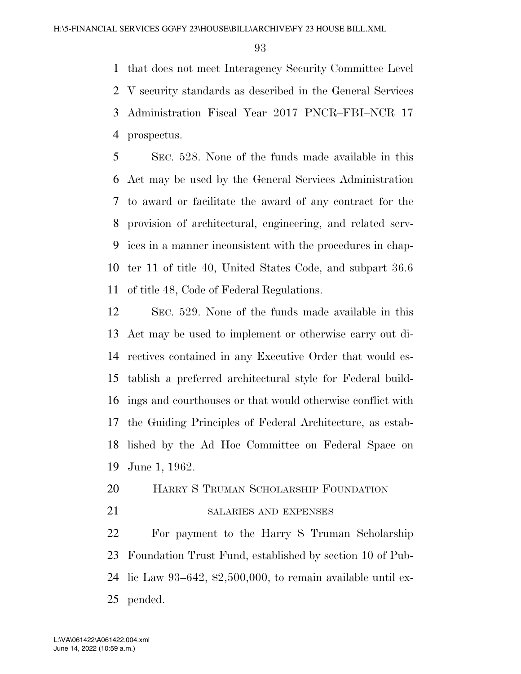that does not meet Interagency Security Committee Level V security standards as described in the General Services Administration Fiscal Year 2017 PNCR–FBI–NCR 17 prospectus.

 SEC. 528. None of the funds made available in this Act may be used by the General Services Administration to award or facilitate the award of any contract for the provision of architectural, engineering, and related serv- ices in a manner inconsistent with the procedures in chap- ter 11 of title 40, United States Code, and subpart 36.6 of title 48, Code of Federal Regulations.

 SEC. 529. None of the funds made available in this Act may be used to implement or otherwise carry out di- rectives contained in any Executive Order that would es- tablish a preferred architectural style for Federal build- ings and courthouses or that would otherwise conflict with the Guiding Principles of Federal Architecture, as estab- lished by the Ad Hoc Committee on Federal Space on June 1, 1962.

- HARRY S TRUMAN SCHOLARSHIP FOUNDATION
	-

# 21 SALARIES AND EXPENSES

 For payment to the Harry S Truman Scholarship Foundation Trust Fund, established by section 10 of Pub- lic Law 93–642, \$2,500,000, to remain available until ex-pended.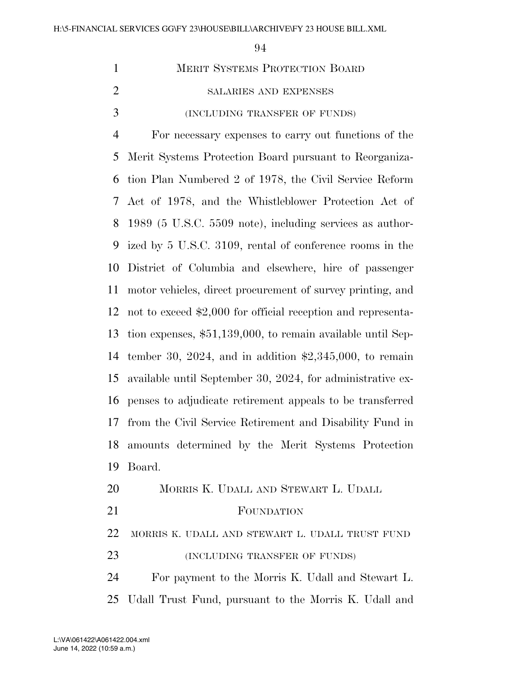| $\mathbf{1}$   | MERIT SYSTEMS PROTECTION BOARD                               |
|----------------|--------------------------------------------------------------|
| $\overline{2}$ | SALARIES AND EXPENSES                                        |
| 3              | (INCLUDING TRANSFER OF FUNDS)                                |
| $\overline{4}$ | For necessary expenses to carry out functions of the         |
| 5              | Merit Systems Protection Board pursuant to Reorganiza-       |
| 6              | tion Plan Numbered 2 of 1978, the Civil Service Reform       |
| 7              | Act of 1978, and the Whistleblower Protection Act of         |
| 8              | 1989 (5 U.S.C. 5509 note), including services as author-     |
| 9              | ized by 5 U.S.C. 3109, rental of conference rooms in the     |
| 10             | District of Columbia and elsewhere, hire of passenger        |
| 11             | motor vehicles, direct procurement of survey printing, and   |
| 12             | not to exceed \$2,000 for official reception and representa- |
| 13             | tion expenses, \$51,139,000, to remain available until Sep-  |
| 14             | tember 30, 2024, and in addition $$2,345,000$ , to remain    |
| 15             | available until September 30, 2024, for administrative ex-   |
| 16             | penses to adjudicate retirement appeals to be transferred    |
| 17             | from the Civil Service Retirement and Disability Fund in     |
|                | 18 amounts determined by the Merit Systems Protection        |
| 19             | Board.                                                       |
| 20             | MORRIS K. UDALL AND STEWART L. UDALL                         |
| 21             | FOUNDATION                                                   |
| <u>22</u>      | MORRIS K. UDALL AND STEWART L. UDALL TRUST FUND              |
| 23             | (INCLUDING TRANSFER OF FUNDS)                                |
| 24             | For payment to the Morris K. Udall and Stewart L.            |
| 25             | Udall Trust Fund, pursuant to the Morris K. Udall and        |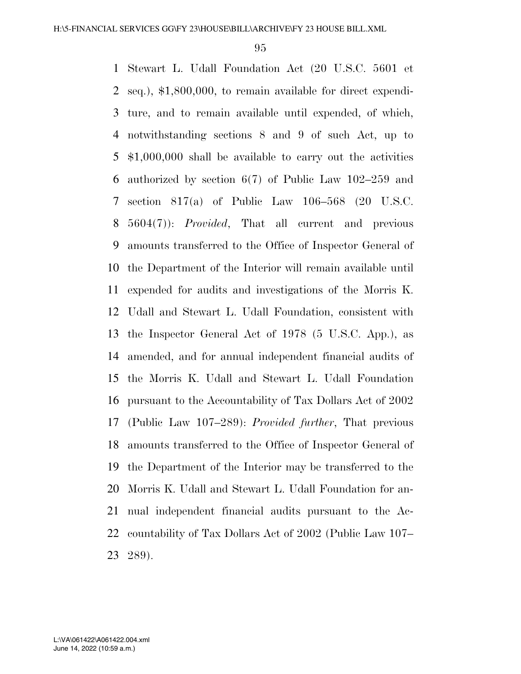Stewart L. Udall Foundation Act (20 U.S.C. 5601 et seq.), \$1,800,000, to remain available for direct expendi- ture, and to remain available until expended, of which, notwithstanding sections 8 and 9 of such Act, up to \$1,000,000 shall be available to carry out the activities authorized by section 6(7) of Public Law 102–259 and section 817(a) of Public Law 106–568 (20 U.S.C. 5604(7)): *Provided*, That all current and previous amounts transferred to the Office of Inspector General of the Department of the Interior will remain available until expended for audits and investigations of the Morris K. Udall and Stewart L. Udall Foundation, consistent with the Inspector General Act of 1978 (5 U.S.C. App.), as amended, and for annual independent financial audits of the Morris K. Udall and Stewart L. Udall Foundation pursuant to the Accountability of Tax Dollars Act of 2002 (Public Law 107–289): *Provided further*, That previous amounts transferred to the Office of Inspector General of the Department of the Interior may be transferred to the Morris K. Udall and Stewart L. Udall Foundation for an- nual independent financial audits pursuant to the Ac- countability of Tax Dollars Act of 2002 (Public Law 107– 289).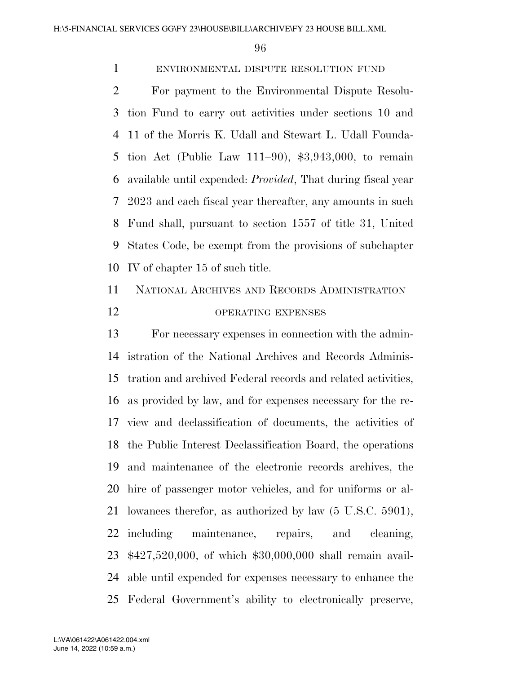# ENVIRONMENTAL DISPUTE RESOLUTION FUND

 For payment to the Environmental Dispute Resolu- tion Fund to carry out activities under sections 10 and 11 of the Morris K. Udall and Stewart L. Udall Founda- tion Act (Public Law 111–90), \$3,943,000, to remain available until expended: *Provided*, That during fiscal year 2023 and each fiscal year thereafter, any amounts in such Fund shall, pursuant to section 1557 of title 31, United States Code, be exempt from the provisions of subchapter IV of chapter 15 of such title.

 NATIONAL ARCHIVES AND RECORDS ADMINISTRATION 12 OPERATING EXPENSES

 For necessary expenses in connection with the admin- istration of the National Archives and Records Adminis- tration and archived Federal records and related activities, as provided by law, and for expenses necessary for the re- view and declassification of documents, the activities of the Public Interest Declassification Board, the operations and maintenance of the electronic records archives, the hire of passenger motor vehicles, and for uniforms or al- lowances therefor, as authorized by law (5 U.S.C. 5901), including maintenance, repairs, and cleaning, \$427,520,000, of which \$30,000,000 shall remain avail- able until expended for expenses necessary to enhance the Federal Government's ability to electronically preserve,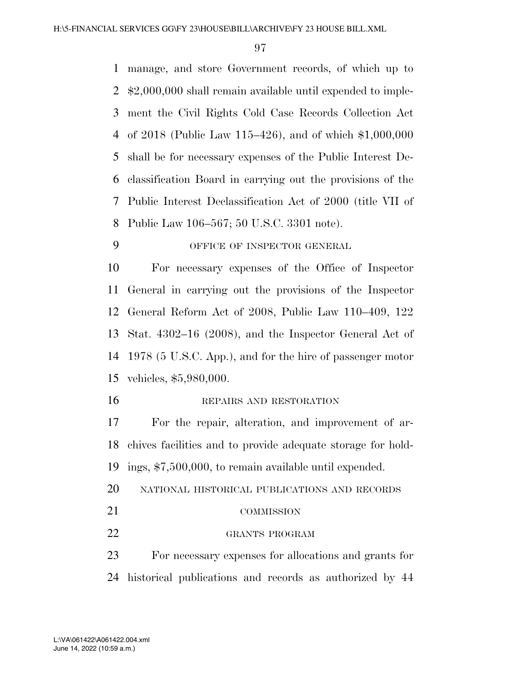manage, and store Government records, of which up to \$2,000,000 shall remain available until expended to imple- ment the Civil Rights Cold Case Records Collection Act of 2018 (Public Law 115–426), and of which \$1,000,000 shall be for necessary expenses of the Public Interest De- classification Board in carrying out the provisions of the Public Interest Declassification Act of 2000 (title VII of Public Law 106–567; 50 U.S.C. 3301 note).

OFFICE OF INSPECTOR GENERAL

 For necessary expenses of the Office of Inspector General in carrying out the provisions of the Inspector General Reform Act of 2008, Public Law 110–409, 122 Stat. 4302–16 (2008), and the Inspector General Act of 1978 (5 U.S.C. App.), and for the hire of passenger motor vehicles, \$5,980,000.

#### 16 REPAIRS AND RESTORATION

 For the repair, alteration, and improvement of ar- chives facilities and to provide adequate storage for hold-ings, \$7,500,000, to remain available until expended.

- NATIONAL HISTORICAL PUBLICATIONS AND RECORDS
- 21 COMMISSION

#### GRANTS PROGRAM

 For necessary expenses for allocations and grants for historical publications and records as authorized by 44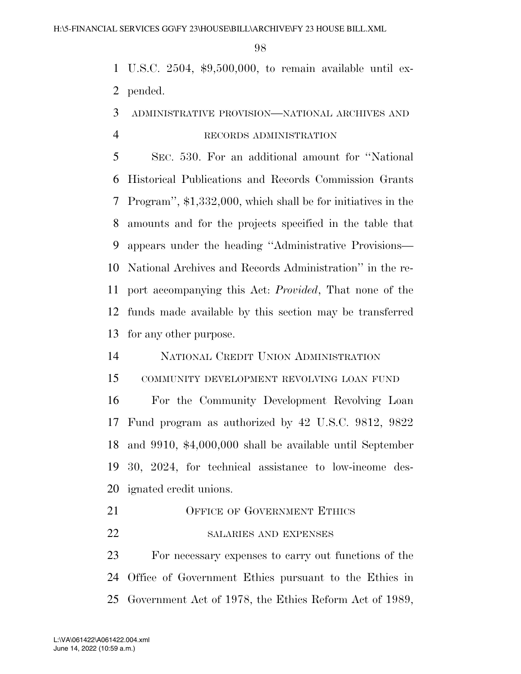U.S.C. 2504, \$9,500,000, to remain available until ex-pended.

# ADMINISTRATIVE PROVISION—NATIONAL ARCHIVES AND RECORDS ADMINISTRATION

 SEC. 530. For an additional amount for ''National Historical Publications and Records Commission Grants Program'', \$1,332,000, which shall be for initiatives in the amounts and for the projects specified in the table that appears under the heading ''Administrative Provisions— National Archives and Records Administration'' in the re- port accompanying this Act: *Provided*, That none of the funds made available by this section may be transferred for any other purpose.

## NATIONAL CREDIT UNION ADMINISTRATION

COMMUNITY DEVELOPMENT REVOLVING LOAN FUND

 For the Community Development Revolving Loan Fund program as authorized by 42 U.S.C. 9812, 9822 and 9910, \$4,000,000 shall be available until September 30, 2024, for technical assistance to low-income des-ignated credit unions.

- 21 OFFICE OF GOVERNMENT ETHICS
- 22 SALARIES AND EXPENSES

 For necessary expenses to carry out functions of the Office of Government Ethics pursuant to the Ethics in Government Act of 1978, the Ethics Reform Act of 1989,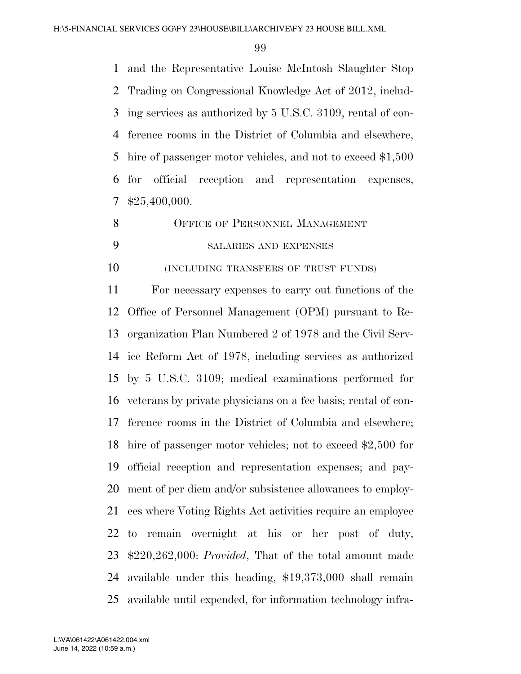and the Representative Louise McIntosh Slaughter Stop Trading on Congressional Knowledge Act of 2012, includ- ing services as authorized by 5 U.S.C. 3109, rental of con- ference rooms in the District of Columbia and elsewhere, hire of passenger motor vehicles, and not to exceed \$1,500 for official reception and representation expenses, \$25,400,000.

8 OFFICE OF PERSONNEL MANAGEMENT

# SALARIES AND EXPENSES

(INCLUDING TRANSFERS OF TRUST FUNDS)

 For necessary expenses to carry out functions of the Office of Personnel Management (OPM) pursuant to Re- organization Plan Numbered 2 of 1978 and the Civil Serv- ice Reform Act of 1978, including services as authorized by 5 U.S.C. 3109; medical examinations performed for veterans by private physicians on a fee basis; rental of con- ference rooms in the District of Columbia and elsewhere; hire of passenger motor vehicles; not to exceed \$2,500 for official reception and representation expenses; and pay- ment of per diem and/or subsistence allowances to employ- ees where Voting Rights Act activities require an employee to remain overnight at his or her post of duty, \$220,262,000: *Provided*, That of the total amount made available under this heading, \$19,373,000 shall remain available until expended, for information technology infra-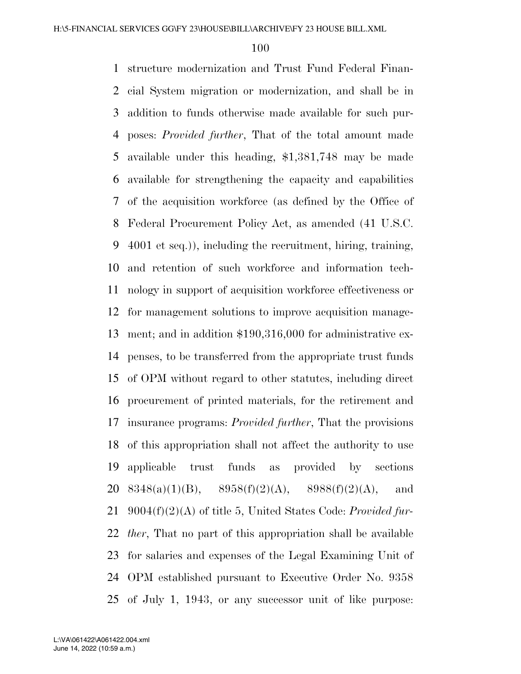structure modernization and Trust Fund Federal Finan- cial System migration or modernization, and shall be in addition to funds otherwise made available for such pur- poses: *Provided further*, That of the total amount made available under this heading, \$1,381,748 may be made available for strengthening the capacity and capabilities of the acquisition workforce (as defined by the Office of Federal Procurement Policy Act, as amended (41 U.S.C. 4001 et seq.)), including the recruitment, hiring, training, and retention of such workforce and information tech- nology in support of acquisition workforce effectiveness or for management solutions to improve acquisition manage- ment; and in addition \$190,316,000 for administrative ex- penses, to be transferred from the appropriate trust funds of OPM without regard to other statutes, including direct procurement of printed materials, for the retirement and insurance programs: *Provided further*, That the provisions of this appropriation shall not affect the authority to use applicable trust funds as provided by sections  $8348(a)(1)(B)$ ,  $8958(f)(2)(A)$ ,  $8988(f)(2)(A)$ , and 9004(f)(2)(A) of title 5, United States Code: *Provided fur- ther*, That no part of this appropriation shall be available for salaries and expenses of the Legal Examining Unit of OPM established pursuant to Executive Order No. 9358 of July 1, 1943, or any successor unit of like purpose: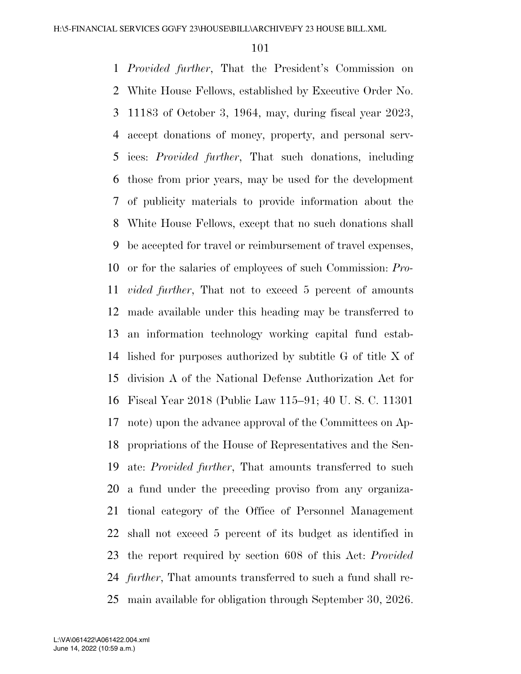*Provided further*, That the President's Commission on White House Fellows, established by Executive Order No. 11183 of October 3, 1964, may, during fiscal year 2023, accept donations of money, property, and personal serv- ices: *Provided further*, That such donations, including those from prior years, may be used for the development of publicity materials to provide information about the White House Fellows, except that no such donations shall be accepted for travel or reimbursement of travel expenses, or for the salaries of employees of such Commission: *Pro- vided further*, That not to exceed 5 percent of amounts made available under this heading may be transferred to an information technology working capital fund estab- lished for purposes authorized by subtitle G of title X of division A of the National Defense Authorization Act for Fiscal Year 2018 (Public Law 115–91; 40 U. S. C. 11301 note) upon the advance approval of the Committees on Ap- propriations of the House of Representatives and the Sen- ate: *Provided further*, That amounts transferred to such a fund under the preceding proviso from any organiza- tional category of the Office of Personnel Management shall not exceed 5 percent of its budget as identified in the report required by section 608 of this Act: *Provided further*, That amounts transferred to such a fund shall re-main available for obligation through September 30, 2026.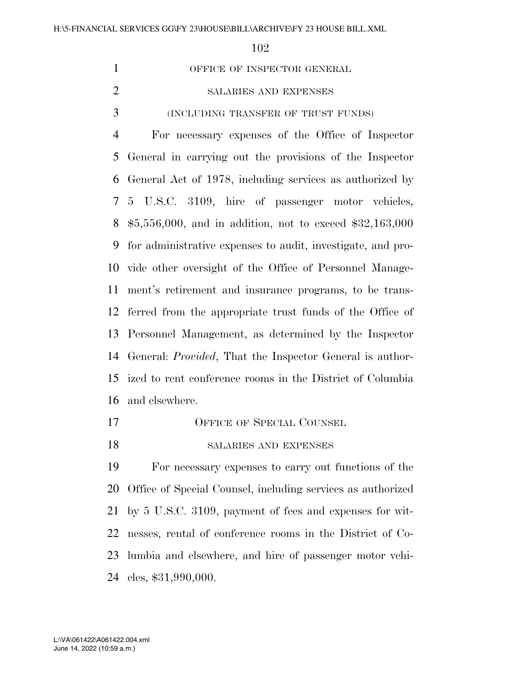1 OFFICE OF INSPECTOR GENERAL SALARIES AND EXPENSES (INCLUDING TRANSFER OF TRUST FUNDS) For necessary expenses of the Office of Inspector General in carrying out the provisions of the Inspector General Act of 1978, including services as authorized by 5 U.S.C. 3109, hire of passenger motor vehicles, \$5,556,000, and in addition, not to exceed \$32,163,000 for administrative expenses to audit, investigate, and pro- vide other oversight of the Office of Personnel Manage- ment's retirement and insurance programs, to be trans- ferred from the appropriate trust funds of the Office of Personnel Management, as determined by the Inspector General: *Provided*, That the Inspector General is author- ized to rent conference rooms in the District of Columbia and elsewhere.

17 OFFICE OF SPECIAL COUNSEL

#### 18 SALARIES AND EXPENSES

 For necessary expenses to carry out functions of the Office of Special Counsel, including services as authorized by 5 U.S.C. 3109, payment of fees and expenses for wit- nesses, rental of conference rooms in the District of Co- lumbia and elsewhere, and hire of passenger motor vehi-cles, \$31,990,000.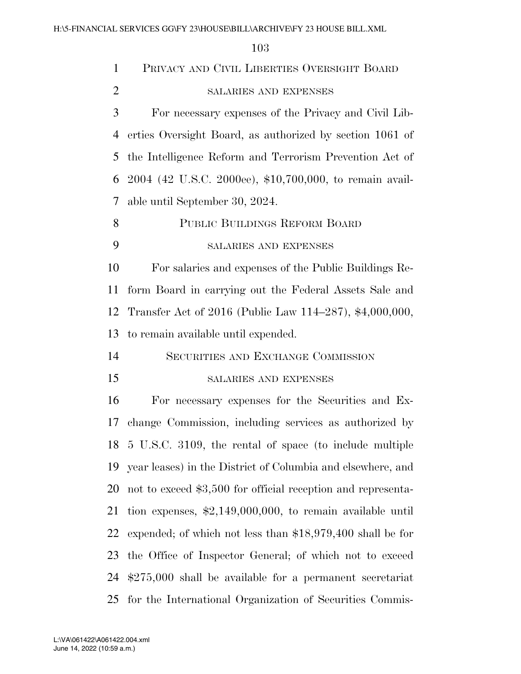| $\mathbf{1}$   | PRIVACY AND CIVIL LIBERTIES OVERSIGHT BOARD                        |
|----------------|--------------------------------------------------------------------|
| $\overline{2}$ | SALARIES AND EXPENSES                                              |
| 3              | For necessary expenses of the Privacy and Civil Lib-               |
| 4              | erties Oversight Board, as authorized by section 1061 of           |
| 5              | the Intelligence Reform and Terrorism Prevention Act of            |
| 6              | 2004 (42 U.S.C. 2000ee), \$10,700,000, to remain avail-            |
| 7              | able until September 30, 2024.                                     |
| 8              | PUBLIC BUILDINGS REFORM BOARD                                      |
| 9              | SALARIES AND EXPENSES                                              |
| 10             | For salaries and expenses of the Public Buildings Re-              |
| 11             | form Board in carrying out the Federal Assets Sale and             |
| 12             | Transfer Act of 2016 (Public Law 114–287), \$4,000,000,            |
| 13             | to remain available until expended.                                |
| 14             | SECURITIES AND EXCHANGE COMMISSION                                 |
| 15             | SALARIES AND EXPENSES                                              |
| 16             | For necessary expenses for the Securities and Ex-                  |
| 17             | change Commission, including services as authorized by             |
|                | 18 5 U.S.C. 3109, the rental of space (to include multiple         |
| 19             | year leases) in the District of Columbia and elsewhere, and        |
| 20             | not to exceed \$3,500 for official reception and representa-       |
| 21             | tion expenses, $\text{$}2,149,000,000$ , to remain available until |
| 22             | expended; of which not less than $$18,979,400$ shall be for        |
| 23             | the Office of Inspector General; of which not to exceed            |
| 24             | $$275,000$ shall be available for a permanent secretariat          |
| 25             | for the International Organization of Securities Commis-           |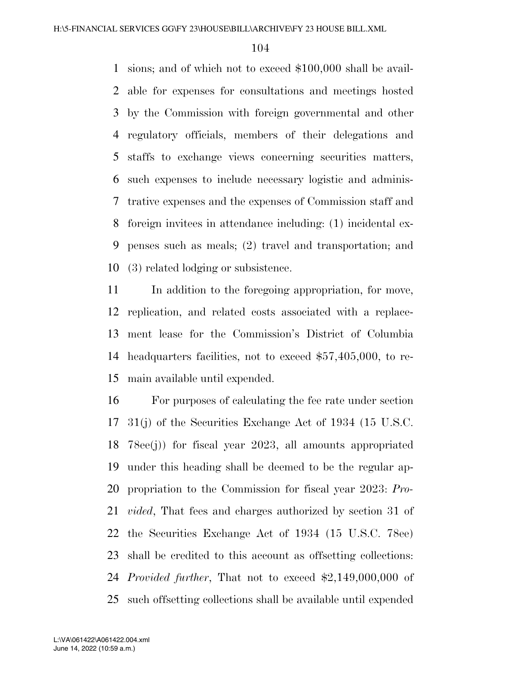sions; and of which not to exceed \$100,000 shall be avail- able for expenses for consultations and meetings hosted by the Commission with foreign governmental and other regulatory officials, members of their delegations and staffs to exchange views concerning securities matters, such expenses to include necessary logistic and adminis- trative expenses and the expenses of Commission staff and foreign invitees in attendance including: (1) incidental ex- penses such as meals; (2) travel and transportation; and (3) related lodging or subsistence.

 In addition to the foregoing appropriation, for move, replication, and related costs associated with a replace- ment lease for the Commission's District of Columbia headquarters facilities, not to exceed \$57,405,000, to re-main available until expended.

 For purposes of calculating the fee rate under section 31(j) of the Securities Exchange Act of 1934 (15 U.S.C. 78ee(j)) for fiscal year 2023, all amounts appropriated under this heading shall be deemed to be the regular ap- propriation to the Commission for fiscal year 2023: *Pro- vided*, That fees and charges authorized by section 31 of the Securities Exchange Act of 1934 (15 U.S.C. 78ee) shall be credited to this account as offsetting collections: *Provided further*, That not to exceed \$2,149,000,000 of such offsetting collections shall be available until expended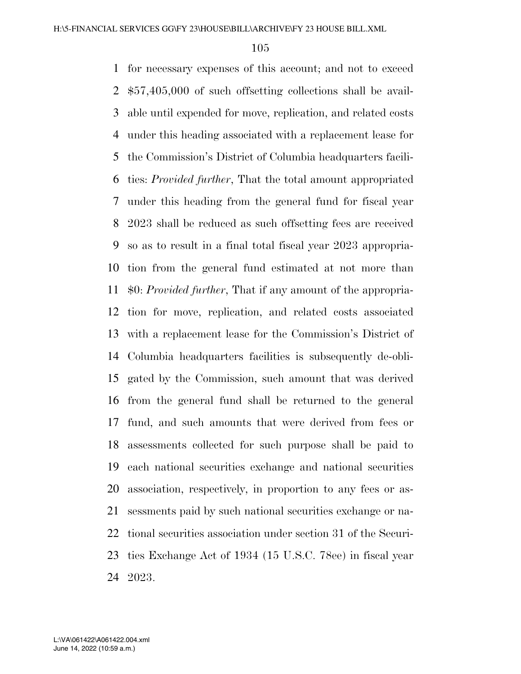for necessary expenses of this account; and not to exceed \$57,405,000 of such offsetting collections shall be avail- able until expended for move, replication, and related costs under this heading associated with a replacement lease for the Commission's District of Columbia headquarters facili- ties: *Provided further*, That the total amount appropriated under this heading from the general fund for fiscal year 2023 shall be reduced as such offsetting fees are received so as to result in a final total fiscal year 2023 appropria- tion from the general fund estimated at not more than \$0: *Provided further*, That if any amount of the appropria- tion for move, replication, and related costs associated with a replacement lease for the Commission's District of Columbia headquarters facilities is subsequently de-obli- gated by the Commission, such amount that was derived from the general fund shall be returned to the general fund, and such amounts that were derived from fees or assessments collected for such purpose shall be paid to each national securities exchange and national securities association, respectively, in proportion to any fees or as- sessments paid by such national securities exchange or na- tional securities association under section 31 of the Securi- ties Exchange Act of 1934 (15 U.S.C. 78ee) in fiscal year 2023.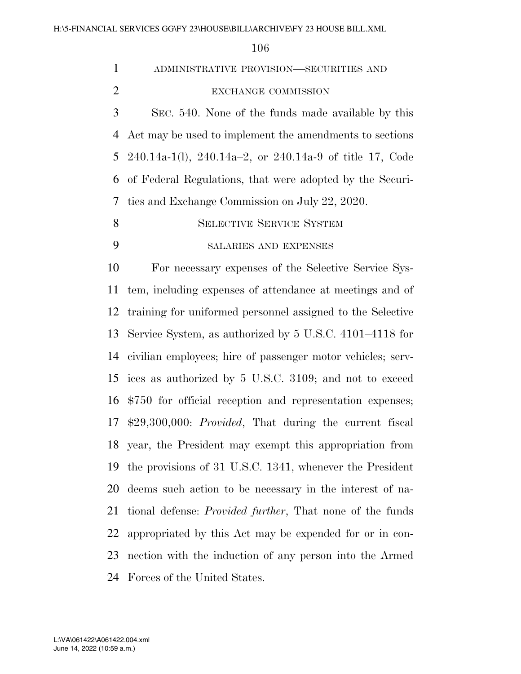| $\mathbf{1}$   | ADMINISTRATIVE PROVISION—SECURITIES AND                           |
|----------------|-------------------------------------------------------------------|
| $\overline{2}$ | EXCHANGE COMMISSION                                               |
| 3              | SEC. 540. None of the funds made available by this                |
| $\overline{4}$ | Act may be used to implement the amendments to sections           |
| 5              | $240.14a-1(l)$ , $240.14a-2$ , or $240.14a-9$ of title 17, Code   |
| 6              | of Federal Regulations, that were adopted by the Securi-          |
| 7              | ties and Exchange Commission on July 22, 2020.                    |
| 8              | <b>SELECTIVE SERVICE SYSTEM</b>                                   |
| 9              | <b>SALARIES AND EXPENSES</b>                                      |
| 10             | For necessary expenses of the Selective Service Sys-              |
| 11             | tem, including expenses of attendance at meetings and of          |
| 12             | training for uniformed personnel assigned to the Selective        |
| 13             | Service System, as authorized by 5 U.S.C. 4101–4118 for           |
| 14             | civilian employees; hire of passenger motor vehicles; serv-       |
| 15             | ices as authorized by 5 U.S.C. 3109; and not to exceed            |
| 16             | \$750 for official reception and representation expenses;         |
|                | 17 \$29,300,000: <i>Provided</i> , That during the current fiscal |
|                | 18 year, the President may exempt this appropriation from         |
| 19             | the provisions of 31 U.S.C. 1341, whenever the President          |
| 20             | deems such action to be necessary in the interest of na-          |
| 21             | tional defense: <i>Provided further</i> , That none of the funds  |
| 22             | appropriated by this Act may be expended for or in con-           |
| 23             | nection with the induction of any person into the Armed           |
| 24             | Forces of the United States.                                      |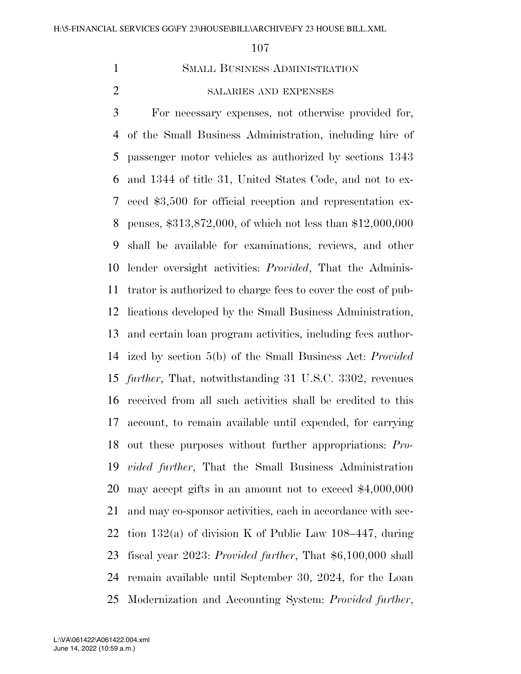SMALL BUSINESS ADMINISTRATION

# SALARIES AND EXPENSES

 For necessary expenses, not otherwise provided for, of the Small Business Administration, including hire of passenger motor vehicles as authorized by sections 1343 and 1344 of title 31, United States Code, and not to ex- ceed \$3,500 for official reception and representation ex- penses, \$313,872,000, of which not less than \$12,000,000 shall be available for examinations, reviews, and other lender oversight activities: *Provided*, That the Adminis- trator is authorized to charge fees to cover the cost of pub- lications developed by the Small Business Administration, and certain loan program activities, including fees author- ized by section 5(b) of the Small Business Act: *Provided further*, That, notwithstanding 31 U.S.C. 3302, revenues received from all such activities shall be credited to this account, to remain available until expended, for carrying out these purposes without further appropriations: *Pro- vided further*, That the Small Business Administration may accept gifts in an amount not to exceed \$4,000,000 and may co-sponsor activities, each in accordance with sec-22 tion  $132(a)$  of division K of Public Law 108–447, during fiscal year 2023: *Provided further*, That \$6,100,000 shall remain available until September 30, 2024, for the Loan Modernization and Accounting System: *Provided further*,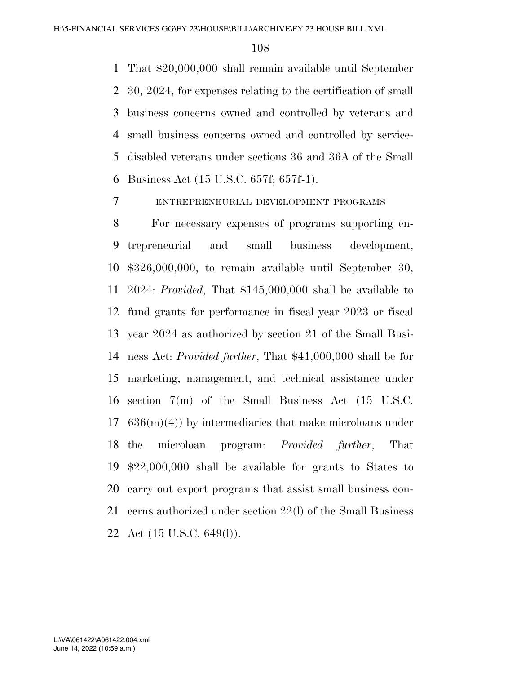That \$20,000,000 shall remain available until September 30, 2024, for expenses relating to the certification of small business concerns owned and controlled by veterans and small business concerns owned and controlled by service- disabled veterans under sections 36 and 36A of the Small Business Act (15 U.S.C. 657f; 657f-1).

ENTREPRENEURIAL DEVELOPMENT PROGRAMS

 For necessary expenses of programs supporting en- trepreneurial and small business development, \$326,000,000, to remain available until September 30, 2024: *Provided*, That \$145,000,000 shall be available to fund grants for performance in fiscal year 2023 or fiscal year 2024 as authorized by section 21 of the Small Busi- ness Act: *Provided further*, That \$41,000,000 shall be for marketing, management, and technical assistance under section 7(m) of the Small Business Act (15 U.S.C.  $17\quad636(m)(4)$  by intermediaries that make microloans under the microloan program: *Provided further*, That \$22,000,000 shall be available for grants to States to carry out export programs that assist small business con- cerns authorized under section 22(l) of the Small Business Act (15 U.S.C. 649(l)).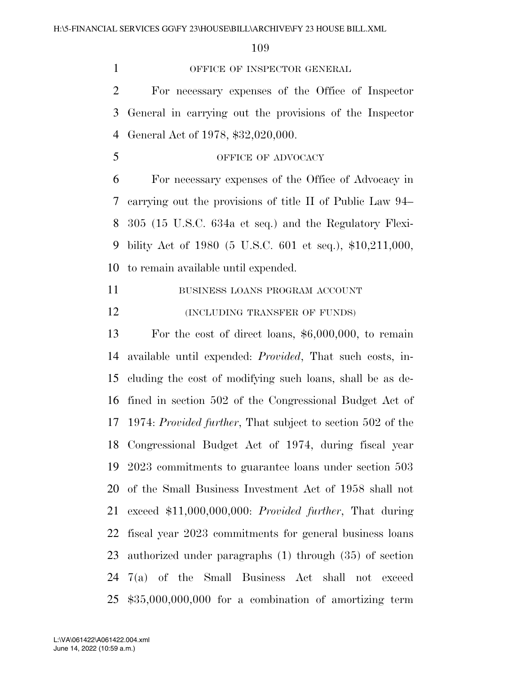1 OFFICE OF INSPECTOR GENERAL

 For necessary expenses of the Office of Inspector General in carrying out the provisions of the Inspector General Act of 1978, \$32,020,000.

## 5 OFFICE OF ADVOCACY

 For necessary expenses of the Office of Advocacy in carrying out the provisions of title II of Public Law 94– 305 (15 U.S.C. 634a et seq.) and the Regulatory Flexi- bility Act of 1980 (5 U.S.C. 601 et seq.), \$10,211,000, to remain available until expended.

11 BUSINESS LOANS PROGRAM ACCOUNT

**(INCLUDING TRANSFER OF FUNDS)** 

 For the cost of direct loans, \$6,000,000, to remain available until expended: *Provided*, That such costs, in- cluding the cost of modifying such loans, shall be as de- fined in section 502 of the Congressional Budget Act of 1974: *Provided further*, That subject to section 502 of the Congressional Budget Act of 1974, during fiscal year 2023 commitments to guarantee loans under section 503 of the Small Business Investment Act of 1958 shall not exceed \$11,000,000,000: *Provided further*, That during fiscal year 2023 commitments for general business loans authorized under paragraphs (1) through (35) of section 7(a) of the Small Business Act shall not exceed \$35,000,000,000 for a combination of amortizing term

June 14, 2022 (10:59 a.m.) L:\VA\061422\A061422.004.xml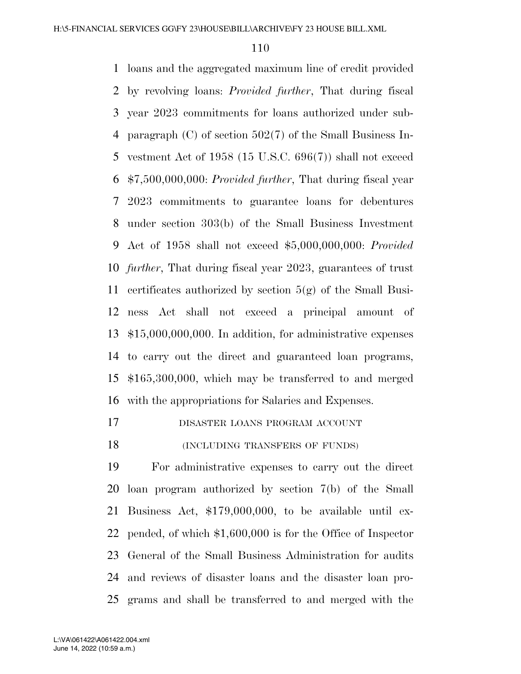loans and the aggregated maximum line of credit provided by revolving loans: *Provided further*, That during fiscal year 2023 commitments for loans authorized under sub- paragraph (C) of section 502(7) of the Small Business In- vestment Act of 1958 (15 U.S.C. 696(7)) shall not exceed \$7,500,000,000: *Provided further*, That during fiscal year 2023 commitments to guarantee loans for debentures under section 303(b) of the Small Business Investment Act of 1958 shall not exceed \$5,000,000,000: *Provided further*, That during fiscal year 2023, guarantees of trust certificates authorized by section 5(g) of the Small Busi- ness Act shall not exceed a principal amount of \$15,000,000,000. In addition, for administrative expenses to carry out the direct and guaranteed loan programs, \$165,300,000, which may be transferred to and merged with the appropriations for Salaries and Expenses.

DISASTER LOANS PROGRAM ACCOUNT

18 (INCLUDING TRANSFERS OF FUNDS)

 For administrative expenses to carry out the direct loan program authorized by section 7(b) of the Small Business Act, \$179,000,000, to be available until ex- pended, of which \$1,600,000 is for the Office of Inspector General of the Small Business Administration for audits and reviews of disaster loans and the disaster loan pro-grams and shall be transferred to and merged with the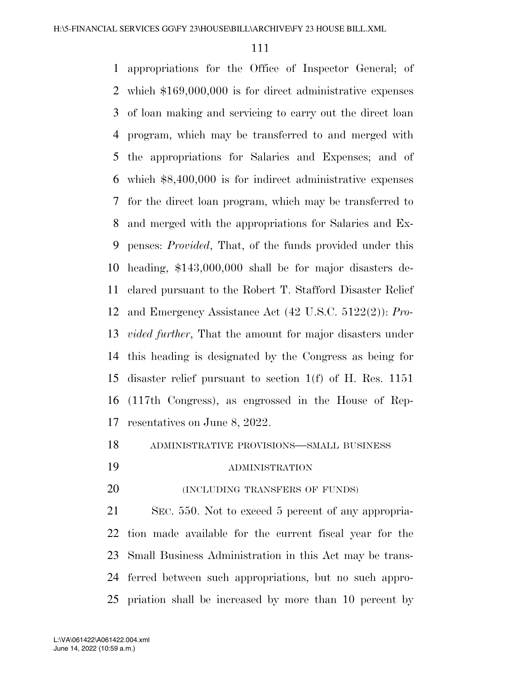appropriations for the Office of Inspector General; of which \$169,000,000 is for direct administrative expenses of loan making and servicing to carry out the direct loan program, which may be transferred to and merged with the appropriations for Salaries and Expenses; and of which \$8,400,000 is for indirect administrative expenses for the direct loan program, which may be transferred to and merged with the appropriations for Salaries and Ex- penses: *Provided*, That, of the funds provided under this heading, \$143,000,000 shall be for major disasters de- clared pursuant to the Robert T. Stafford Disaster Relief and Emergency Assistance Act (42 U.S.C. 5122(2)): *Pro- vided further*, That the amount for major disasters under this heading is designated by the Congress as being for disaster relief pursuant to section 1(f) of H. Res. 1151 (117th Congress), as engrossed in the House of Rep-resentatives on June 8, 2022.

ADMINISTRATIVE PROVISIONS—SMALL BUSINESS

- ADMINISTRATION
- **(INCLUDING TRANSFERS OF FUNDS)**

 SEC. 550. Not to exceed 5 percent of any appropria- tion made available for the current fiscal year for the Small Business Administration in this Act may be trans- ferred between such appropriations, but no such appro-priation shall be increased by more than 10 percent by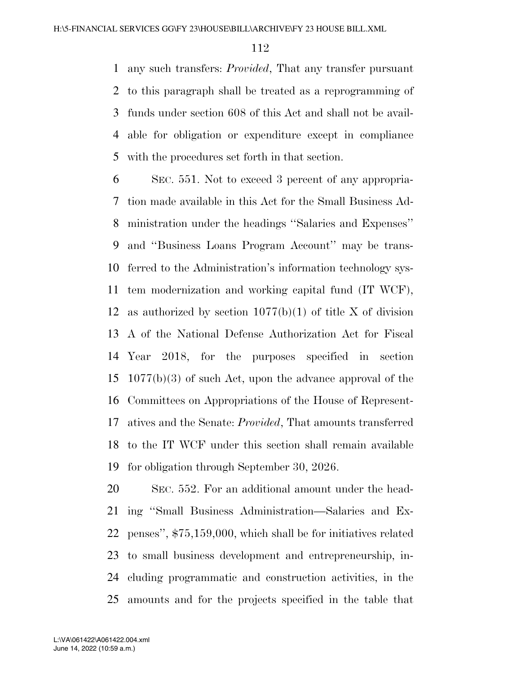any such transfers: *Provided*, That any transfer pursuant to this paragraph shall be treated as a reprogramming of funds under section 608 of this Act and shall not be avail- able for obligation or expenditure except in compliance with the procedures set forth in that section.

 SEC. 551. Not to exceed 3 percent of any appropria- tion made available in this Act for the Small Business Ad- ministration under the headings ''Salaries and Expenses'' and ''Business Loans Program Account'' may be trans- ferred to the Administration's information technology sys- tem modernization and working capital fund (IT WCF), 12 as authorized by section  $1077(b)(1)$  of title X of division A of the National Defense Authorization Act for Fiscal Year 2018, for the purposes specified in section 1077(b)(3) of such Act, upon the advance approval of the Committees on Appropriations of the House of Represent- atives and the Senate: *Provided*, That amounts transferred to the IT WCF under this section shall remain available for obligation through September 30, 2026.

 SEC. 552. For an additional amount under the head- ing ''Small Business Administration—Salaries and Ex- penses'', \$75,159,000, which shall be for initiatives related to small business development and entrepreneurship, in- cluding programmatic and construction activities, in the amounts and for the projects specified in the table that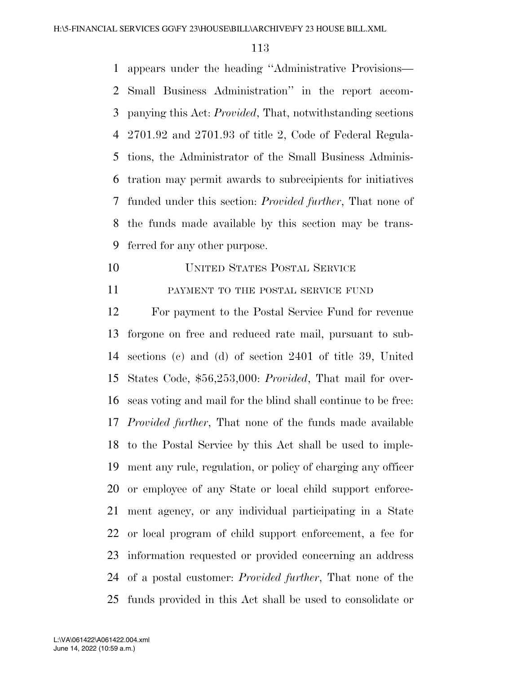appears under the heading ''Administrative Provisions— Small Business Administration'' in the report accom- panying this Act: *Provided*, That, notwithstanding sections 2701.92 and 2701.93 of title 2, Code of Federal Regula- tions, the Administrator of the Small Business Adminis- tration may permit awards to subrecipients for initiatives funded under this section: *Provided further*, That none of the funds made available by this section may be trans-ferred for any other purpose.

UNITED STATES POSTAL SERVICE

11 PAYMENT TO THE POSTAL SERVICE FUND

 For payment to the Postal Service Fund for revenue forgone on free and reduced rate mail, pursuant to sub- sections (c) and (d) of section 2401 of title 39, United States Code, \$56,253,000: *Provided*, That mail for over- seas voting and mail for the blind shall continue to be free: *Provided further*, That none of the funds made available to the Postal Service by this Act shall be used to imple- ment any rule, regulation, or policy of charging any officer or employee of any State or local child support enforce- ment agency, or any individual participating in a State or local program of child support enforcement, a fee for information requested or provided concerning an address of a postal customer: *Provided further*, That none of the funds provided in this Act shall be used to consolidate or

June 14, 2022 (10:59 a.m.) L:\VA\061422\A061422.004.xml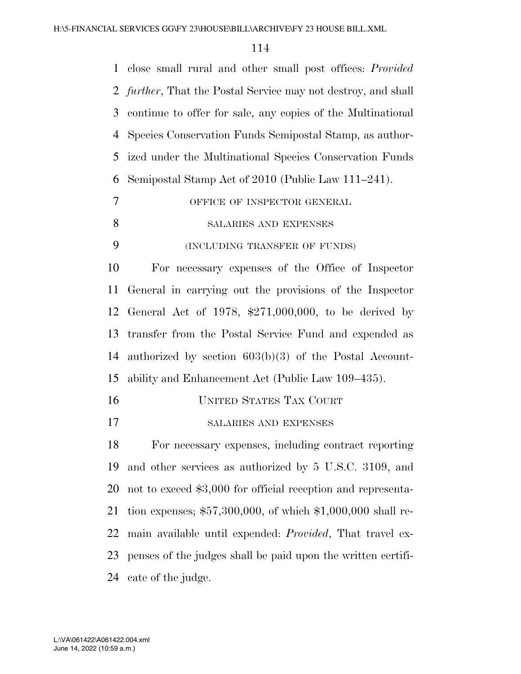| $\mathbf{1}$ | close small rural and other small post offices: <i>Provided</i>       |
|--------------|-----------------------------------------------------------------------|
|              | 2 <i>further</i> , That the Postal Service may not destroy, and shall |
| 3            | continue to offer for sale, any copies of the Multinational           |
| 4            | Species Conservation Funds Semipostal Stamp, as author-               |
| 5            | ized under the Multinational Species Conservation Funds               |
| 6            | Semipostal Stamp Act of 2010 (Public Law 111–241).                    |
| 7            | OFFICE OF INSPECTOR GENERAL                                           |
| 8            | SALARIES AND EXPENSES                                                 |
| 9            | (INCLUDING TRANSFER OF FUNDS)                                         |
| 10           | For necessary expenses of the Office of Inspector                     |
| 11           | General in carrying out the provisions of the Inspector               |
| 12           | General Act of 1978, $$271,000,000$ , to be derived by                |
| 13           | transfer from the Postal Service Fund and expended as                 |
| 14           | authorized by section $603(b)(3)$ of the Postal Account-              |
| 15           | ability and Enhancement Act (Public Law 109–435).                     |
| 16           | <b>UNITED STATES TAX COURT</b>                                        |
| 17           | SALARIES AND EXPENSES                                                 |
| 18           | For necessary expenses, including contract reporting                  |
| 19           | and other services as authorized by 5 U.S.C. 3109, and                |
| 20           | not to exceed \$3,000 for official reception and representa-          |
| 21           | tion expenses; $$57,300,000$ , of which $$1,000,000$ shall re-        |
| 22           | main available until expended: <i>Provided</i> , That travel ex-      |
| 23           | penses of the judges shall be paid upon the written certifi-          |
| 24           | cate of the judge.                                                    |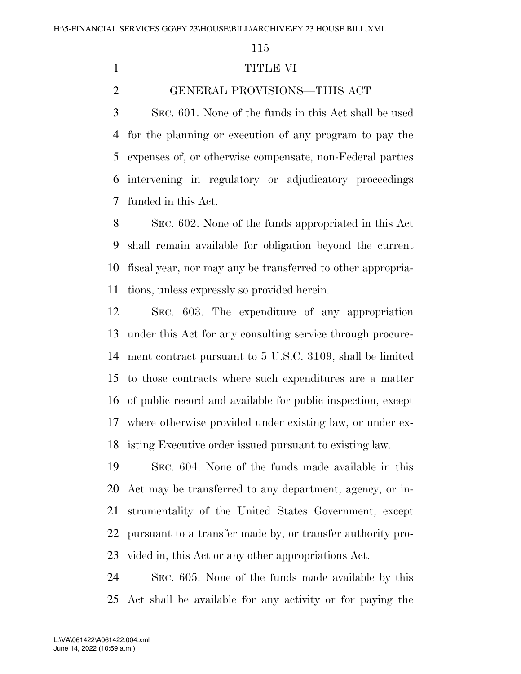## TITLE VI

GENERAL PROVISIONS—THIS ACT

 SEC. 601. None of the funds in this Act shall be used for the planning or execution of any program to pay the expenses of, or otherwise compensate, non-Federal parties intervening in regulatory or adjudicatory proceedings funded in this Act.

 SEC. 602. None of the funds appropriated in this Act shall remain available for obligation beyond the current fiscal year, nor may any be transferred to other appropria-tions, unless expressly so provided herein.

 SEC. 603. The expenditure of any appropriation under this Act for any consulting service through procure- ment contract pursuant to 5 U.S.C. 3109, shall be limited to those contracts where such expenditures are a matter of public record and available for public inspection, except where otherwise provided under existing law, or under ex-isting Executive order issued pursuant to existing law.

 SEC. 604. None of the funds made available in this Act may be transferred to any department, agency, or in- strumentality of the United States Government, except pursuant to a transfer made by, or transfer authority pro-vided in, this Act or any other appropriations Act.

 SEC. 605. None of the funds made available by this Act shall be available for any activity or for paying the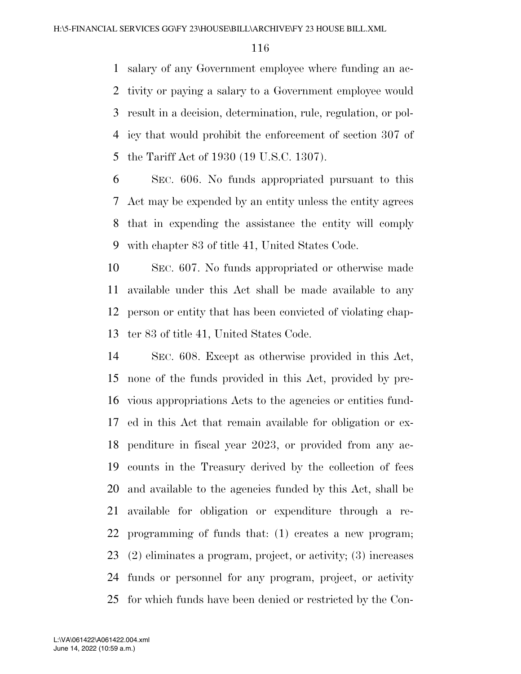salary of any Government employee where funding an ac- tivity or paying a salary to a Government employee would result in a decision, determination, rule, regulation, or pol- icy that would prohibit the enforcement of section 307 of the Tariff Act of 1930 (19 U.S.C. 1307).

 SEC. 606. No funds appropriated pursuant to this Act may be expended by an entity unless the entity agrees that in expending the assistance the entity will comply with chapter 83 of title 41, United States Code.

 SEC. 607. No funds appropriated or otherwise made available under this Act shall be made available to any person or entity that has been convicted of violating chap-ter 83 of title 41, United States Code.

 SEC. 608. Except as otherwise provided in this Act, none of the funds provided in this Act, provided by pre- vious appropriations Acts to the agencies or entities fund- ed in this Act that remain available for obligation or ex- penditure in fiscal year 2023, or provided from any ac- counts in the Treasury derived by the collection of fees and available to the agencies funded by this Act, shall be available for obligation or expenditure through a re- programming of funds that: (1) creates a new program; (2) eliminates a program, project, or activity; (3) increases funds or personnel for any program, project, or activity for which funds have been denied or restricted by the Con-

June 14, 2022 (10:59 a.m.) L:\VA\061422\A061422.004.xml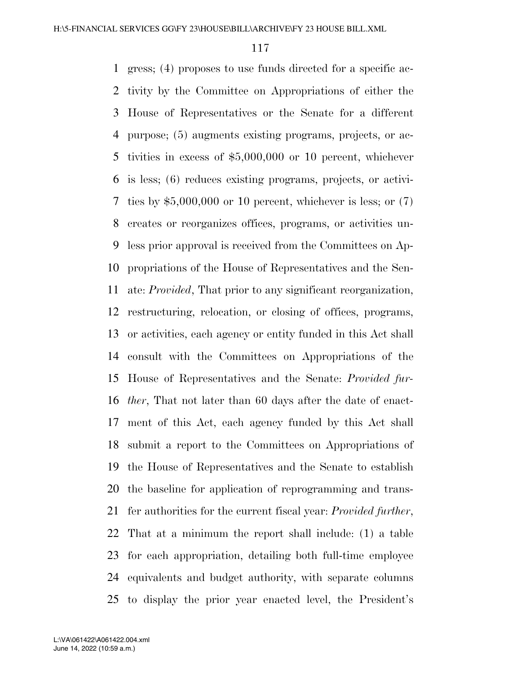gress; (4) proposes to use funds directed for a specific ac- tivity by the Committee on Appropriations of either the House of Representatives or the Senate for a different purpose; (5) augments existing programs, projects, or ac- tivities in excess of \$5,000,000 or 10 percent, whichever is less; (6) reduces existing programs, projects, or activi- ties by \$5,000,000 or 10 percent, whichever is less; or (7) creates or reorganizes offices, programs, or activities un- less prior approval is received from the Committees on Ap- propriations of the House of Representatives and the Sen- ate: *Provided*, That prior to any significant reorganization, restructuring, relocation, or closing of offices, programs, or activities, each agency or entity funded in this Act shall consult with the Committees on Appropriations of the House of Representatives and the Senate: *Provided fur- ther*, That not later than 60 days after the date of enact- ment of this Act, each agency funded by this Act shall submit a report to the Committees on Appropriations of the House of Representatives and the Senate to establish the baseline for application of reprogramming and trans- fer authorities for the current fiscal year: *Provided further*, That at a minimum the report shall include: (1) a table for each appropriation, detailing both full-time employee equivalents and budget authority, with separate columns to display the prior year enacted level, the President's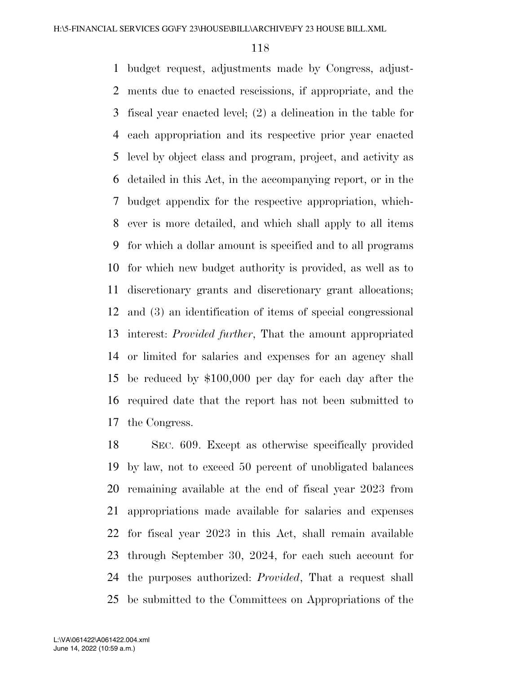budget request, adjustments made by Congress, adjust- ments due to enacted rescissions, if appropriate, and the fiscal year enacted level; (2) a delineation in the table for each appropriation and its respective prior year enacted level by object class and program, project, and activity as detailed in this Act, in the accompanying report, or in the budget appendix for the respective appropriation, which- ever is more detailed, and which shall apply to all items for which a dollar amount is specified and to all programs for which new budget authority is provided, as well as to discretionary grants and discretionary grant allocations; and (3) an identification of items of special congressional interest: *Provided further*, That the amount appropriated or limited for salaries and expenses for an agency shall be reduced by \$100,000 per day for each day after the required date that the report has not been submitted to the Congress.

 SEC. 609. Except as otherwise specifically provided by law, not to exceed 50 percent of unobligated balances remaining available at the end of fiscal year 2023 from appropriations made available for salaries and expenses for fiscal year 2023 in this Act, shall remain available through September 30, 2024, for each such account for the purposes authorized: *Provided*, That a request shall be submitted to the Committees on Appropriations of the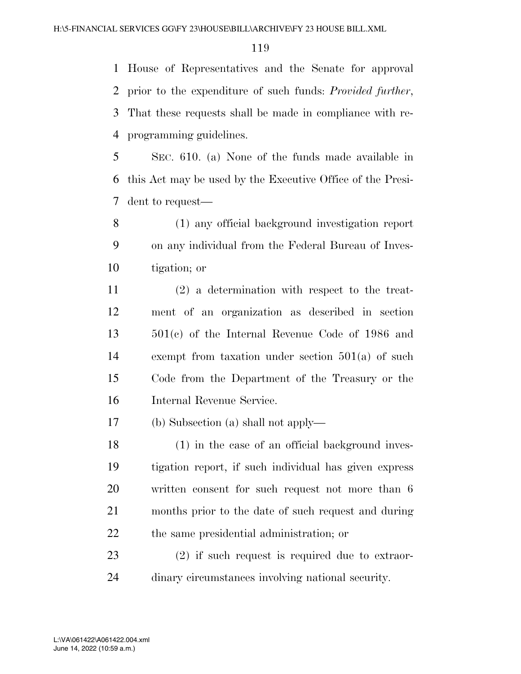House of Representatives and the Senate for approval prior to the expenditure of such funds: *Provided further*, That these requests shall be made in compliance with re-programming guidelines.

 SEC. 610. (a) None of the funds made available in this Act may be used by the Executive Office of the Presi-dent to request—

 (1) any official background investigation report on any individual from the Federal Bureau of Inves-tigation; or

 (2) a determination with respect to the treat- ment of an organization as described in section 501(c) of the Internal Revenue Code of 1986 and exempt from taxation under section 501(a) of such Code from the Department of the Treasury or the Internal Revenue Service.

(b) Subsection (a) shall not apply—

 (1) in the case of an official background inves- tigation report, if such individual has given express written consent for such request not more than 6 months prior to the date of such request and during the same presidential administration; or

 (2) if such request is required due to extraor-dinary circumstances involving national security.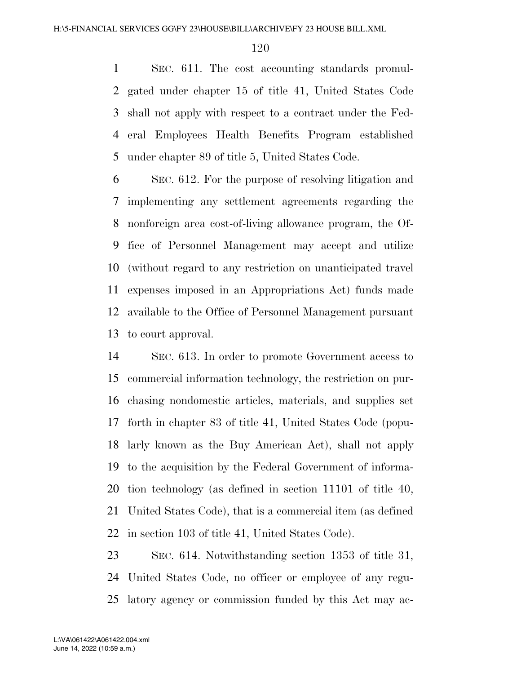SEC. 611. The cost accounting standards promul- gated under chapter 15 of title 41, United States Code shall not apply with respect to a contract under the Fed- eral Employees Health Benefits Program established under chapter 89 of title 5, United States Code.

 SEC. 612. For the purpose of resolving litigation and implementing any settlement agreements regarding the nonforeign area cost-of-living allowance program, the Of- fice of Personnel Management may accept and utilize (without regard to any restriction on unanticipated travel expenses imposed in an Appropriations Act) funds made available to the Office of Personnel Management pursuant to court approval.

 SEC. 613. In order to promote Government access to commercial information technology, the restriction on pur- chasing nondomestic articles, materials, and supplies set forth in chapter 83 of title 41, United States Code (popu- larly known as the Buy American Act), shall not apply to the acquisition by the Federal Government of informa- tion technology (as defined in section 11101 of title 40, United States Code), that is a commercial item (as defined in section 103 of title 41, United States Code).

 SEC. 614. Notwithstanding section 1353 of title 31, United States Code, no officer or employee of any regu-latory agency or commission funded by this Act may ac-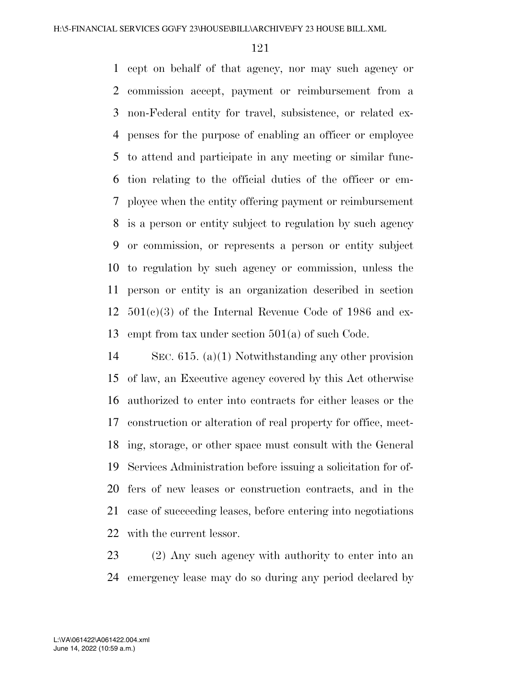cept on behalf of that agency, nor may such agency or commission accept, payment or reimbursement from a non-Federal entity for travel, subsistence, or related ex- penses for the purpose of enabling an officer or employee to attend and participate in any meeting or similar func- tion relating to the official duties of the officer or em- ployee when the entity offering payment or reimbursement is a person or entity subject to regulation by such agency or commission, or represents a person or entity subject to regulation by such agency or commission, unless the person or entity is an organization described in section  $501(c)(3)$  of the Internal Revenue Code of 1986 and ex-empt from tax under section 501(a) of such Code.

 SEC. 615. (a)(1) Notwithstanding any other provision of law, an Executive agency covered by this Act otherwise authorized to enter into contracts for either leases or the construction or alteration of real property for office, meet- ing, storage, or other space must consult with the General Services Administration before issuing a solicitation for of- fers of new leases or construction contracts, and in the case of succeeding leases, before entering into negotiations with the current lessor.

 (2) Any such agency with authority to enter into an emergency lease may do so during any period declared by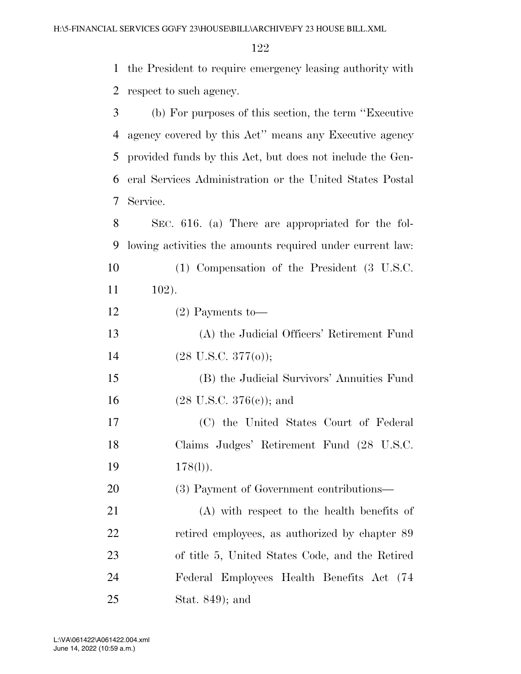the President to require emergency leasing authority with respect to such agency.

 (b) For purposes of this section, the term ''Executive agency covered by this Act'' means any Executive agency provided funds by this Act, but does not include the Gen- eral Services Administration or the United States Postal Service.

 SEC. 616. (a) There are appropriated for the fol-lowing activities the amounts required under current law:

 (1) Compensation of the President (3 U.S.C. 102).

(2) Payments to—

 (A) the Judicial Officers' Retirement Fund (28 U.S.C. 377(o));

 (B) the Judicial Survivors' Annuities Fund (28 U.S.C. 376(c)); and

 (C) the United States Court of Federal Claims Judges' Retirement Fund (28 U.S.C. 19 178(l)).

(3) Payment of Government contributions—

 (A) with respect to the health benefits of retired employees, as authorized by chapter 89 of title 5, United States Code, and the Retired Federal Employees Health Benefits Act (74 Stat. 849); and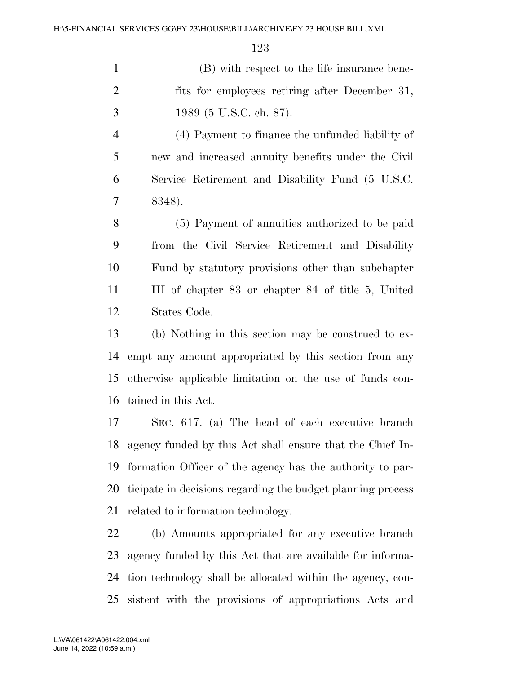(B) with respect to the life insurance bene-2 fits for employees retiring after December 31, 1989 (5 U.S.C. ch. 87).

 (4) Payment to finance the unfunded liability of new and increased annuity benefits under the Civil Service Retirement and Disability Fund (5 U.S.C. 8348).

 (5) Payment of annuities authorized to be paid from the Civil Service Retirement and Disability Fund by statutory provisions other than subchapter III of chapter 83 or chapter 84 of title 5, United States Code.

 (b) Nothing in this section may be construed to ex- empt any amount appropriated by this section from any otherwise applicable limitation on the use of funds con-tained in this Act.

 SEC. 617. (a) The head of each executive branch agency funded by this Act shall ensure that the Chief In- formation Officer of the agency has the authority to par- ticipate in decisions regarding the budget planning process related to information technology.

 (b) Amounts appropriated for any executive branch agency funded by this Act that are available for informa- tion technology shall be allocated within the agency, con-sistent with the provisions of appropriations Acts and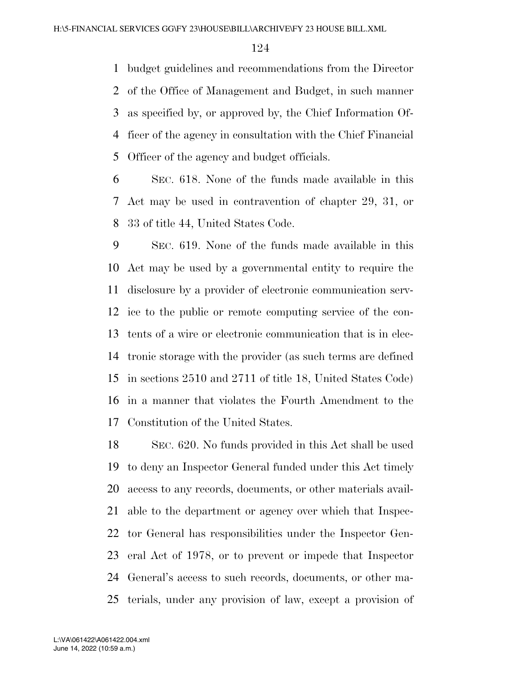budget guidelines and recommendations from the Director of the Office of Management and Budget, in such manner as specified by, or approved by, the Chief Information Of- ficer of the agency in consultation with the Chief Financial Officer of the agency and budget officials.

 SEC. 618. None of the funds made available in this Act may be used in contravention of chapter 29, 31, or 33 of title 44, United States Code.

 SEC. 619. None of the funds made available in this Act may be used by a governmental entity to require the disclosure by a provider of electronic communication serv- ice to the public or remote computing service of the con- tents of a wire or electronic communication that is in elec- tronic storage with the provider (as such terms are defined in sections 2510 and 2711 of title 18, United States Code) in a manner that violates the Fourth Amendment to the Constitution of the United States.

 SEC. 620. No funds provided in this Act shall be used to deny an Inspector General funded under this Act timely access to any records, documents, or other materials avail- able to the department or agency over which that Inspec- tor General has responsibilities under the Inspector Gen- eral Act of 1978, or to prevent or impede that Inspector General's access to such records, documents, or other ma-terials, under any provision of law, except a provision of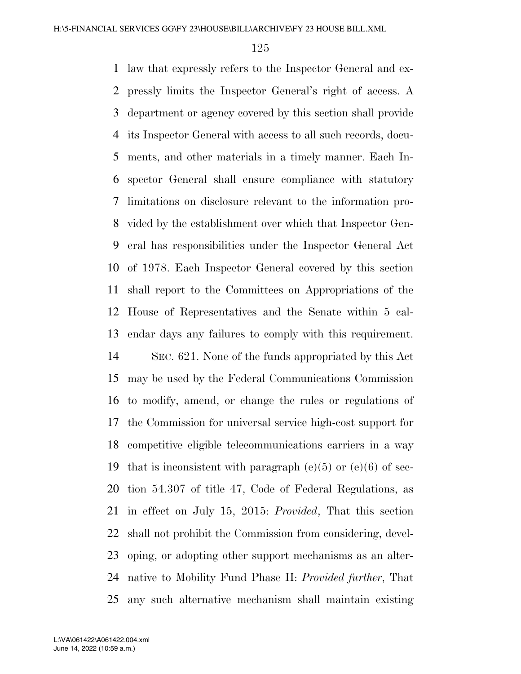law that expressly refers to the Inspector General and ex- pressly limits the Inspector General's right of access. A department or agency covered by this section shall provide its Inspector General with access to all such records, docu- ments, and other materials in a timely manner. Each In- spector General shall ensure compliance with statutory limitations on disclosure relevant to the information pro- vided by the establishment over which that Inspector Gen- eral has responsibilities under the Inspector General Act of 1978. Each Inspector General covered by this section shall report to the Committees on Appropriations of the House of Representatives and the Senate within 5 cal- endar days any failures to comply with this requirement. SEC. 621. None of the funds appropriated by this Act may be used by the Federal Communications Commission

 to modify, amend, or change the rules or regulations of the Commission for universal service high-cost support for competitive eligible telecommunications carriers in a way 19 that is inconsistent with paragraph  $(e)(5)$  or  $(e)(6)$  of sec- tion 54.307 of title 47, Code of Federal Regulations, as in effect on July 15, 2015: *Provided*, That this section shall not prohibit the Commission from considering, devel- oping, or adopting other support mechanisms as an alter- native to Mobility Fund Phase II: *Provided further*, That any such alternative mechanism shall maintain existing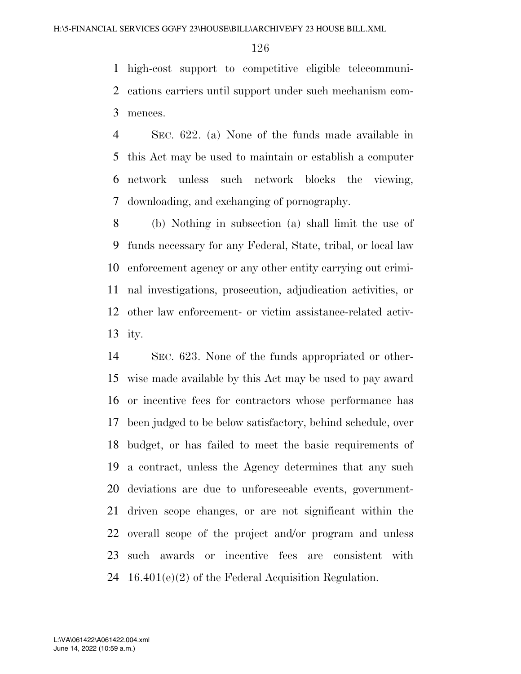high-cost support to competitive eligible telecommuni- cations carriers until support under such mechanism com-mences.

 SEC. 622. (a) None of the funds made available in this Act may be used to maintain or establish a computer network unless such network blocks the viewing, downloading, and exchanging of pornography.

 (b) Nothing in subsection (a) shall limit the use of funds necessary for any Federal, State, tribal, or local law enforcement agency or any other entity carrying out crimi- nal investigations, prosecution, adjudication activities, or other law enforcement- or victim assistance-related activ-ity.

 SEC. 623. None of the funds appropriated or other- wise made available by this Act may be used to pay award or incentive fees for contractors whose performance has been judged to be below satisfactory, behind schedule, over budget, or has failed to meet the basic requirements of a contract, unless the Agency determines that any such deviations are due to unforeseeable events, government- driven scope changes, or are not significant within the overall scope of the project and/or program and unless such awards or incentive fees are consistent with 16.401(e)(2) of the Federal Acquisition Regulation.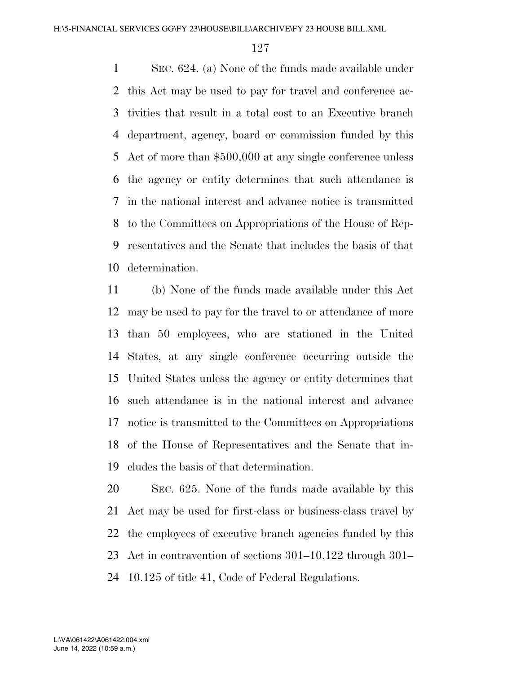SEC. 624. (a) None of the funds made available under this Act may be used to pay for travel and conference ac- tivities that result in a total cost to an Executive branch department, agency, board or commission funded by this Act of more than \$500,000 at any single conference unless the agency or entity determines that such attendance is in the national interest and advance notice is transmitted to the Committees on Appropriations of the House of Rep- resentatives and the Senate that includes the basis of that determination.

 (b) None of the funds made available under this Act may be used to pay for the travel to or attendance of more than 50 employees, who are stationed in the United States, at any single conference occurring outside the United States unless the agency or entity determines that such attendance is in the national interest and advance notice is transmitted to the Committees on Appropriations of the House of Representatives and the Senate that in-cludes the basis of that determination.

 SEC. 625. None of the funds made available by this Act may be used for first-class or business-class travel by the employees of executive branch agencies funded by this Act in contravention of sections 301–10.122 through 301– 10.125 of title 41, Code of Federal Regulations.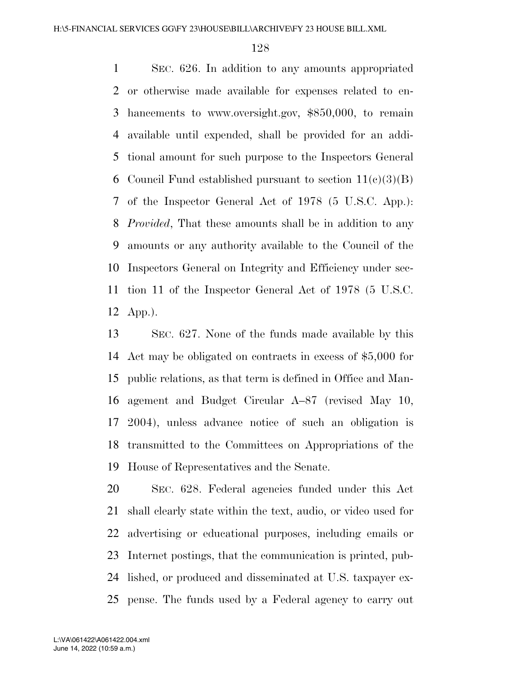SEC. 626. In addition to any amounts appropriated or otherwise made available for expenses related to en- hancements to www.oversight.gov, \$850,000, to remain available until expended, shall be provided for an addi- tional amount for such purpose to the Inspectors General 6 Council Fund established pursuant to section  $11(c)(3)(B)$  of the Inspector General Act of 1978 (5 U.S.C. App.): *Provided*, That these amounts shall be in addition to any amounts or any authority available to the Council of the Inspectors General on Integrity and Efficiency under sec- tion 11 of the Inspector General Act of 1978 (5 U.S.C. App.).

 SEC. 627. None of the funds made available by this Act may be obligated on contracts in excess of \$5,000 for public relations, as that term is defined in Office and Man- agement and Budget Circular A–87 (revised May 10, 2004), unless advance notice of such an obligation is transmitted to the Committees on Appropriations of the House of Representatives and the Senate.

 SEC. 628. Federal agencies funded under this Act shall clearly state within the text, audio, or video used for advertising or educational purposes, including emails or Internet postings, that the communication is printed, pub- lished, or produced and disseminated at U.S. taxpayer ex-pense. The funds used by a Federal agency to carry out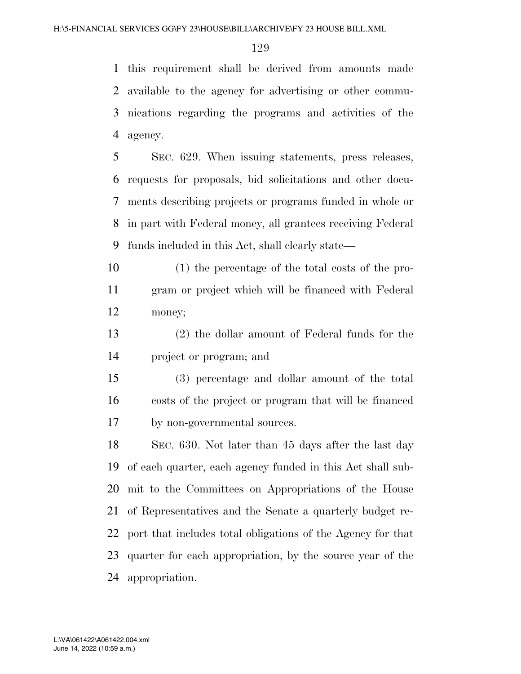this requirement shall be derived from amounts made available to the agency for advertising or other commu- nications regarding the programs and activities of the agency.

 SEC. 629. When issuing statements, press releases, requests for proposals, bid solicitations and other docu- ments describing projects or programs funded in whole or in part with Federal money, all grantees receiving Federal funds included in this Act, shall clearly state—

 (1) the percentage of the total costs of the pro- gram or project which will be financed with Federal money;

 (2) the dollar amount of Federal funds for the project or program; and

 (3) percentage and dollar amount of the total costs of the project or program that will be financed by non-governmental sources.

 SEC. 630. Not later than 45 days after the last day of each quarter, each agency funded in this Act shall sub- mit to the Committees on Appropriations of the House of Representatives and the Senate a quarterly budget re- port that includes total obligations of the Agency for that quarter for each appropriation, by the source year of the appropriation.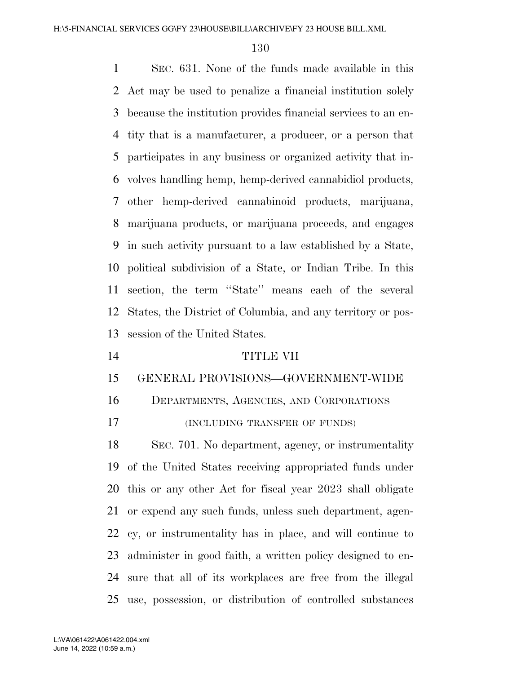SEC. 631. None of the funds made available in this Act may be used to penalize a financial institution solely because the institution provides financial services to an en- tity that is a manufacturer, a producer, or a person that participates in any business or organized activity that in- volves handling hemp, hemp-derived cannabidiol products, other hemp-derived cannabinoid products, marijuana, marijuana products, or marijuana proceeds, and engages in such activity pursuant to a law established by a State, political subdivision of a State, or Indian Tribe. In this section, the term ''State'' means each of the several States, the District of Columbia, and any territory or pos- session of the United States. TITLE VII GENERAL PROVISIONS—GOVERNMENT-WIDE DEPARTMENTS, AGENCIES, AND CORPORATIONS (INCLUDING TRANSFER OF FUNDS)

 SEC. 701. No department, agency, or instrumentality of the United States receiving appropriated funds under this or any other Act for fiscal year 2023 shall obligate or expend any such funds, unless such department, agen- cy, or instrumentality has in place, and will continue to administer in good faith, a written policy designed to en- sure that all of its workplaces are free from the illegal use, possession, or distribution of controlled substances

June 14, 2022 (10:59 a.m.) L:\VA\061422\A061422.004.xml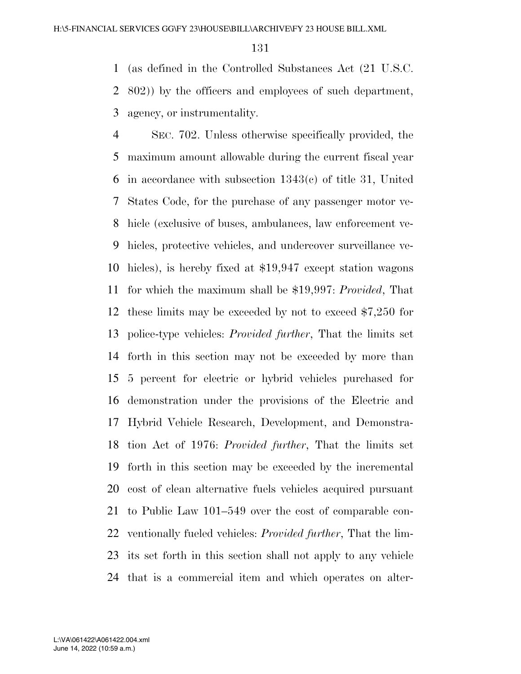(as defined in the Controlled Substances Act (21 U.S.C. 802)) by the officers and employees of such department, agency, or instrumentality.

 SEC. 702. Unless otherwise specifically provided, the maximum amount allowable during the current fiscal year in accordance with subsection 1343(c) of title 31, United States Code, for the purchase of any passenger motor ve- hicle (exclusive of buses, ambulances, law enforcement ve- hicles, protective vehicles, and undercover surveillance ve- hicles), is hereby fixed at \$19,947 except station wagons for which the maximum shall be \$19,997: *Provided*, That these limits may be exceeded by not to exceed \$7,250 for police-type vehicles: *Provided further*, That the limits set forth in this section may not be exceeded by more than 5 percent for electric or hybrid vehicles purchased for demonstration under the provisions of the Electric and Hybrid Vehicle Research, Development, and Demonstra- tion Act of 1976: *Provided further*, That the limits set forth in this section may be exceeded by the incremental cost of clean alternative fuels vehicles acquired pursuant to Public Law 101–549 over the cost of comparable con- ventionally fueled vehicles: *Provided further*, That the lim- its set forth in this section shall not apply to any vehicle that is a commercial item and which operates on alter-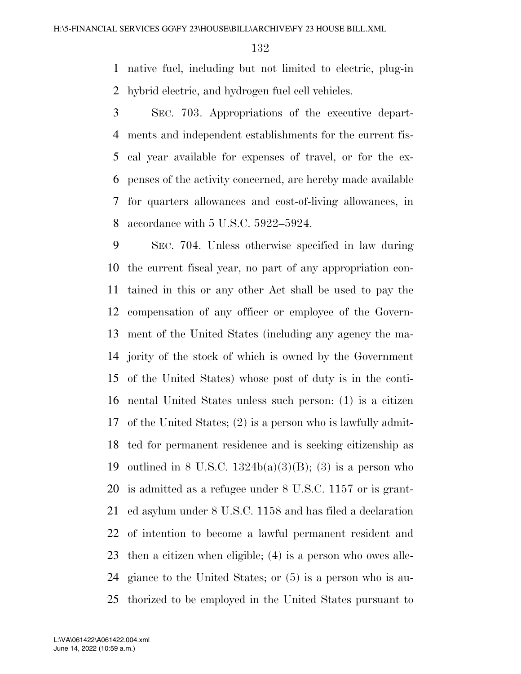native fuel, including but not limited to electric, plug-in hybrid electric, and hydrogen fuel cell vehicles.

 SEC. 703. Appropriations of the executive depart- ments and independent establishments for the current fis- cal year available for expenses of travel, or for the ex- penses of the activity concerned, are hereby made available for quarters allowances and cost-of-living allowances, in accordance with 5 U.S.C. 5922–5924.

 SEC. 704. Unless otherwise specified in law during the current fiscal year, no part of any appropriation con- tained in this or any other Act shall be used to pay the compensation of any officer or employee of the Govern- ment of the United States (including any agency the ma- jority of the stock of which is owned by the Government of the United States) whose post of duty is in the conti- nental United States unless such person: (1) is a citizen of the United States; (2) is a person who is lawfully admit- ted for permanent residence and is seeking citizenship as 19 outlined in 8 U.S.C.  $1324b(a)(3)(B)$ ; (3) is a person who is admitted as a refugee under 8 U.S.C. 1157 or is grant- ed asylum under 8 U.S.C. 1158 and has filed a declaration of intention to become a lawful permanent resident and then a citizen when eligible; (4) is a person who owes alle- giance to the United States; or (5) is a person who is au-thorized to be employed in the United States pursuant to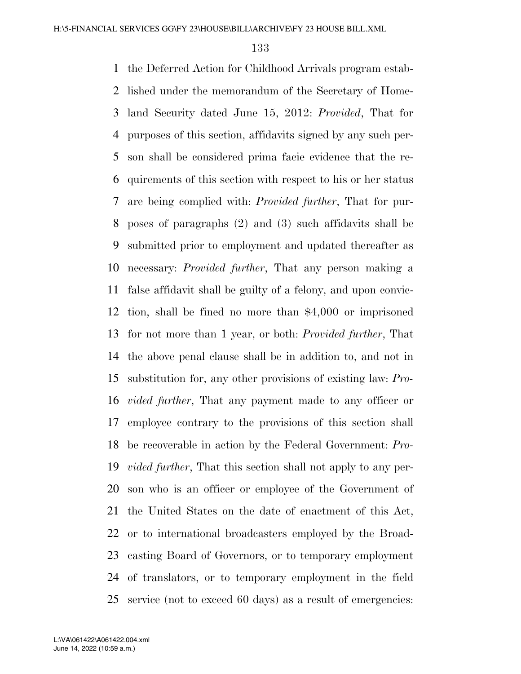the Deferred Action for Childhood Arrivals program estab- lished under the memorandum of the Secretary of Home- land Security dated June 15, 2012: *Provided*, That for purposes of this section, affidavits signed by any such per- son shall be considered prima facie evidence that the re- quirements of this section with respect to his or her status are being complied with: *Provided further*, That for pur- poses of paragraphs (2) and (3) such affidavits shall be submitted prior to employment and updated thereafter as necessary: *Provided further*, That any person making a false affidavit shall be guilty of a felony, and upon convic- tion, shall be fined no more than \$4,000 or imprisoned for not more than 1 year, or both: *Provided further*, That the above penal clause shall be in addition to, and not in substitution for, any other provisions of existing law: *Pro- vided further*, That any payment made to any officer or employee contrary to the provisions of this section shall be recoverable in action by the Federal Government: *Pro- vided further*, That this section shall not apply to any per- son who is an officer or employee of the Government of the United States on the date of enactment of this Act, or to international broadcasters employed by the Broad- casting Board of Governors, or to temporary employment of translators, or to temporary employment in the field service (not to exceed 60 days) as a result of emergencies: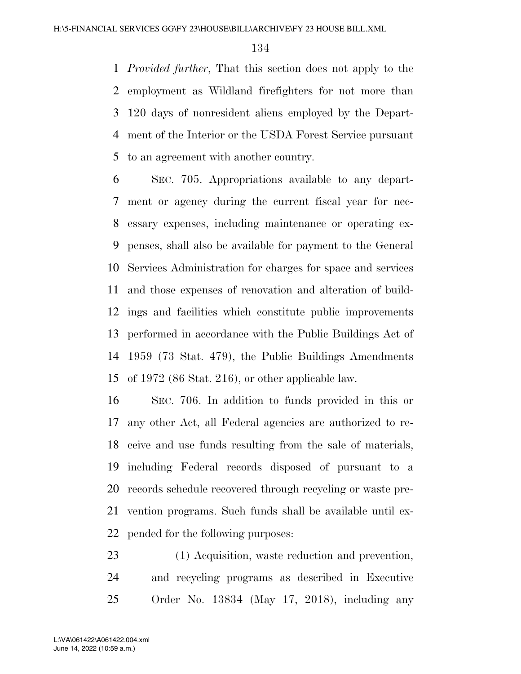*Provided further*, That this section does not apply to the employment as Wildland firefighters for not more than 120 days of nonresident aliens employed by the Depart- ment of the Interior or the USDA Forest Service pursuant to an agreement with another country.

 SEC. 705. Appropriations available to any depart- ment or agency during the current fiscal year for nec- essary expenses, including maintenance or operating ex- penses, shall also be available for payment to the General Services Administration for charges for space and services and those expenses of renovation and alteration of build- ings and facilities which constitute public improvements performed in accordance with the Public Buildings Act of 1959 (73 Stat. 479), the Public Buildings Amendments of 1972 (86 Stat. 216), or other applicable law.

 SEC. 706. In addition to funds provided in this or any other Act, all Federal agencies are authorized to re- ceive and use funds resulting from the sale of materials, including Federal records disposed of pursuant to a records schedule recovered through recycling or waste pre- vention programs. Such funds shall be available until ex-pended for the following purposes:

 (1) Acquisition, waste reduction and prevention, and recycling programs as described in Executive Order No. 13834 (May 17, 2018), including any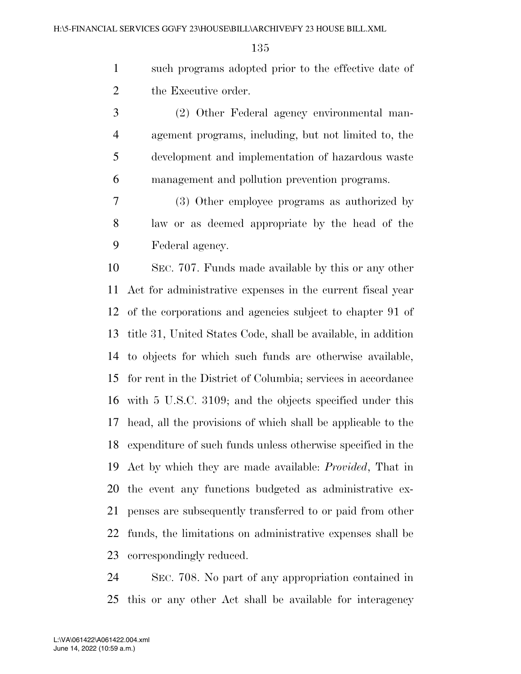such programs adopted prior to the effective date of the Executive order.

 (2) Other Federal agency environmental man- agement programs, including, but not limited to, the development and implementation of hazardous waste management and pollution prevention programs.

 (3) Other employee programs as authorized by law or as deemed appropriate by the head of the Federal agency.

 SEC. 707. Funds made available by this or any other Act for administrative expenses in the current fiscal year of the corporations and agencies subject to chapter 91 of title 31, United States Code, shall be available, in addition to objects for which such funds are otherwise available, for rent in the District of Columbia; services in accordance with 5 U.S.C. 3109; and the objects specified under this head, all the provisions of which shall be applicable to the expenditure of such funds unless otherwise specified in the Act by which they are made available: *Provided*, That in the event any functions budgeted as administrative ex- penses are subsequently transferred to or paid from other funds, the limitations on administrative expenses shall be correspondingly reduced.

 SEC. 708. No part of any appropriation contained in this or any other Act shall be available for interagency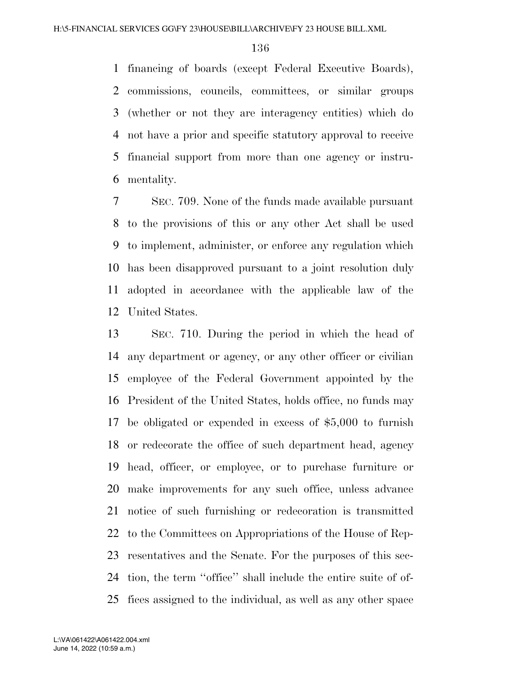financing of boards (except Federal Executive Boards), commissions, councils, committees, or similar groups (whether or not they are interagency entities) which do not have a prior and specific statutory approval to receive financial support from more than one agency or instru-mentality.

 SEC. 709. None of the funds made available pursuant to the provisions of this or any other Act shall be used to implement, administer, or enforce any regulation which has been disapproved pursuant to a joint resolution duly adopted in accordance with the applicable law of the United States.

 SEC. 710. During the period in which the head of any department or agency, or any other officer or civilian employee of the Federal Government appointed by the President of the United States, holds office, no funds may be obligated or expended in excess of \$5,000 to furnish or redecorate the office of such department head, agency head, officer, or employee, or to purchase furniture or make improvements for any such office, unless advance notice of such furnishing or redecoration is transmitted to the Committees on Appropriations of the House of Rep- resentatives and the Senate. For the purposes of this sec- tion, the term ''office'' shall include the entire suite of of-fices assigned to the individual, as well as any other space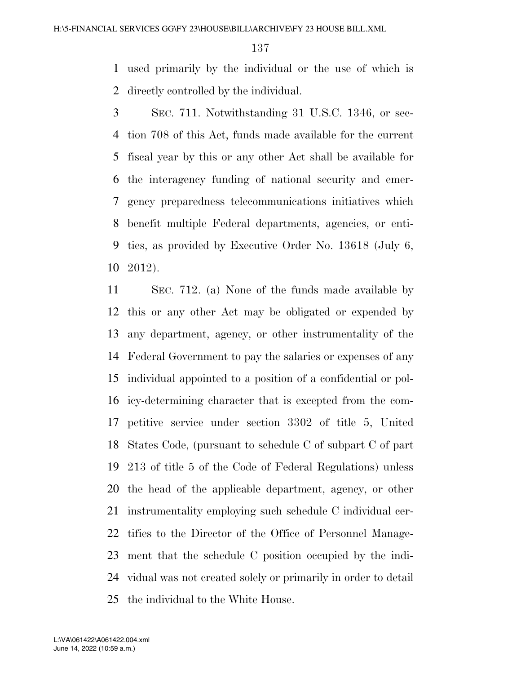used primarily by the individual or the use of which is directly controlled by the individual.

 SEC. 711. Notwithstanding 31 U.S.C. 1346, or sec- tion 708 of this Act, funds made available for the current fiscal year by this or any other Act shall be available for the interagency funding of national security and emer- gency preparedness telecommunications initiatives which benefit multiple Federal departments, agencies, or enti- ties, as provided by Executive Order No. 13618 (July 6, 2012).

 SEC. 712. (a) None of the funds made available by this or any other Act may be obligated or expended by any department, agency, or other instrumentality of the Federal Government to pay the salaries or expenses of any individual appointed to a position of a confidential or pol- icy-determining character that is excepted from the com- petitive service under section 3302 of title 5, United States Code, (pursuant to schedule C of subpart C of part 213 of title 5 of the Code of Federal Regulations) unless the head of the applicable department, agency, or other instrumentality employing such schedule C individual cer- tifies to the Director of the Office of Personnel Manage- ment that the schedule C position occupied by the indi- vidual was not created solely or primarily in order to detail the individual to the White House.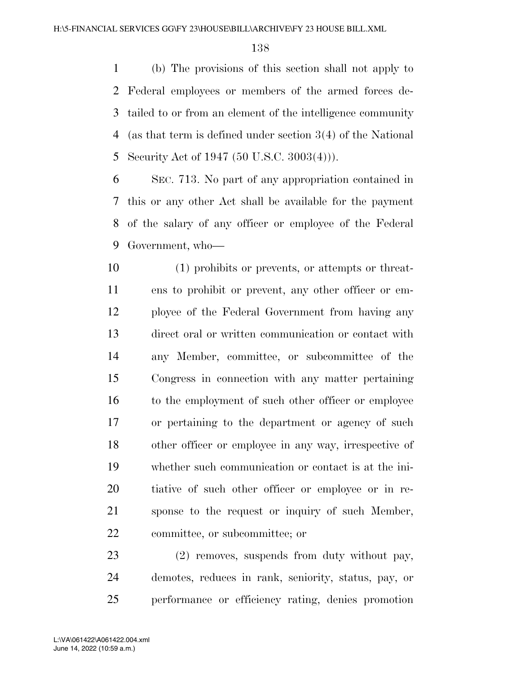(b) The provisions of this section shall not apply to Federal employees or members of the armed forces de- tailed to or from an element of the intelligence community (as that term is defined under section 3(4) of the National Security Act of 1947 (50 U.S.C. 3003(4))).

 SEC. 713. No part of any appropriation contained in this or any other Act shall be available for the payment of the salary of any officer or employee of the Federal Government, who—

 (1) prohibits or prevents, or attempts or threat- ens to prohibit or prevent, any other officer or em- ployee of the Federal Government from having any direct oral or written communication or contact with any Member, committee, or subcommittee of the Congress in connection with any matter pertaining 16 to the employment of such other officer or employee or pertaining to the department or agency of such other officer or employee in any way, irrespective of whether such communication or contact is at the ini- tiative of such other officer or employee or in re- sponse to the request or inquiry of such Member, committee, or subcommittee; or

 (2) removes, suspends from duty without pay, demotes, reduces in rank, seniority, status, pay, or performance or efficiency rating, denies promotion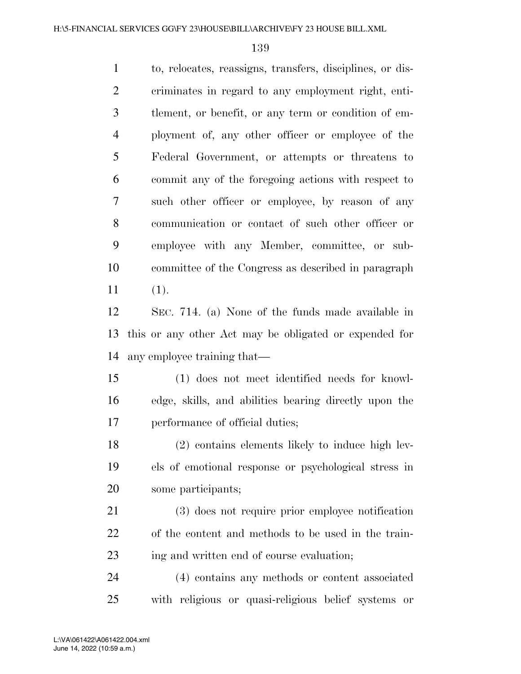to, relocates, reassigns, transfers, disciplines, or dis- criminates in regard to any employment right, enti- tlement, or benefit, or any term or condition of em- ployment of, any other officer or employee of the Federal Government, or attempts or threatens to commit any of the foregoing actions with respect to such other officer or employee, by reason of any communication or contact of such other officer or employee with any Member, committee, or sub- committee of the Congress as described in paragraph (1).

 SEC. 714. (a) None of the funds made available in this or any other Act may be obligated or expended for any employee training that—

 (1) does not meet identified needs for knowl- edge, skills, and abilities bearing directly upon the performance of official duties;

 (2) contains elements likely to induce high lev- els of emotional response or psychological stress in some participants;

 (3) does not require prior employee notification of the content and methods to be used in the train-ing and written end of course evaluation;

 (4) contains any methods or content associated with religious or quasi-religious belief systems or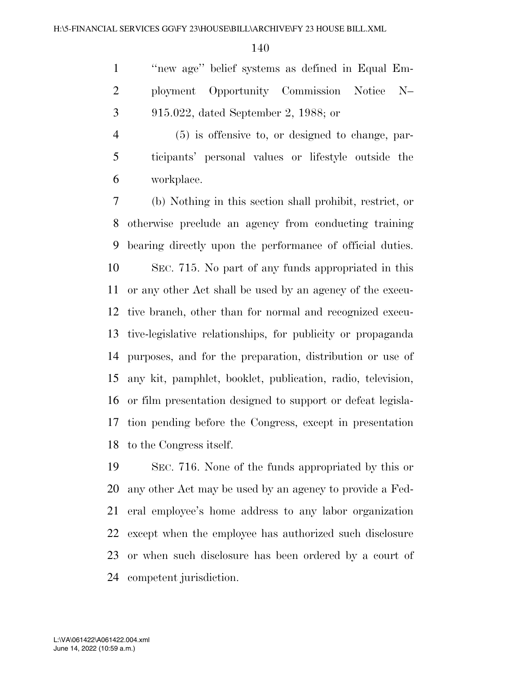''new age'' belief systems as defined in Equal Em- ployment Opportunity Commission Notice N– 915.022, dated September 2, 1988; or

 (5) is offensive to, or designed to change, par- ticipants' personal values or lifestyle outside the workplace.

 (b) Nothing in this section shall prohibit, restrict, or otherwise preclude an agency from conducting training bearing directly upon the performance of official duties. SEC. 715. No part of any funds appropriated in this or any other Act shall be used by an agency of the execu- tive branch, other than for normal and recognized execu- tive-legislative relationships, for publicity or propaganda purposes, and for the preparation, distribution or use of any kit, pamphlet, booklet, publication, radio, television, or film presentation designed to support or defeat legisla- tion pending before the Congress, except in presentation to the Congress itself.

 SEC. 716. None of the funds appropriated by this or any other Act may be used by an agency to provide a Fed- eral employee's home address to any labor organization except when the employee has authorized such disclosure or when such disclosure has been ordered by a court of competent jurisdiction.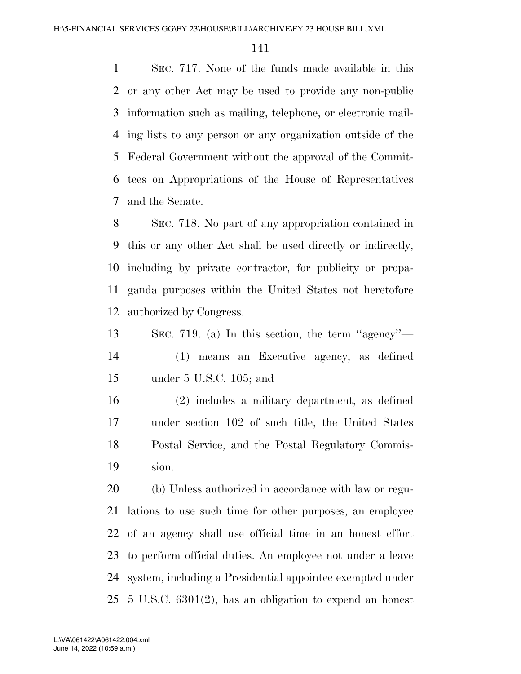SEC. 717. None of the funds made available in this or any other Act may be used to provide any non-public information such as mailing, telephone, or electronic mail- ing lists to any person or any organization outside of the Federal Government without the approval of the Commit- tees on Appropriations of the House of Representatives and the Senate.

 SEC. 718. No part of any appropriation contained in this or any other Act shall be used directly or indirectly, including by private contractor, for publicity or propa- ganda purposes within the United States not heretofore authorized by Congress.

 SEC. 719. (a) In this section, the term ''agency''— (1) means an Executive agency, as defined under 5 U.S.C. 105; and

 (2) includes a military department, as defined under section 102 of such title, the United States Postal Service, and the Postal Regulatory Commis-sion.

 (b) Unless authorized in accordance with law or regu- lations to use such time for other purposes, an employee of an agency shall use official time in an honest effort to perform official duties. An employee not under a leave system, including a Presidential appointee exempted under 5 U.S.C. 6301(2), has an obligation to expend an honest

June 14, 2022 (10:59 a.m.) L:\VA\061422\A061422.004.xml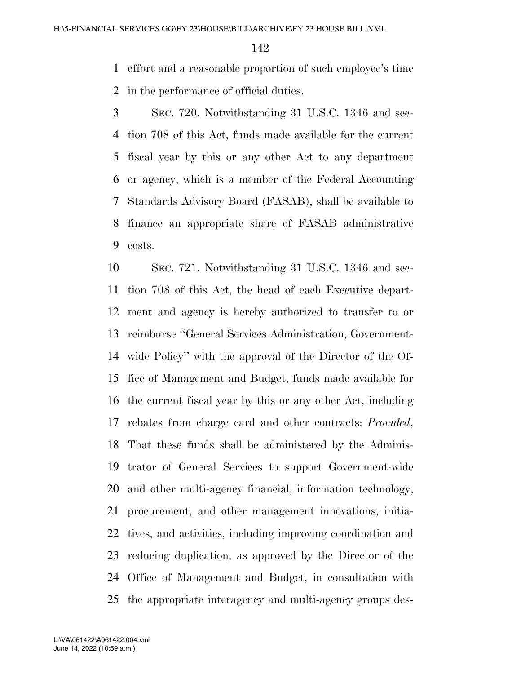effort and a reasonable proportion of such employee's time in the performance of official duties.

 SEC. 720. Notwithstanding 31 U.S.C. 1346 and sec- tion 708 of this Act, funds made available for the current fiscal year by this or any other Act to any department or agency, which is a member of the Federal Accounting Standards Advisory Board (FASAB), shall be available to finance an appropriate share of FASAB administrative costs.

 SEC. 721. Notwithstanding 31 U.S.C. 1346 and sec- tion 708 of this Act, the head of each Executive depart- ment and agency is hereby authorized to transfer to or reimburse ''General Services Administration, Government- wide Policy'' with the approval of the Director of the Of- fice of Management and Budget, funds made available for the current fiscal year by this or any other Act, including rebates from charge card and other contracts: *Provided*, That these funds shall be administered by the Adminis- trator of General Services to support Government-wide and other multi-agency financial, information technology, procurement, and other management innovations, initia- tives, and activities, including improving coordination and reducing duplication, as approved by the Director of the Office of Management and Budget, in consultation with the appropriate interagency and multi-agency groups des-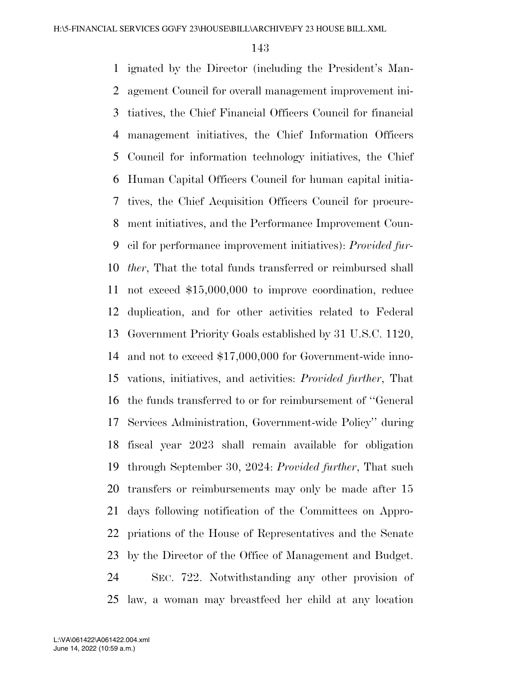ignated by the Director (including the President's Man- agement Council for overall management improvement ini- tiatives, the Chief Financial Officers Council for financial management initiatives, the Chief Information Officers Council for information technology initiatives, the Chief Human Capital Officers Council for human capital initia- tives, the Chief Acquisition Officers Council for procure- ment initiatives, and the Performance Improvement Coun- cil for performance improvement initiatives): *Provided fur- ther*, That the total funds transferred or reimbursed shall not exceed \$15,000,000 to improve coordination, reduce duplication, and for other activities related to Federal Government Priority Goals established by 31 U.S.C. 1120, and not to exceed \$17,000,000 for Government-wide inno- vations, initiatives, and activities: *Provided further*, That the funds transferred to or for reimbursement of ''General Services Administration, Government-wide Policy'' during fiscal year 2023 shall remain available for obligation through September 30, 2024: *Provided further*, That such transfers or reimbursements may only be made after 15 days following notification of the Committees on Appro- priations of the House of Representatives and the Senate by the Director of the Office of Management and Budget. SEC. 722. Notwithstanding any other provision of law, a woman may breastfeed her child at any location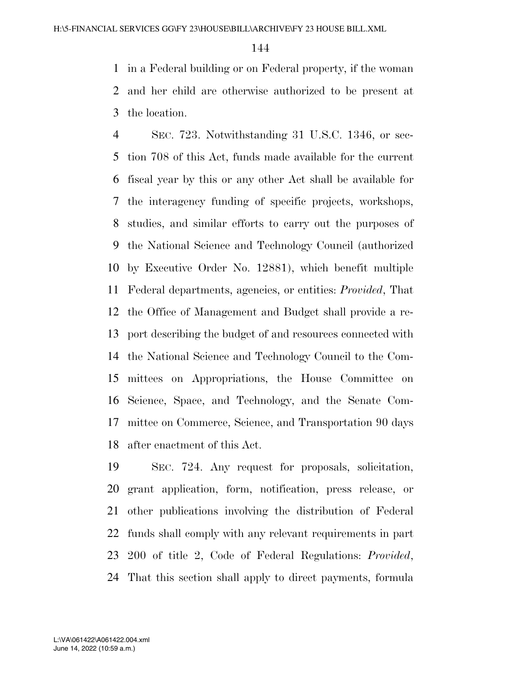in a Federal building or on Federal property, if the woman and her child are otherwise authorized to be present at the location.

 SEC. 723. Notwithstanding 31 U.S.C. 1346, or sec- tion 708 of this Act, funds made available for the current fiscal year by this or any other Act shall be available for the interagency funding of specific projects, workshops, studies, and similar efforts to carry out the purposes of the National Science and Technology Council (authorized by Executive Order No. 12881), which benefit multiple Federal departments, agencies, or entities: *Provided*, That the Office of Management and Budget shall provide a re- port describing the budget of and resources connected with the National Science and Technology Council to the Com- mittees on Appropriations, the House Committee on Science, Space, and Technology, and the Senate Com- mittee on Commerce, Science, and Transportation 90 days after enactment of this Act.

 SEC. 724. Any request for proposals, solicitation, grant application, form, notification, press release, or other publications involving the distribution of Federal funds shall comply with any relevant requirements in part 200 of title 2, Code of Federal Regulations: *Provided*, That this section shall apply to direct payments, formula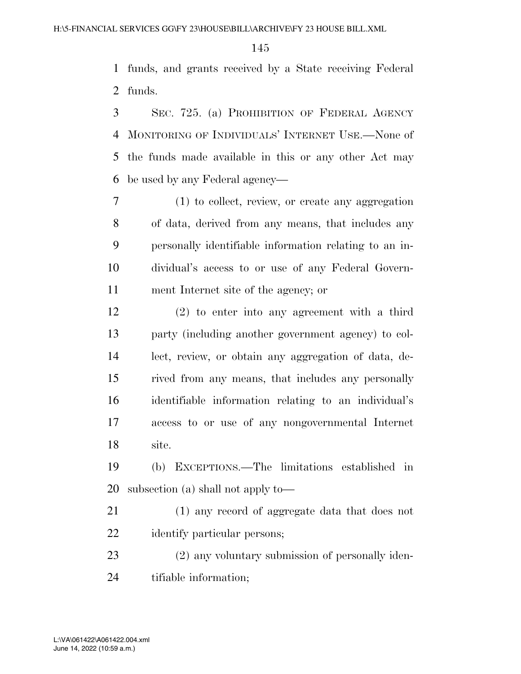funds, and grants received by a State receiving Federal funds.

 SEC. 725. (a) PROHIBITION OF FEDERAL AGENCY MONITORING OF INDIVIDUALS' INTERNET USE.—None of the funds made available in this or any other Act may be used by any Federal agency—

 (1) to collect, review, or create any aggregation of data, derived from any means, that includes any personally identifiable information relating to an in- dividual's access to or use of any Federal Govern-ment Internet site of the agency; or

 (2) to enter into any agreement with a third party (including another government agency) to col- lect, review, or obtain any aggregation of data, de- rived from any means, that includes any personally identifiable information relating to an individual's access to or use of any nongovernmental Internet site.

 (b) EXCEPTIONS.—The limitations established in subsection (a) shall not apply to—

 (1) any record of aggregate data that does not identify particular persons;

 (2) any voluntary submission of personally iden-tifiable information;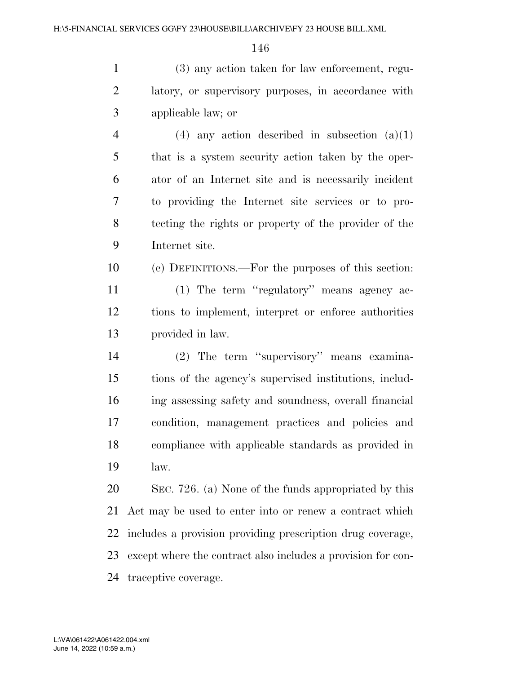(3) any action taken for law enforcement, regu- latory, or supervisory purposes, in accordance with applicable law; or

4 (4) any action described in subsection  $(a)(1)$  that is a system security action taken by the oper- ator of an Internet site and is necessarily incident to providing the Internet site services or to pro- tecting the rights or property of the provider of the Internet site.

 (c) DEFINITIONS.—For the purposes of this section: (1) The term ''regulatory'' means agency ac- tions to implement, interpret or enforce authorities provided in law.

 (2) The term ''supervisory'' means examina- tions of the agency's supervised institutions, includ- ing assessing safety and soundness, overall financial condition, management practices and policies and compliance with applicable standards as provided in law.

 SEC. 726. (a) None of the funds appropriated by this Act may be used to enter into or renew a contract which includes a provision providing prescription drug coverage, except where the contract also includes a provision for con-traceptive coverage.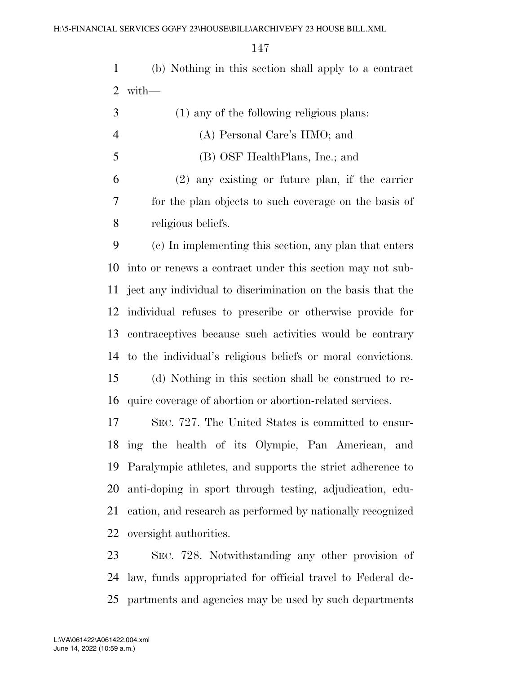(b) Nothing in this section shall apply to a contract with—

|    | (1) any of the following religious plans:             |  |
|----|-------------------------------------------------------|--|
|    | (A) Personal Care's HMO; and                          |  |
| -5 | (B) OSF HealthPlans, Inc.; and                        |  |
| 6  | $(2)$ any existing or future plan, if the carrier     |  |
|    | for the plan objects to such coverage on the basis of |  |
| 8  | religious beliefs.                                    |  |

 (c) In implementing this section, any plan that enters into or renews a contract under this section may not sub- ject any individual to discrimination on the basis that the individual refuses to prescribe or otherwise provide for contraceptives because such activities would be contrary to the individual's religious beliefs or moral convictions. (d) Nothing in this section shall be construed to re-quire coverage of abortion or abortion-related services.

 SEC. 727. The United States is committed to ensur- ing the health of its Olympic, Pan American, and Paralympic athletes, and supports the strict adherence to anti-doping in sport through testing, adjudication, edu- cation, and research as performed by nationally recognized oversight authorities.

 SEC. 728. Notwithstanding any other provision of law, funds appropriated for official travel to Federal de-partments and agencies may be used by such departments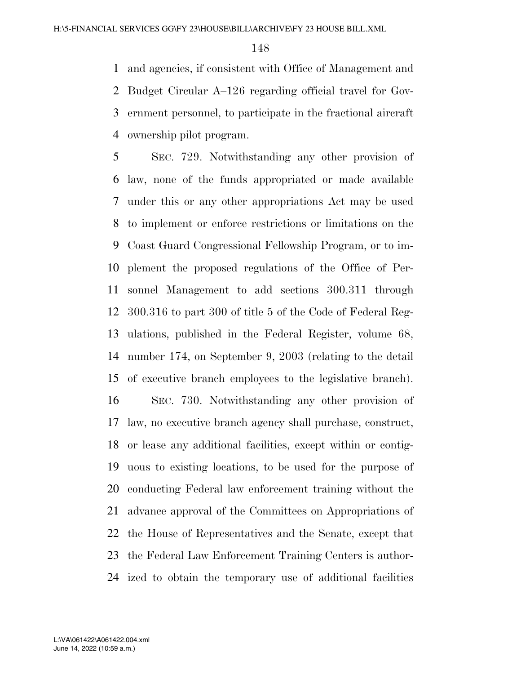and agencies, if consistent with Office of Management and Budget Circular A–126 regarding official travel for Gov- ernment personnel, to participate in the fractional aircraft ownership pilot program.

 SEC. 729. Notwithstanding any other provision of law, none of the funds appropriated or made available under this or any other appropriations Act may be used to implement or enforce restrictions or limitations on the Coast Guard Congressional Fellowship Program, or to im- plement the proposed regulations of the Office of Per- sonnel Management to add sections 300.311 through 300.316 to part 300 of title 5 of the Code of Federal Reg- ulations, published in the Federal Register, volume 68, number 174, on September 9, 2003 (relating to the detail of executive branch employees to the legislative branch). SEC. 730. Notwithstanding any other provision of law, no executive branch agency shall purchase, construct, or lease any additional facilities, except within or contig- uous to existing locations, to be used for the purpose of conducting Federal law enforcement training without the advance approval of the Committees on Appropriations of the House of Representatives and the Senate, except that the Federal Law Enforcement Training Centers is author-

ized to obtain the temporary use of additional facilities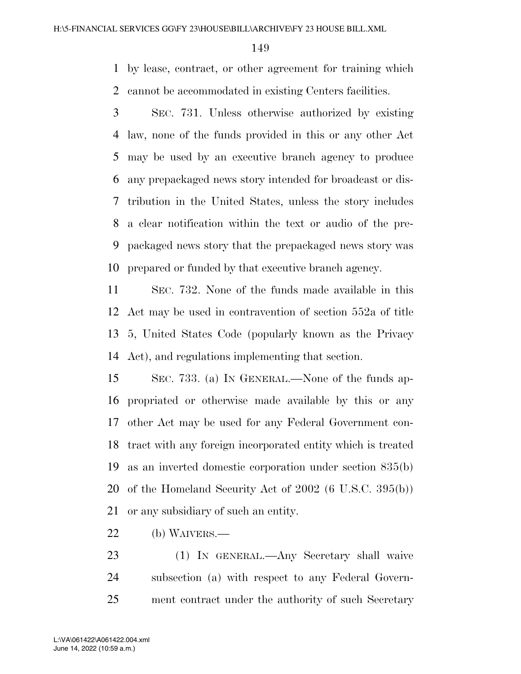by lease, contract, or other agreement for training which cannot be accommodated in existing Centers facilities.

 SEC. 731. Unless otherwise authorized by existing law, none of the funds provided in this or any other Act may be used by an executive branch agency to produce any prepackaged news story intended for broadcast or dis- tribution in the United States, unless the story includes a clear notification within the text or audio of the pre- packaged news story that the prepackaged news story was prepared or funded by that executive branch agency.

 SEC. 732. None of the funds made available in this Act may be used in contravention of section 552a of title 5, United States Code (popularly known as the Privacy Act), and regulations implementing that section.

 SEC. 733. (a) IN GENERAL.—None of the funds ap- propriated or otherwise made available by this or any other Act may be used for any Federal Government con- tract with any foreign incorporated entity which is treated as an inverted domestic corporation under section 835(b) of the Homeland Security Act of 2002 (6 U.S.C. 395(b)) or any subsidiary of such an entity.

(b) WAIVERS.—

 (1) IN GENERAL.—Any Secretary shall waive subsection (a) with respect to any Federal Govern-ment contract under the authority of such Secretary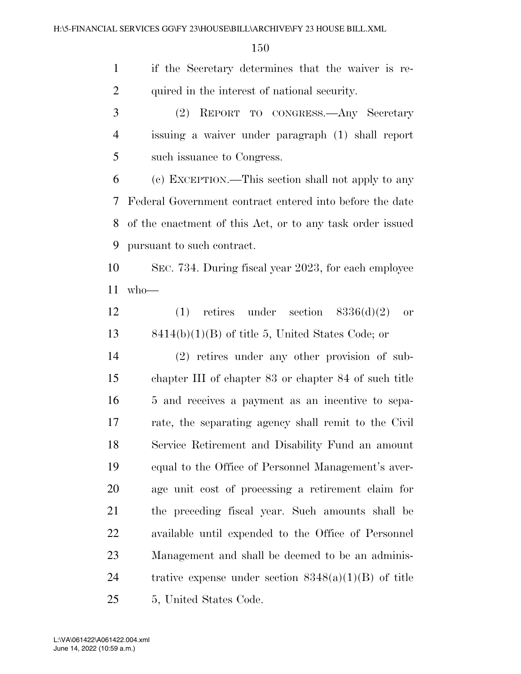if the Secretary determines that the waiver is re-2 quired in the interest of national security.

 (2) REPORT TO CONGRESS.—Any Secretary issuing a waiver under paragraph (1) shall report such issuance to Congress.

 (c) EXCEPTION.—This section shall not apply to any Federal Government contract entered into before the date of the enactment of this Act, or to any task order issued pursuant to such contract.

 SEC. 734. During fiscal year 2023, for each employee who—

12 (1) retires under section  $8336(d)(2)$  or 8414(b)(1)(B) of title 5, United States Code; or

 (2) retires under any other provision of sub- chapter III of chapter 83 or chapter 84 of such title 5 and receives a payment as an incentive to sepa- rate, the separating agency shall remit to the Civil Service Retirement and Disability Fund an amount equal to the Office of Personnel Management's aver- age unit cost of processing a retirement claim for the preceding fiscal year. Such amounts shall be available until expended to the Office of Personnel Management and shall be deemed to be an adminis-24 trative expense under section  $8348(a)(1)(B)$  of title 5, United States Code.

June 14, 2022 (10:59 a.m.) L:\VA\061422\A061422.004.xml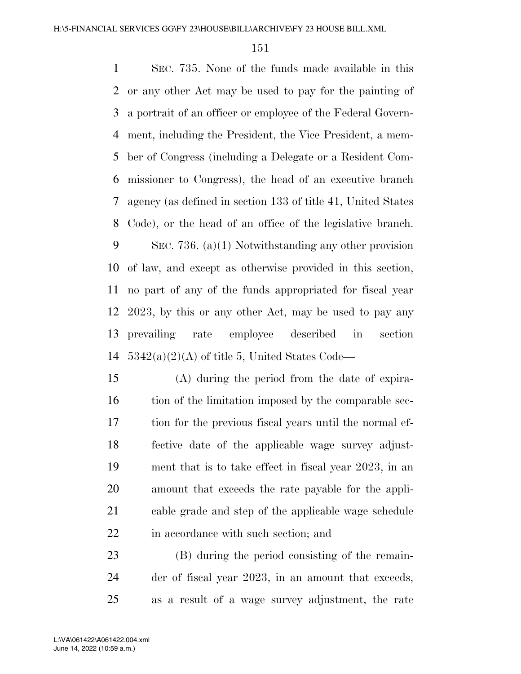SEC. 735. None of the funds made available in this or any other Act may be used to pay for the painting of a portrait of an officer or employee of the Federal Govern- ment, including the President, the Vice President, a mem- ber of Congress (including a Delegate or a Resident Com- missioner to Congress), the head of an executive branch agency (as defined in section 133 of title 41, United States Code), or the head of an office of the legislative branch. SEC. 736. (a)(1) Notwithstanding any other provision of law, and except as otherwise provided in this section, no part of any of the funds appropriated for fiscal year 2023, by this or any other Act, may be used to pay any prevailing rate employee described in section  $5342(a)(2)(A)$  of title 5, United States Code—

 (A) during the period from the date of expira-16 tion of the limitation imposed by the comparable sec- tion for the previous fiscal years until the normal ef- fective date of the applicable wage survey adjust- ment that is to take effect in fiscal year 2023, in an amount that exceeds the rate payable for the appli- cable grade and step of the applicable wage schedule 22 in accordance with such section; and

 (B) during the period consisting of the remain- der of fiscal year 2023, in an amount that exceeds, as a result of a wage survey adjustment, the rate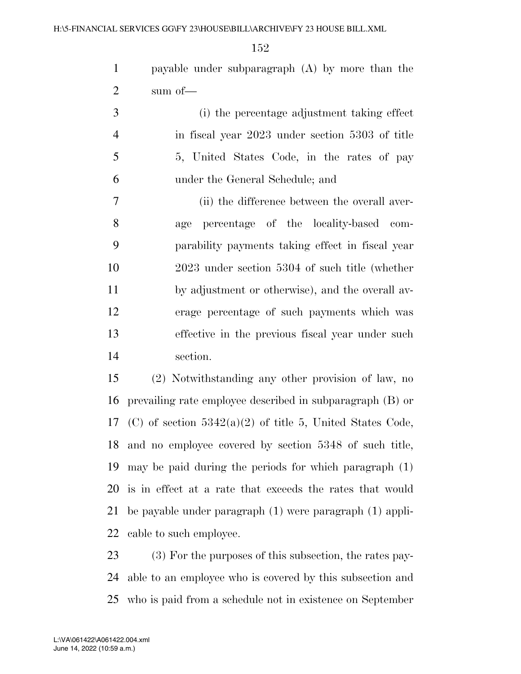payable under subparagraph (A) by more than the sum of—

 (i) the percentage adjustment taking effect in fiscal year 2023 under section 5303 of title 5, United States Code, in the rates of pay under the General Schedule; and

 (ii) the difference between the overall aver- age percentage of the locality-based com- parability payments taking effect in fiscal year 2023 under section 5304 of such title (whether by adjustment or otherwise), and the overall av- erage percentage of such payments which was effective in the previous fiscal year under such section.

 (2) Notwithstanding any other provision of law, no prevailing rate employee described in subparagraph (B) or 17 (C) of section  $5342(a)(2)$  of title 5, United States Code, and no employee covered by section 5348 of such title, may be paid during the periods for which paragraph (1) is in effect at a rate that exceeds the rates that would be payable under paragraph (1) were paragraph (1) appli-cable to such employee.

 (3) For the purposes of this subsection, the rates pay- able to an employee who is covered by this subsection and who is paid from a schedule not in existence on September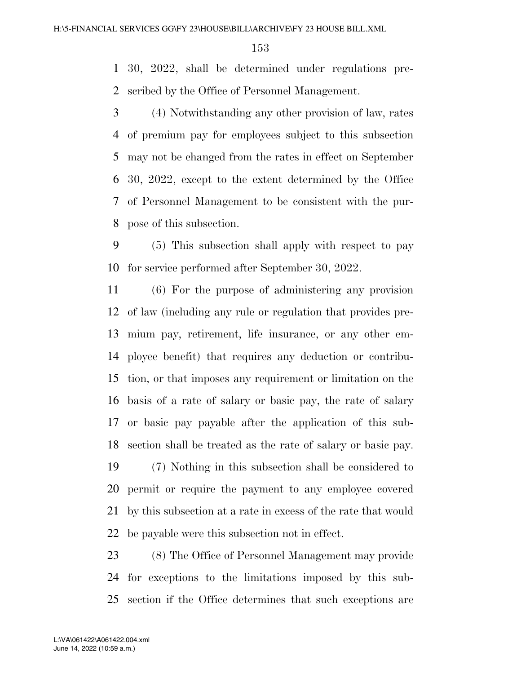30, 2022, shall be determined under regulations pre-scribed by the Office of Personnel Management.

 (4) Notwithstanding any other provision of law, rates of premium pay for employees subject to this subsection may not be changed from the rates in effect on September 30, 2022, except to the extent determined by the Office of Personnel Management to be consistent with the pur-pose of this subsection.

 (5) This subsection shall apply with respect to pay for service performed after September 30, 2022.

 (6) For the purpose of administering any provision of law (including any rule or regulation that provides pre- mium pay, retirement, life insurance, or any other em- ployee benefit) that requires any deduction or contribu- tion, or that imposes any requirement or limitation on the basis of a rate of salary or basic pay, the rate of salary or basic pay payable after the application of this sub-section shall be treated as the rate of salary or basic pay.

 (7) Nothing in this subsection shall be considered to permit or require the payment to any employee covered by this subsection at a rate in excess of the rate that would be payable were this subsection not in effect.

 (8) The Office of Personnel Management may provide for exceptions to the limitations imposed by this sub-section if the Office determines that such exceptions are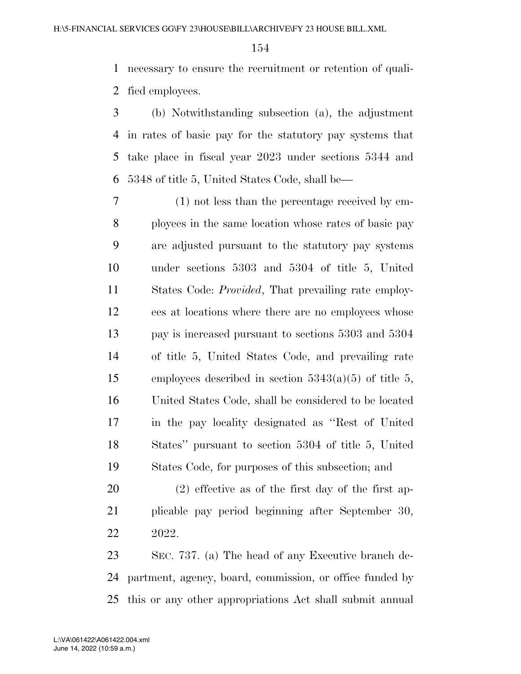necessary to ensure the recruitment or retention of quali-fied employees.

 (b) Notwithstanding subsection (a), the adjustment in rates of basic pay for the statutory pay systems that take place in fiscal year 2023 under sections 5344 and 5348 of title 5, United States Code, shall be—

 (1) not less than the percentage received by em- ployees in the same location whose rates of basic pay are adjusted pursuant to the statutory pay systems under sections 5303 and 5304 of title 5, United States Code: *Provided*, That prevailing rate employ- ees at locations where there are no employees whose pay is increased pursuant to sections 5303 and 5304 of title 5, United States Code, and prevailing rate 15 employees described in section  $5343(a)(5)$  of title 5, United States Code, shall be considered to be located in the pay locality designated as ''Rest of United States'' pursuant to section 5304 of title 5, United States Code, for purposes of this subsection; and

 (2) effective as of the first day of the first ap- plicable pay period beginning after September 30, 2022.

 SEC. 737. (a) The head of any Executive branch de- partment, agency, board, commission, or office funded by this or any other appropriations Act shall submit annual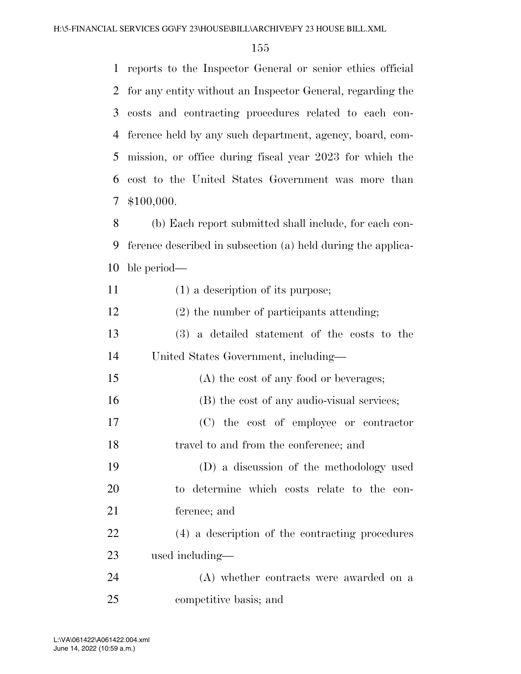| $\mathbf{1}$ | reports to the Inspector General or senior ethics official   |
|--------------|--------------------------------------------------------------|
| 2            | for any entity without an Inspector General, regarding the   |
| 3            | costs and contracting procedures related to each con-        |
| 4            | ference held by any such department, agency, board, com-     |
| 5            | mission, or office during fiscal year 2023 for which the     |
| 6            | cost to the United States Government was more than           |
| 7            | \$100,000.                                                   |
| 8            | (b) Each report submitted shall include, for each con-       |
| 9            | ference described in subsection (a) held during the applica- |
| 10           | ble period—                                                  |
| 11           | $(1)$ a description of its purpose;                          |
| 12           | $(2)$ the number of participants attending;                  |
| 13           | (3) a detailed statement of the costs to the                 |
| 14           | United States Government, including—                         |
| 15           | (A) the cost of any food or beverages;                       |
| 16           | (B) the cost of any audio-visual services;                   |

 (C) the cost of employee or contractor travel to and from the conference; and

 (D) a discussion of the methodology used to determine which costs relate to the con-ference; and

 (4) a description of the contracting procedures used including—

 (A) whether contracts were awarded on a competitive basis; and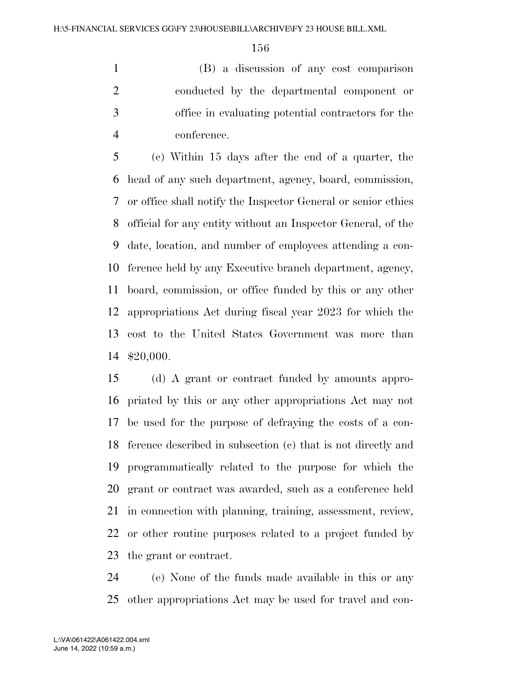(B) a discussion of any cost comparison conducted by the departmental component or office in evaluating potential contractors for the conference.

 (c) Within 15 days after the end of a quarter, the head of any such department, agency, board, commission, or office shall notify the Inspector General or senior ethics official for any entity without an Inspector General, of the date, location, and number of employees attending a con- ference held by any Executive branch department, agency, board, commission, or office funded by this or any other appropriations Act during fiscal year 2023 for which the cost to the United States Government was more than \$20,000.

 (d) A grant or contract funded by amounts appro- priated by this or any other appropriations Act may not be used for the purpose of defraying the costs of a con- ference described in subsection (c) that is not directly and programmatically related to the purpose for which the grant or contract was awarded, such as a conference held in connection with planning, training, assessment, review, or other routine purposes related to a project funded by the grant or contract.

 (e) None of the funds made available in this or any other appropriations Act may be used for travel and con-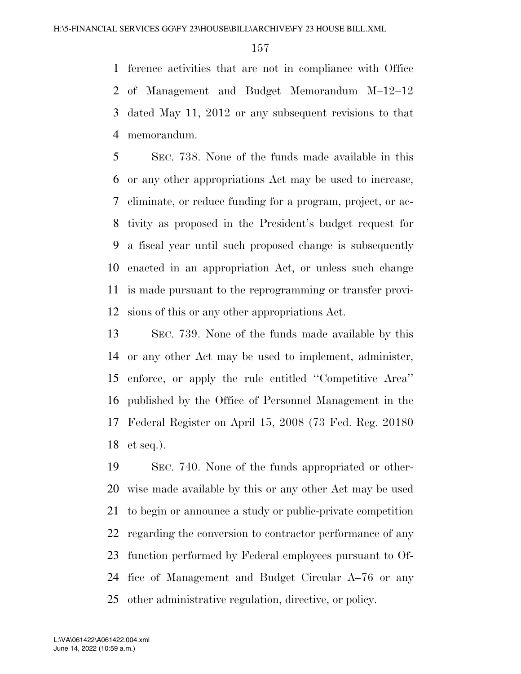ference activities that are not in compliance with Office of Management and Budget Memorandum M–12–12 dated May 11, 2012 or any subsequent revisions to that memorandum.

 SEC. 738. None of the funds made available in this or any other appropriations Act may be used to increase, eliminate, or reduce funding for a program, project, or ac- tivity as proposed in the President's budget request for a fiscal year until such proposed change is subsequently enacted in an appropriation Act, or unless such change is made pursuant to the reprogramming or transfer provi-sions of this or any other appropriations Act.

 SEC. 739. None of the funds made available by this or any other Act may be used to implement, administer, enforce, or apply the rule entitled ''Competitive Area'' published by the Office of Personnel Management in the Federal Register on April 15, 2008 (73 Fed. Reg. 20180 et seq.).

 SEC. 740. None of the funds appropriated or other- wise made available by this or any other Act may be used to begin or announce a study or public-private competition regarding the conversion to contractor performance of any function performed by Federal employees pursuant to Of- fice of Management and Budget Circular A–76 or any other administrative regulation, directive, or policy.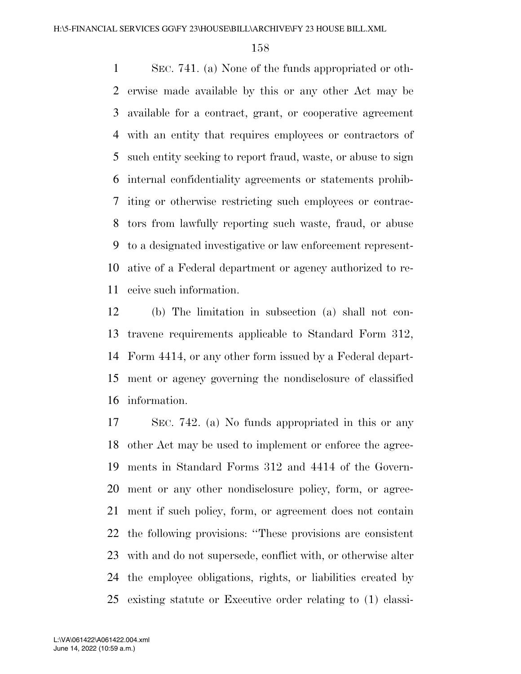SEC. 741. (a) None of the funds appropriated or oth- erwise made available by this or any other Act may be available for a contract, grant, or cooperative agreement with an entity that requires employees or contractors of such entity seeking to report fraud, waste, or abuse to sign internal confidentiality agreements or statements prohib- iting or otherwise restricting such employees or contrac- tors from lawfully reporting such waste, fraud, or abuse to a designated investigative or law enforcement represent- ative of a Federal department or agency authorized to re-ceive such information.

 (b) The limitation in subsection (a) shall not con- travene requirements applicable to Standard Form 312, Form 4414, or any other form issued by a Federal depart- ment or agency governing the nondisclosure of classified information.

 SEC. 742. (a) No funds appropriated in this or any other Act may be used to implement or enforce the agree- ments in Standard Forms 312 and 4414 of the Govern- ment or any other nondisclosure policy, form, or agree- ment if such policy, form, or agreement does not contain the following provisions: ''These provisions are consistent with and do not supersede, conflict with, or otherwise alter the employee obligations, rights, or liabilities created by existing statute or Executive order relating to (1) classi-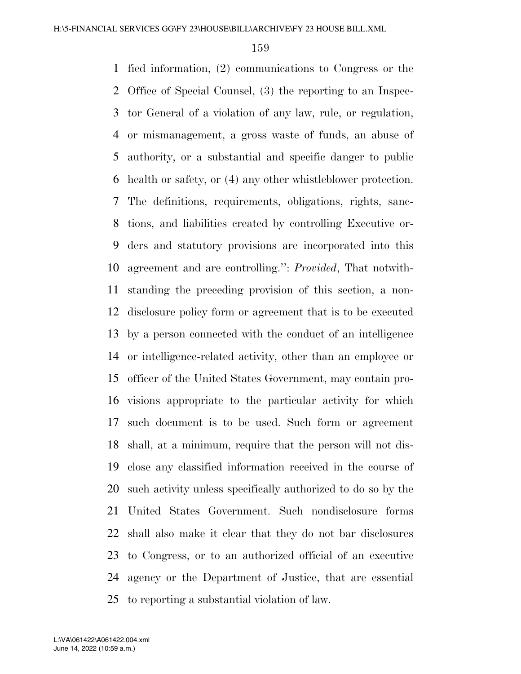fied information, (2) communications to Congress or the Office of Special Counsel, (3) the reporting to an Inspec- tor General of a violation of any law, rule, or regulation, or mismanagement, a gross waste of funds, an abuse of authority, or a substantial and specific danger to public health or safety, or (4) any other whistleblower protection. The definitions, requirements, obligations, rights, sanc- tions, and liabilities created by controlling Executive or- ders and statutory provisions are incorporated into this agreement and are controlling.'': *Provided*, That notwith- standing the preceding provision of this section, a non- disclosure policy form or agreement that is to be executed by a person connected with the conduct of an intelligence or intelligence-related activity, other than an employee or officer of the United States Government, may contain pro- visions appropriate to the particular activity for which such document is to be used. Such form or agreement shall, at a minimum, require that the person will not dis- close any classified information received in the course of such activity unless specifically authorized to do so by the United States Government. Such nondisclosure forms shall also make it clear that they do not bar disclosures to Congress, or to an authorized official of an executive agency or the Department of Justice, that are essential to reporting a substantial violation of law.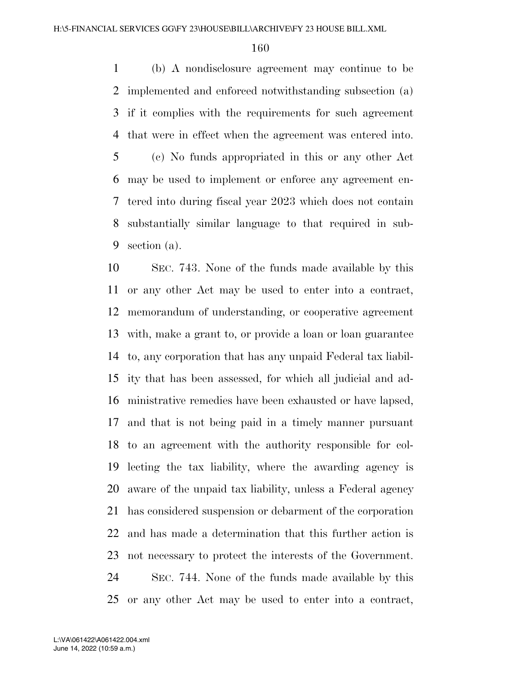(b) A nondisclosure agreement may continue to be implemented and enforced notwithstanding subsection (a) if it complies with the requirements for such agreement that were in effect when the agreement was entered into. (c) No funds appropriated in this or any other Act may be used to implement or enforce any agreement en- tered into during fiscal year 2023 which does not contain substantially similar language to that required in sub-section (a).

 SEC. 743. None of the funds made available by this or any other Act may be used to enter into a contract, memorandum of understanding, or cooperative agreement with, make a grant to, or provide a loan or loan guarantee to, any corporation that has any unpaid Federal tax liabil- ity that has been assessed, for which all judicial and ad- ministrative remedies have been exhausted or have lapsed, and that is not being paid in a timely manner pursuant to an agreement with the authority responsible for col- lecting the tax liability, where the awarding agency is aware of the unpaid tax liability, unless a Federal agency has considered suspension or debarment of the corporation and has made a determination that this further action is not necessary to protect the interests of the Government. SEC. 744. None of the funds made available by this or any other Act may be used to enter into a contract,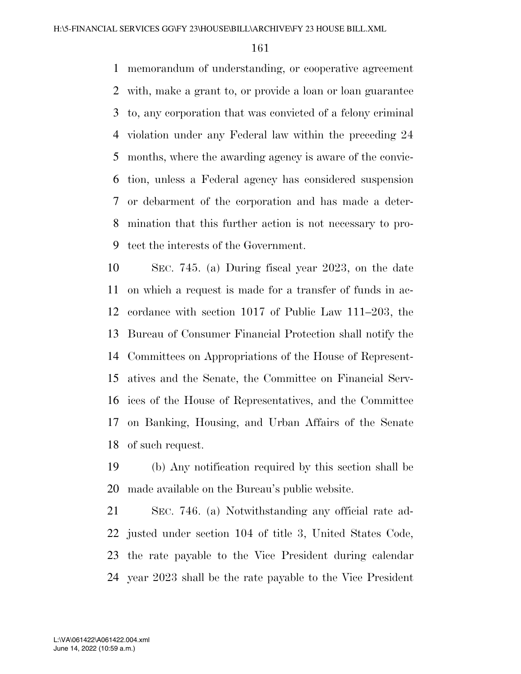memorandum of understanding, or cooperative agreement with, make a grant to, or provide a loan or loan guarantee to, any corporation that was convicted of a felony criminal violation under any Federal law within the preceding 24 months, where the awarding agency is aware of the convic- tion, unless a Federal agency has considered suspension or debarment of the corporation and has made a deter- mination that this further action is not necessary to pro-tect the interests of the Government.

 SEC. 745. (a) During fiscal year 2023, on the date on which a request is made for a transfer of funds in ac- cordance with section 1017 of Public Law 111–203, the Bureau of Consumer Financial Protection shall notify the Committees on Appropriations of the House of Represent- atives and the Senate, the Committee on Financial Serv- ices of the House of Representatives, and the Committee on Banking, Housing, and Urban Affairs of the Senate of such request.

 (b) Any notification required by this section shall be made available on the Bureau's public website.

 SEC. 746. (a) Notwithstanding any official rate ad- justed under section 104 of title 3, United States Code, the rate payable to the Vice President during calendar year 2023 shall be the rate payable to the Vice President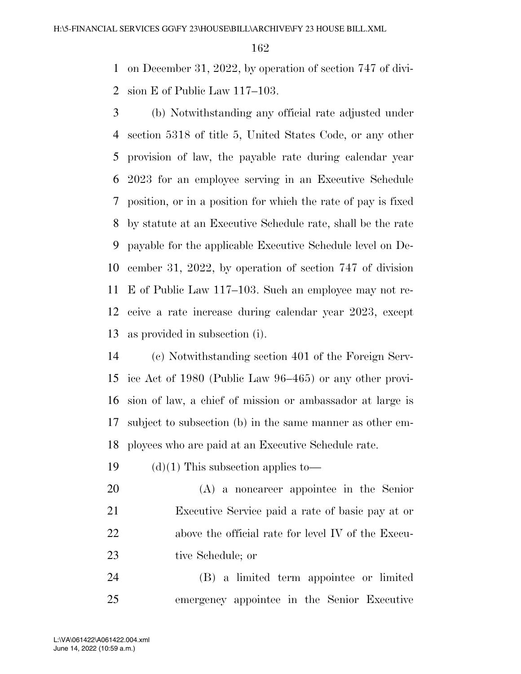on December 31, 2022, by operation of section 747 of divi-sion E of Public Law 117–103.

 (b) Notwithstanding any official rate adjusted under section 5318 of title 5, United States Code, or any other provision of law, the payable rate during calendar year 2023 for an employee serving in an Executive Schedule position, or in a position for which the rate of pay is fixed by statute at an Executive Schedule rate, shall be the rate payable for the applicable Executive Schedule level on De- cember 31, 2022, by operation of section 747 of division E of Public Law 117–103. Such an employee may not re- ceive a rate increase during calendar year 2023, except as provided in subsection (i).

 (c) Notwithstanding section 401 of the Foreign Serv- ice Act of 1980 (Public Law 96–465) or any other provi- sion of law, a chief of mission or ambassador at large is subject to subsection (b) in the same manner as other em-ployees who are paid at an Executive Schedule rate.

19  $(d)(1)$  This subsection applies to—

 (A) a noncareer appointee in the Senior Executive Service paid a rate of basic pay at or above the official rate for level IV of the Execu-tive Schedule; or

 (B) a limited term appointee or limited emergency appointee in the Senior Executive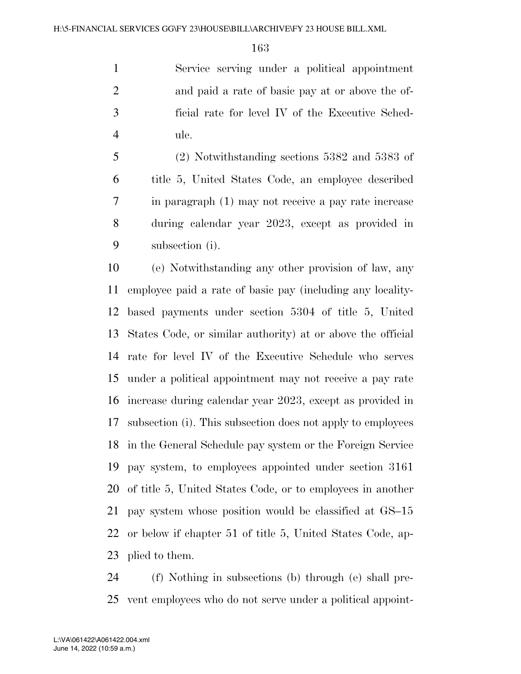Service serving under a political appointment and paid a rate of basic pay at or above the of- ficial rate for level IV of the Executive Sched-ule.

 (2) Notwithstanding sections 5382 and 5383 of title 5, United States Code, an employee described in paragraph (1) may not receive a pay rate increase during calendar year 2023, except as provided in subsection (i).

 (e) Notwithstanding any other provision of law, any employee paid a rate of basic pay (including any locality- based payments under section 5304 of title 5, United States Code, or similar authority) at or above the official rate for level IV of the Executive Schedule who serves under a political appointment may not receive a pay rate increase during calendar year 2023, except as provided in subsection (i). This subsection does not apply to employees in the General Schedule pay system or the Foreign Service pay system, to employees appointed under section 3161 of title 5, United States Code, or to employees in another pay system whose position would be classified at GS–15 or below if chapter 51 of title 5, United States Code, ap-plied to them.

 (f) Nothing in subsections (b) through (e) shall pre-vent employees who do not serve under a political appoint-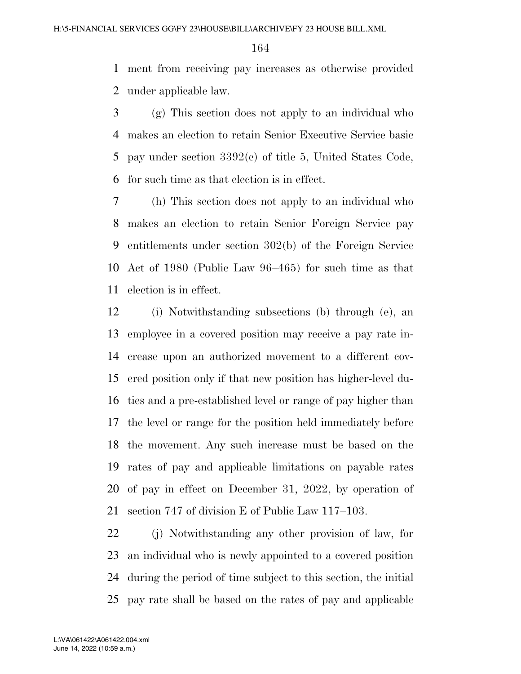ment from receiving pay increases as otherwise provided under applicable law.

 (g) This section does not apply to an individual who makes an election to retain Senior Executive Service basic pay under section 3392(c) of title 5, United States Code, for such time as that election is in effect.

 (h) This section does not apply to an individual who makes an election to retain Senior Foreign Service pay entitlements under section 302(b) of the Foreign Service Act of 1980 (Public Law 96–465) for such time as that election is in effect.

 (i) Notwithstanding subsections (b) through (e), an employee in a covered position may receive a pay rate in- crease upon an authorized movement to a different cov- ered position only if that new position has higher-level du- ties and a pre-established level or range of pay higher than the level or range for the position held immediately before the movement. Any such increase must be based on the rates of pay and applicable limitations on payable rates of pay in effect on December 31, 2022, by operation of section 747 of division E of Public Law 117–103.

 (j) Notwithstanding any other provision of law, for an individual who is newly appointed to a covered position during the period of time subject to this section, the initial pay rate shall be based on the rates of pay and applicable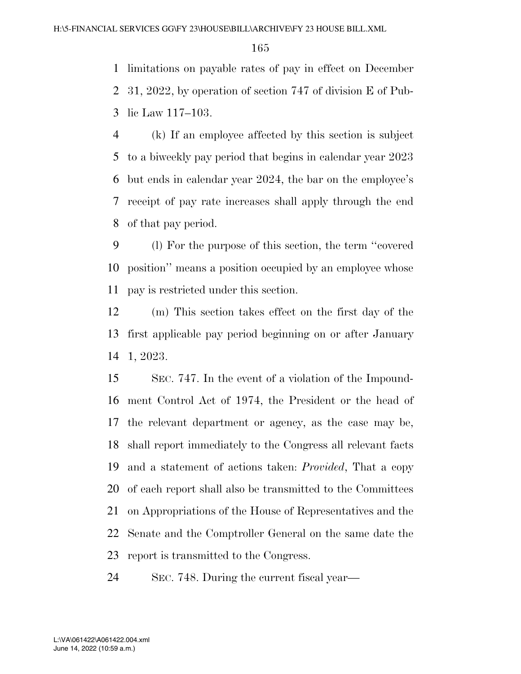limitations on payable rates of pay in effect on December 31, 2022, by operation of section 747 of division E of Pub-lic Law 117–103.

 (k) If an employee affected by this section is subject to a biweekly pay period that begins in calendar year 2023 but ends in calendar year 2024, the bar on the employee's receipt of pay rate increases shall apply through the end of that pay period.

 (l) For the purpose of this section, the term ''covered position'' means a position occupied by an employee whose pay is restricted under this section.

 (m) This section takes effect on the first day of the first applicable pay period beginning on or after January 1, 2023.

 SEC. 747. In the event of a violation of the Impound- ment Control Act of 1974, the President or the head of the relevant department or agency, as the case may be, shall report immediately to the Congress all relevant facts and a statement of actions taken: *Provided*, That a copy of each report shall also be transmitted to the Committees on Appropriations of the House of Representatives and the Senate and the Comptroller General on the same date the report is transmitted to the Congress.

SEC. 748. During the current fiscal year—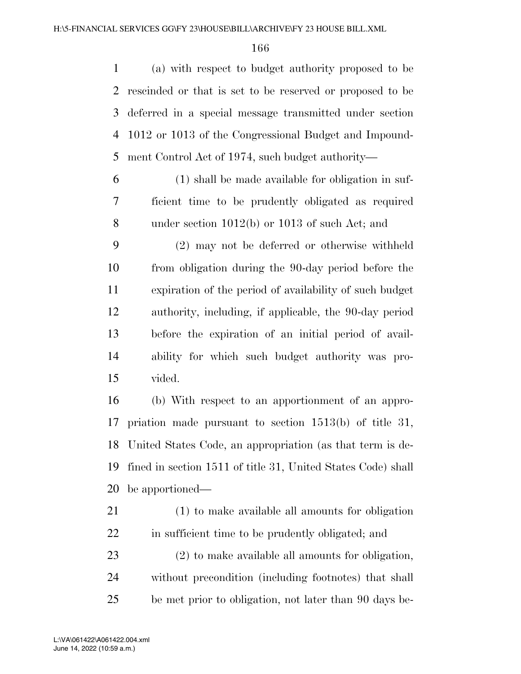(a) with respect to budget authority proposed to be rescinded or that is set to be reserved or proposed to be deferred in a special message transmitted under section 1012 or 1013 of the Congressional Budget and Impound-ment Control Act of 1974, such budget authority—

 (1) shall be made available for obligation in suf- ficient time to be prudently obligated as required under section 1012(b) or 1013 of such Act; and

 (2) may not be deferred or otherwise withheld from obligation during the 90-day period before the expiration of the period of availability of such budget authority, including, if applicable, the 90-day period before the expiration of an initial period of avail- ability for which such budget authority was pro-vided.

 (b) With respect to an apportionment of an appro- priation made pursuant to section 1513(b) of title 31, United States Code, an appropriation (as that term is de- fined in section 1511 of title 31, United States Code) shall be apportioned—

 (1) to make available all amounts for obligation in sufficient time to be prudently obligated; and

 (2) to make available all amounts for obligation, without precondition (including footnotes) that shall be met prior to obligation, not later than 90 days be-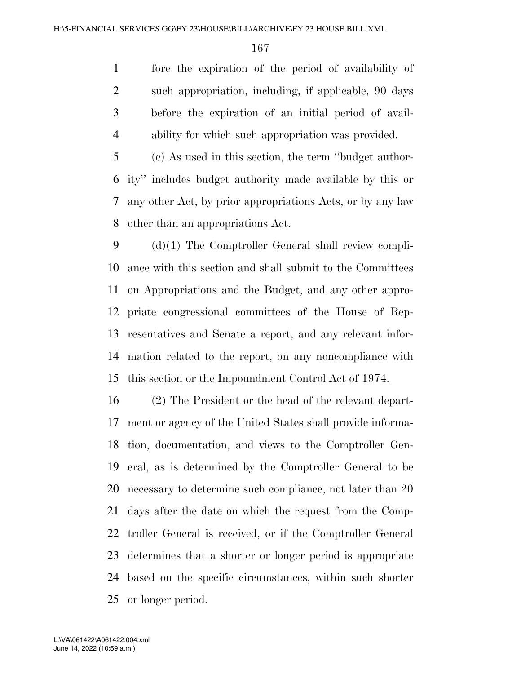fore the expiration of the period of availability of such appropriation, including, if applicable, 90 days before the expiration of an initial period of avail-ability for which such appropriation was provided.

 (c) As used in this section, the term ''budget author- ity'' includes budget authority made available by this or any other Act, by prior appropriations Acts, or by any law other than an appropriations Act.

 (d)(1) The Comptroller General shall review compli- ance with this section and shall submit to the Committees on Appropriations and the Budget, and any other appro- priate congressional committees of the House of Rep- resentatives and Senate a report, and any relevant infor- mation related to the report, on any noncompliance with this section or the Impoundment Control Act of 1974.

 (2) The President or the head of the relevant depart- ment or agency of the United States shall provide informa- tion, documentation, and views to the Comptroller Gen- eral, as is determined by the Comptroller General to be necessary to determine such compliance, not later than 20 days after the date on which the request from the Comp- troller General is received, or if the Comptroller General determines that a shorter or longer period is appropriate based on the specific circumstances, within such shorter or longer period.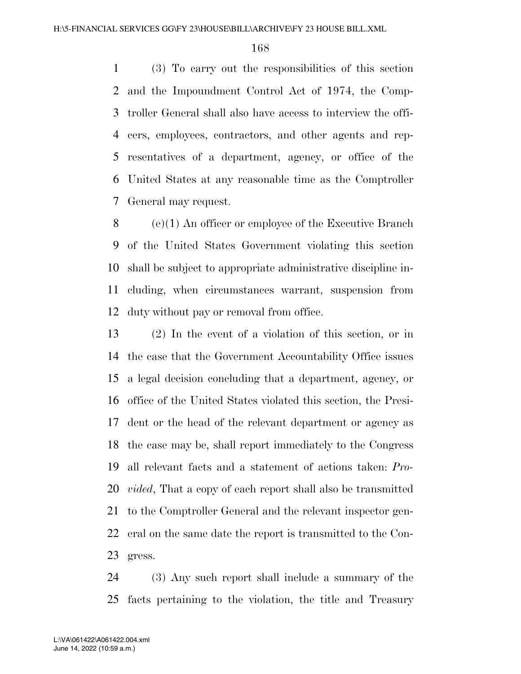(3) To carry out the responsibilities of this section and the Impoundment Control Act of 1974, the Comp- troller General shall also have access to interview the offi- cers, employees, contractors, and other agents and rep- resentatives of a department, agency, or office of the United States at any reasonable time as the Comptroller General may request.

 (e)(1) An officer or employee of the Executive Branch of the United States Government violating this section shall be subject to appropriate administrative discipline in- cluding, when circumstances warrant, suspension from duty without pay or removal from office.

 (2) In the event of a violation of this section, or in the case that the Government Accountability Office issues a legal decision concluding that a department, agency, or office of the United States violated this section, the Presi- dent or the head of the relevant department or agency as the case may be, shall report immediately to the Congress all relevant facts and a statement of actions taken: *Pro- vided*, That a copy of each report shall also be transmitted to the Comptroller General and the relevant inspector gen- eral on the same date the report is transmitted to the Con-gress.

 (3) Any such report shall include a summary of the facts pertaining to the violation, the title and Treasury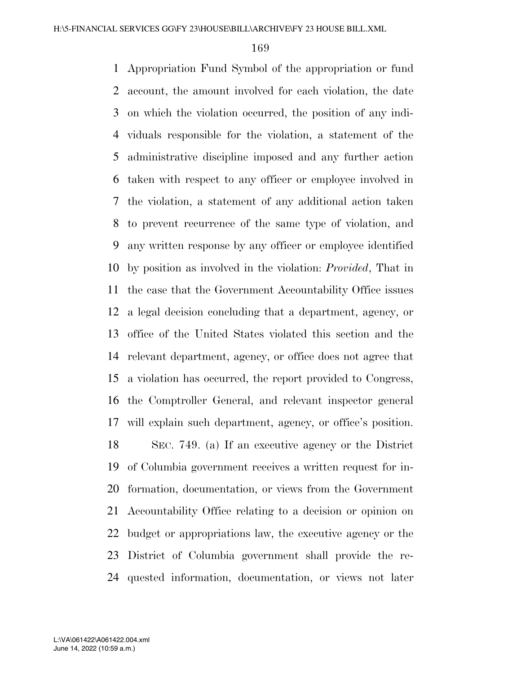Appropriation Fund Symbol of the appropriation or fund account, the amount involved for each violation, the date on which the violation occurred, the position of any indi- viduals responsible for the violation, a statement of the administrative discipline imposed and any further action taken with respect to any officer or employee involved in the violation, a statement of any additional action taken to prevent recurrence of the same type of violation, and any written response by any officer or employee identified by position as involved in the violation: *Provided*, That in the case that the Government Accountability Office issues a legal decision concluding that a department, agency, or office of the United States violated this section and the relevant department, agency, or office does not agree that a violation has occurred, the report provided to Congress, the Comptroller General, and relevant inspector general will explain such department, agency, or office's position. SEC. 749. (a) If an executive agency or the District of Columbia government receives a written request for in- formation, documentation, or views from the Government Accountability Office relating to a decision or opinion on budget or appropriations law, the executive agency or the District of Columbia government shall provide the re-quested information, documentation, or views not later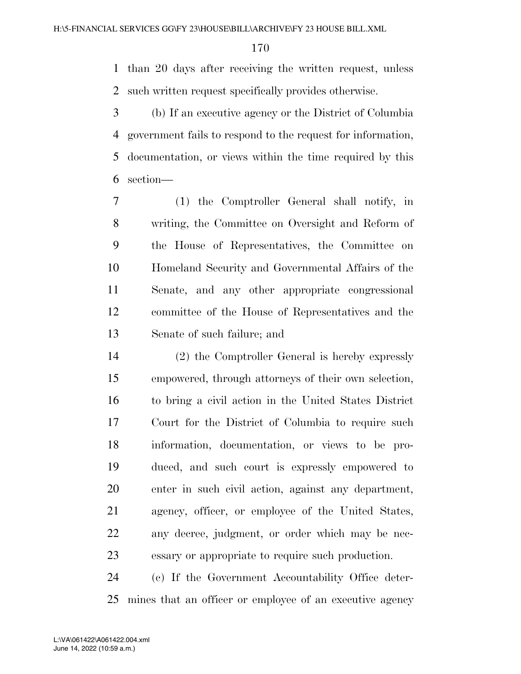than 20 days after receiving the written request, unless such written request specifically provides otherwise.

 (b) If an executive agency or the District of Columbia government fails to respond to the request for information, documentation, or views within the time required by this section—

 (1) the Comptroller General shall notify, in writing, the Committee on Oversight and Reform of the House of Representatives, the Committee on Homeland Security and Governmental Affairs of the Senate, and any other appropriate congressional committee of the House of Representatives and the Senate of such failure; and

 (2) the Comptroller General is hereby expressly empowered, through attorneys of their own selection, to bring a civil action in the United States District Court for the District of Columbia to require such information, documentation, or views to be pro- duced, and such court is expressly empowered to enter in such civil action, against any department, agency, officer, or employee of the United States, any decree, judgment, or order which may be nec-essary or appropriate to require such production.

 (c) If the Government Accountability Office deter-mines that an officer or employee of an executive agency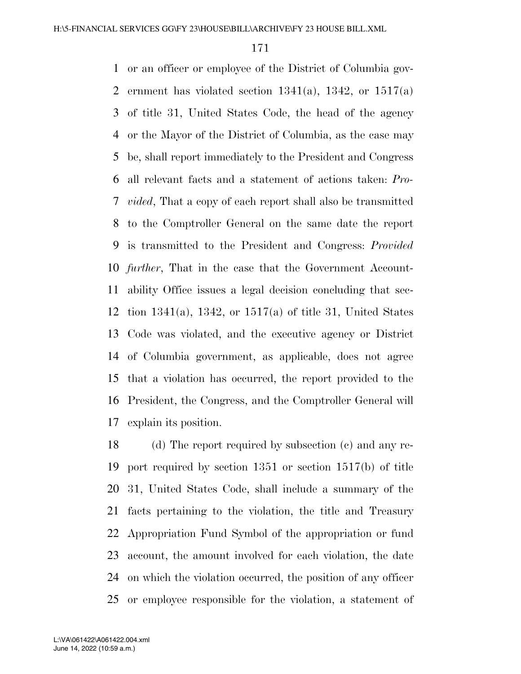or an officer or employee of the District of Columbia gov-2 ernment has violated section  $1341(a)$ ,  $1342$ , or  $1517(a)$  of title 31, United States Code, the head of the agency or the Mayor of the District of Columbia, as the case may be, shall report immediately to the President and Congress all relevant facts and a statement of actions taken: *Pro- vided*, That a copy of each report shall also be transmitted to the Comptroller General on the same date the report is transmitted to the President and Congress: *Provided further*, That in the case that the Government Account- ability Office issues a legal decision concluding that sec- tion 1341(a), 1342, or 1517(a) of title 31, United States Code was violated, and the executive agency or District of Columbia government, as applicable, does not agree that a violation has occurred, the report provided to the President, the Congress, and the Comptroller General will explain its position.

 (d) The report required by subsection (c) and any re- port required by section 1351 or section 1517(b) of title 31, United States Code, shall include a summary of the facts pertaining to the violation, the title and Treasury Appropriation Fund Symbol of the appropriation or fund account, the amount involved for each violation, the date on which the violation occurred, the position of any officer or employee responsible for the violation, a statement of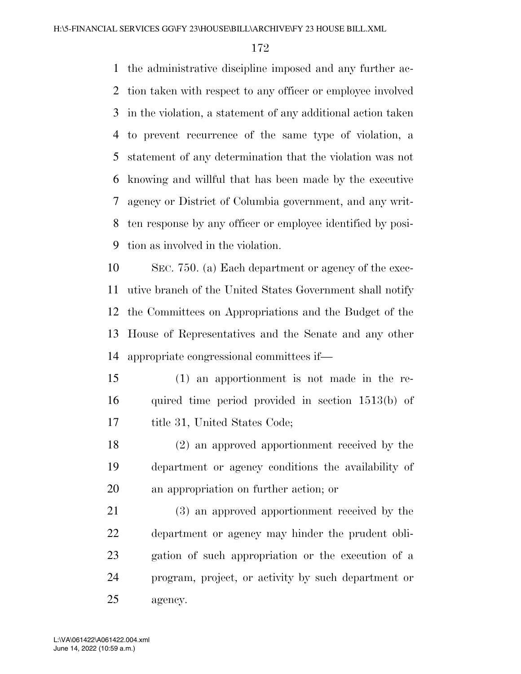the administrative discipline imposed and any further ac- tion taken with respect to any officer or employee involved in the violation, a statement of any additional action taken to prevent recurrence of the same type of violation, a statement of any determination that the violation was not knowing and willful that has been made by the executive agency or District of Columbia government, and any writ- ten response by any officer or employee identified by posi-tion as involved in the violation.

 SEC. 750. (a) Each department or agency of the exec- utive branch of the United States Government shall notify the Committees on Appropriations and the Budget of the House of Representatives and the Senate and any other appropriate congressional committees if—

 (1) an apportionment is not made in the re- quired time period provided in section 1513(b) of title 31, United States Code;

 (2) an approved apportionment received by the department or agency conditions the availability of an appropriation on further action; or

 (3) an approved apportionment received by the department or agency may hinder the prudent obli- gation of such appropriation or the execution of a program, project, or activity by such department or agency.

June 14, 2022 (10:59 a.m.) L:\VA\061422\A061422.004.xml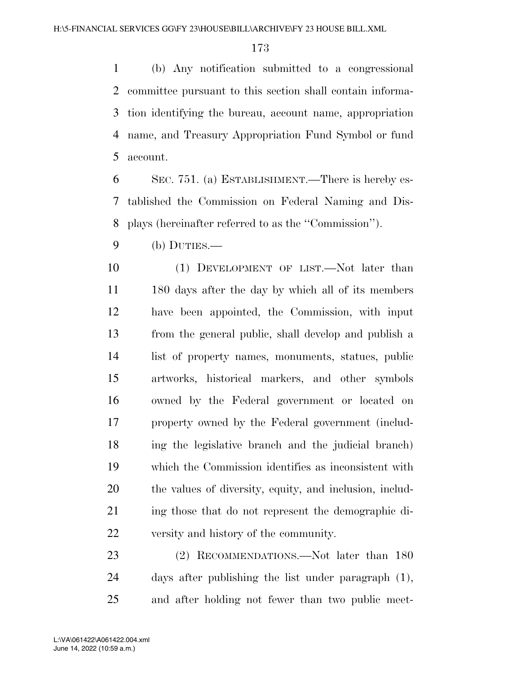(b) Any notification submitted to a congressional committee pursuant to this section shall contain informa- tion identifying the bureau, account name, appropriation name, and Treasury Appropriation Fund Symbol or fund account.

 SEC. 751. (a) ESTABLISHMENT.—There is hereby es- tablished the Commission on Federal Naming and Dis-plays (hereinafter referred to as the ''Commission'').

(b) DUTIES.—

 (1) DEVELOPMENT OF LIST.—Not later than 11 180 days after the day by which all of its members have been appointed, the Commission, with input from the general public, shall develop and publish a list of property names, monuments, statues, public artworks, historical markers, and other symbols owned by the Federal government or located on property owned by the Federal government (includ- ing the legislative branch and the judicial branch) which the Commission identifies as inconsistent with the values of diversity, equity, and inclusion, includ- ing those that do not represent the demographic di-versity and history of the community.

23 (2) RECOMMENDATIONS.—Not later than 180 days after publishing the list under paragraph (1), and after holding not fewer than two public meet-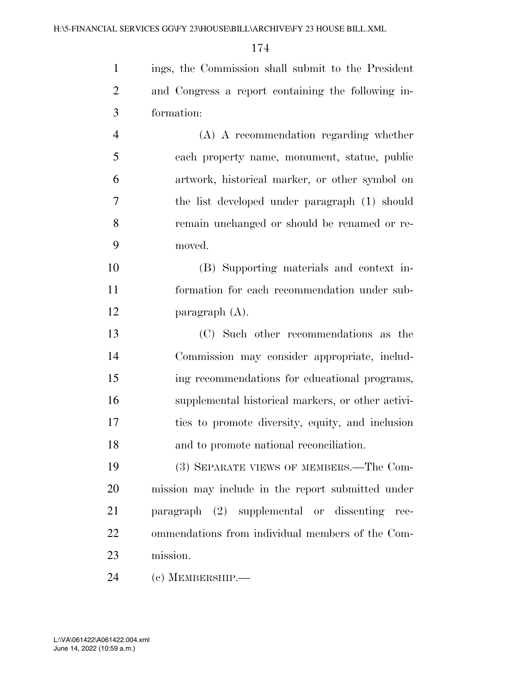ings, the Commission shall submit to the President and Congress a report containing the following in- formation: (A) A recommendation regarding whether each property name, monument, statue, public artwork, historical marker, or other symbol on

 the list developed under paragraph (1) should remain unchanged or should be renamed or re-moved.

 (B) Supporting materials and context in- formation for each recommendation under sub-paragraph (A).

 (C) Such other recommendations as the Commission may consider appropriate, includ- ing recommendations for educational programs, supplemental historical markers, or other activi- ties to promote diversity, equity, and inclusion and to promote national reconciliation.

 (3) SEPARATE VIEWS OF MEMBERS.—The Com- mission may include in the report submitted under paragraph (2) supplemental or dissenting rec- ommendations from individual members of the Com-mission.

(c) MEMBERSHIP.—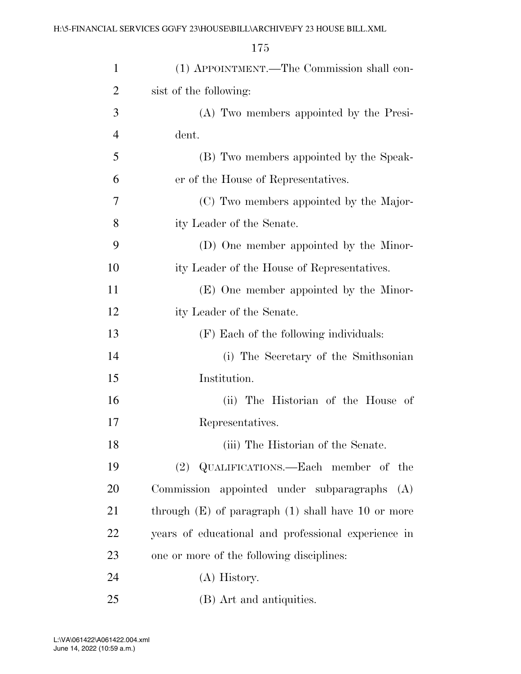| $\mathbf{1}$   | (1) APPOINTMENT.—The Commission shall con-             |  |  |
|----------------|--------------------------------------------------------|--|--|
| $\overline{2}$ | sist of the following:                                 |  |  |
| 3              | (A) Two members appointed by the Presi-                |  |  |
| 4              | dent.                                                  |  |  |
| 5              | (B) Two members appointed by the Speak-                |  |  |
| 6              | er of the House of Representatives.                    |  |  |
| 7              | (C) Two members appointed by the Major-                |  |  |
| 8              | ity Leader of the Senate.                              |  |  |
| 9              | (D) One member appointed by the Minor-                 |  |  |
| 10             | ity Leader of the House of Representatives.            |  |  |
| 11             | (E) One member appointed by the Minor-                 |  |  |
| 12             | ity Leader of the Senate.                              |  |  |
| 13             | (F) Each of the following individuals:                 |  |  |
| 14             | (i) The Secretary of the Smithsonian                   |  |  |
| 15             | Institution.                                           |  |  |
| 16             | (ii) The Historian of the House of                     |  |  |
| 17             | Representatives.                                       |  |  |
| 18             | (iii) The Historian of the Senate.                     |  |  |
| 19             | (2) QUALIFICATIONS.—Each member of the                 |  |  |
| 20             | Commission appointed under subparagraphs<br>(A)        |  |  |
| 21             | through $(E)$ of paragraph $(1)$ shall have 10 or more |  |  |
| 22             | years of educational and professional experience in    |  |  |
| 23             | one or more of the following disciplines:              |  |  |
| 24             | (A) History.                                           |  |  |
| 25             | (B) Art and antiquities.                               |  |  |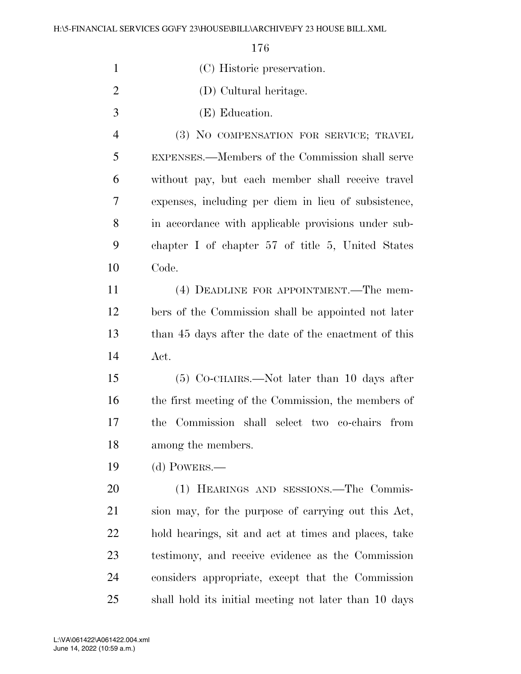| $\mathbf{1}$   | (C) Historic preservation.                            |
|----------------|-------------------------------------------------------|
| $\overline{2}$ | (D) Cultural heritage.                                |
| 3              | (E) Education.                                        |
| $\overline{4}$ | (3) NO COMPENSATION FOR SERVICE; TRAVEL               |
| 5              | EXPENSES.—Members of the Commission shall serve       |
| 6              | without pay, but each member shall receive travel     |
| 7              | expenses, including per diem in lieu of subsistence,  |
| 8              | in accordance with applicable provisions under sub-   |
| 9              | chapter I of chapter 57 of title 5, United States     |
| 10             | Code.                                                 |
| 11             | (4) DEADLINE FOR APPOINTMENT.—The mem-                |
| 12             | bers of the Commission shall be appointed not later   |
| 13             | than 45 days after the date of the enactment of this  |
| 14             | Act.                                                  |
| 15             | (5) CO-CHAIRS.—Not later than 10 days after           |
| 16             | the first meeting of the Commission, the members of   |
| 17             | Commission shall select two co-chairs from<br>the     |
| 18             | among the members.                                    |
| 19             | $(d)$ POWERS.—                                        |
| 20             | (1) HEARINGS AND SESSIONS.—The Commis-                |
| 21             | sion may, for the purpose of carrying out this Act,   |
| 22             | hold hearings, sit and act at times and places, take  |
| 23             | testimony, and receive evidence as the Commission     |
| 24             | considers appropriate, except that the Commission     |
| 25             | shall hold its initial meeting not later than 10 days |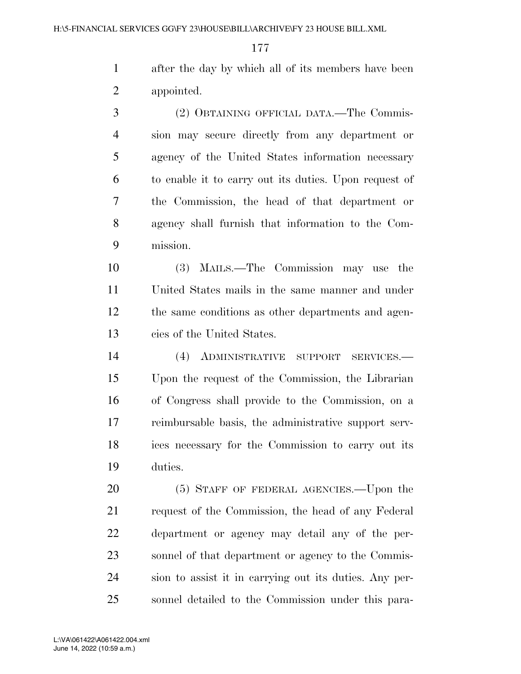after the day by which all of its members have been appointed.

 (2) OBTAINING OFFICIAL DATA.—The Commis- sion may secure directly from any department or agency of the United States information necessary to enable it to carry out its duties. Upon request of the Commission, the head of that department or agency shall furnish that information to the Com-mission.

 (3) MAILS.—The Commission may use the United States mails in the same manner and under the same conditions as other departments and agen-cies of the United States.

 (4) ADMINISTRATIVE SUPPORT SERVICES.— Upon the request of the Commission, the Librarian of Congress shall provide to the Commission, on a reimbursable basis, the administrative support serv- ices necessary for the Commission to carry out its duties.

20 (5) STAFF OF FEDERAL AGENCIES.—Upon the request of the Commission, the head of any Federal department or agency may detail any of the per- sonnel of that department or agency to the Commis- sion to assist it in carrying out its duties. Any per-sonnel detailed to the Commission under this para-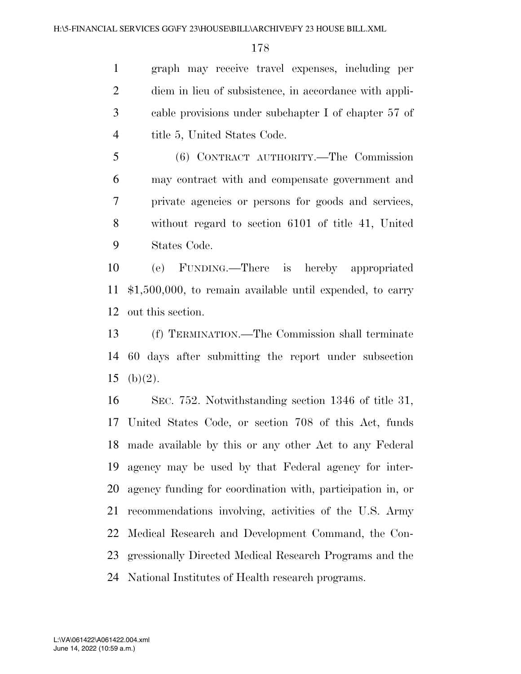graph may receive travel expenses, including per diem in lieu of subsistence, in accordance with appli- cable provisions under subchapter I of chapter 57 of 4 title 5, United States Code.

 (6) CONTRACT AUTHORITY.—The Commission may contract with and compensate government and private agencies or persons for goods and services, without regard to section 6101 of title 41, United States Code.

 (e) FUNDING.—There is hereby appropriated \$1,500,000, to remain available until expended, to carry out this section.

 (f) TERMINATION.—The Commission shall terminate 60 days after submitting the report under subsection 15 (b) $(2)$ .

 SEC. 752. Notwithstanding section 1346 of title 31, United States Code, or section 708 of this Act, funds made available by this or any other Act to any Federal agency may be used by that Federal agency for inter- agency funding for coordination with, participation in, or recommendations involving, activities of the U.S. Army Medical Research and Development Command, the Con- gressionally Directed Medical Research Programs and the National Institutes of Health research programs.

June 14, 2022 (10:59 a.m.) L:\VA\061422\A061422.004.xml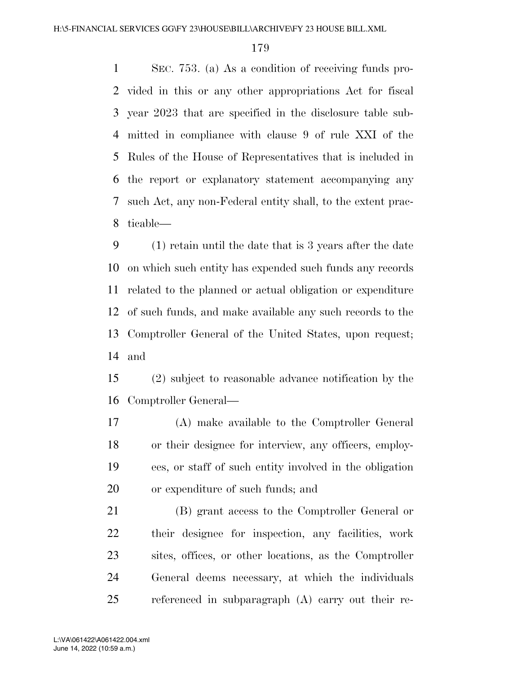SEC. 753. (a) As a condition of receiving funds pro- vided in this or any other appropriations Act for fiscal year 2023 that are specified in the disclosure table sub- mitted in compliance with clause 9 of rule XXI of the Rules of the House of Representatives that is included in the report or explanatory statement accompanying any such Act, any non-Federal entity shall, to the extent prac-ticable—

 (1) retain until the date that is 3 years after the date on which such entity has expended such funds any records related to the planned or actual obligation or expenditure of such funds, and make available any such records to the Comptroller General of the United States, upon request; and

 (2) subject to reasonable advance notification by the Comptroller General—

 (A) make available to the Comptroller General or their designee for interview, any officers, employ- ees, or staff of such entity involved in the obligation or expenditure of such funds; and

 (B) grant access to the Comptroller General or their designee for inspection, any facilities, work sites, offices, or other locations, as the Comptroller General deems necessary, at which the individuals referenced in subparagraph (A) carry out their re-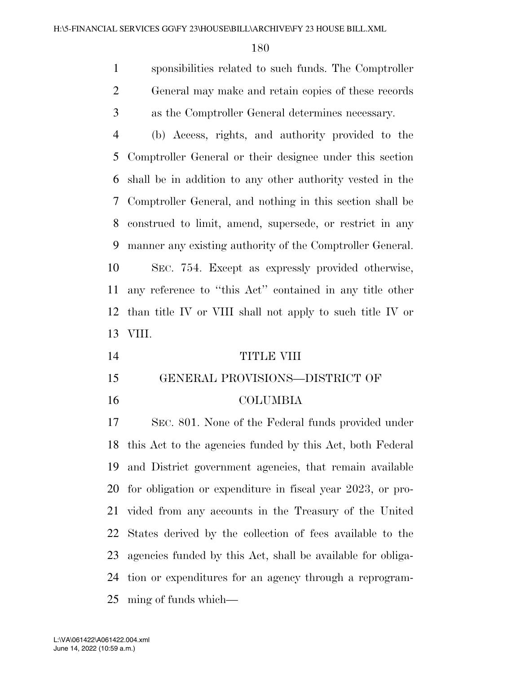sponsibilities related to such funds. The Comptroller General may make and retain copies of these records as the Comptroller General determines necessary.

 (b) Access, rights, and authority provided to the Comptroller General or their designee under this section shall be in addition to any other authority vested in the Comptroller General, and nothing in this section shall be construed to limit, amend, supersede, or restrict in any manner any existing authority of the Comptroller General. SEC. 754. Except as expressly provided otherwise, any reference to ''this Act'' contained in any title other than title IV or VIII shall not apply to such title IV or VIII.

| 14 | TITLE VIII |  |
|----|------------|--|
|    |            |  |

- GENERAL PROVISIONS—DISTRICT OF
- 

## COLUMBIA

 SEC. 801. None of the Federal funds provided under this Act to the agencies funded by this Act, both Federal and District government agencies, that remain available for obligation or expenditure in fiscal year 2023, or pro- vided from any accounts in the Treasury of the United States derived by the collection of fees available to the agencies funded by this Act, shall be available for obliga- tion or expenditures for an agency through a reprogram-ming of funds which—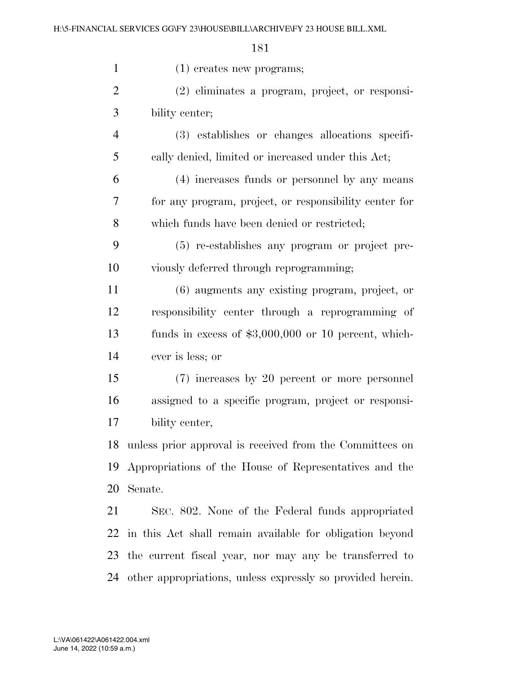| $\mathbf{1}$   | $(1)$ creates new programs;                                |
|----------------|------------------------------------------------------------|
| $\overline{2}$ | (2) eliminates a program, project, or responsi-            |
| 3              | bility center;                                             |
| $\overline{4}$ | (3) establishes or changes allocations specifi-            |
| 5              | cally denied, limited or increased under this Act;         |
| 6              | (4) increases funds or personnel by any means              |
| 7              | for any program, project, or responsibility center for     |
| 8              | which funds have been denied or restricted;                |
| 9              | (5) re-establishes any program or project pre-             |
| 10             | viously deferred through reprogramming;                    |
| 11             | (6) augments any existing program, project, or             |
| 12             | responsibility center through a reprogramming of           |
| 13             | funds in excess of $$3,000,000$ or 10 percent, which-      |
| 14             | ever is less; or                                           |
| 15             | (7) increases by 20 percent or more personnel              |
| 16             | assigned to a specific program, project or responsi-       |
| 17             | bility center,                                             |
| 18             | unless prior approval is received from the Committees on   |
| 19             | Appropriations of the House of Representatives and the     |
| 20             | Senate.                                                    |
| 21             | SEC. 802. None of the Federal funds appropriated           |
| 22             | in this Act shall remain available for obligation beyond   |
| 23             | the current fiscal year, nor may any be transferred to     |
| 24             | other appropriations, unless expressly so provided herein. |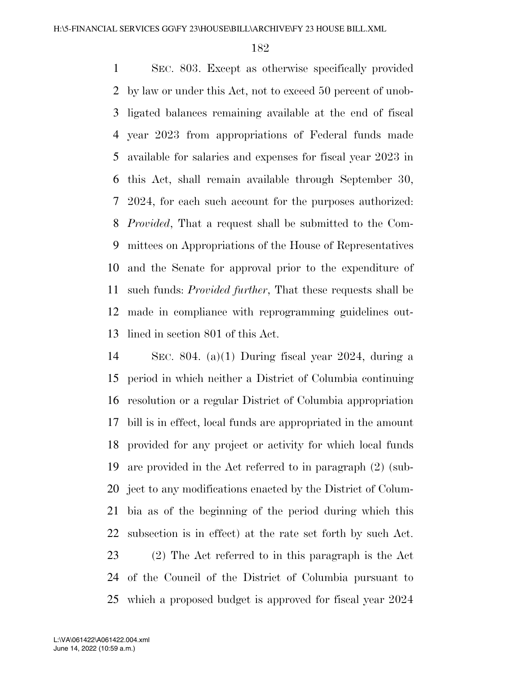SEC. 803. Except as otherwise specifically provided by law or under this Act, not to exceed 50 percent of unob- ligated balances remaining available at the end of fiscal year 2023 from appropriations of Federal funds made available for salaries and expenses for fiscal year 2023 in this Act, shall remain available through September 30, 2024, for each such account for the purposes authorized: *Provided*, That a request shall be submitted to the Com- mittees on Appropriations of the House of Representatives and the Senate for approval prior to the expenditure of such funds: *Provided further*, That these requests shall be made in compliance with reprogramming guidelines out-lined in section 801 of this Act.

 SEC. 804. (a)(1) During fiscal year 2024, during a period in which neither a District of Columbia continuing resolution or a regular District of Columbia appropriation bill is in effect, local funds are appropriated in the amount provided for any project or activity for which local funds are provided in the Act referred to in paragraph (2) (sub- ject to any modifications enacted by the District of Colum- bia as of the beginning of the period during which this subsection is in effect) at the rate set forth by such Act. (2) The Act referred to in this paragraph is the Act of the Council of the District of Columbia pursuant to which a proposed budget is approved for fiscal year 2024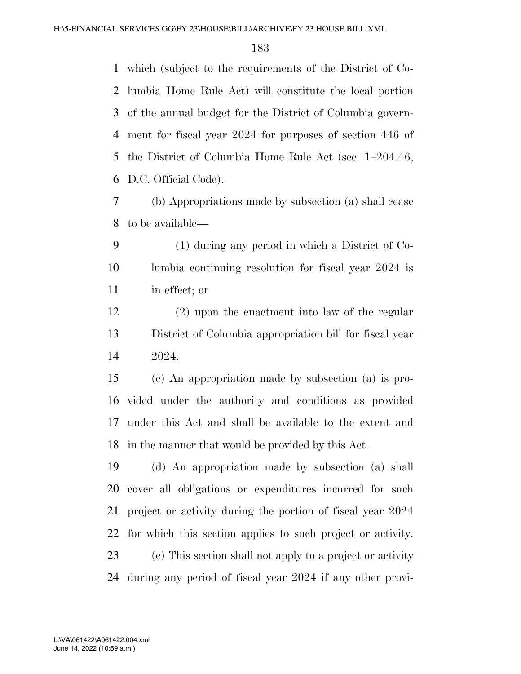which (subject to the requirements of the District of Co- lumbia Home Rule Act) will constitute the local portion of the annual budget for the District of Columbia govern- ment for fiscal year 2024 for purposes of section 446 of the District of Columbia Home Rule Act (sec. 1–204.46, D.C. Official Code).

 (b) Appropriations made by subsection (a) shall cease to be available—

 (1) during any period in which a District of Co- lumbia continuing resolution for fiscal year 2024 is in effect; or

 (2) upon the enactment into law of the regular District of Columbia appropriation bill for fiscal year 2024.

 (c) An appropriation made by subsection (a) is pro- vided under the authority and conditions as provided under this Act and shall be available to the extent and in the manner that would be provided by this Act.

 (d) An appropriation made by subsection (a) shall cover all obligations or expenditures incurred for such project or activity during the portion of fiscal year 2024 for which this section applies to such project or activity. (e) This section shall not apply to a project or activity during any period of fiscal year 2024 if any other provi-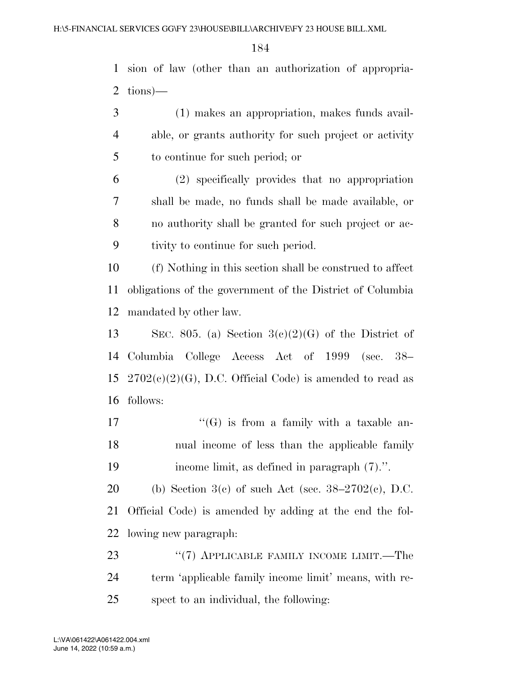sion of law (other than an authorization of appropria-tions)—

- (1) makes an appropriation, makes funds avail- able, or grants authority for such project or activity to continue for such period; or
- (2) specifically provides that no appropriation shall be made, no funds shall be made available, or no authority shall be granted for such project or ac-tivity to continue for such period.

 (f) Nothing in this section shall be construed to affect obligations of the government of the District of Columbia mandated by other law.

13 SEC. 805. (a) Section  $3(c)(2)(G)$  of the District of Columbia College Access Act of 1999 (sec. 38–  $2702(c)(2)(G)$ , D.C. Official Code) is amended to read as follows:

17  $"$ (G) is from a family with a taxable an- nual income of less than the applicable family income limit, as defined in paragraph (7).''.

20 (b) Section 3(c) of such Act (sec.  $38-2702(c)$ , D.C. Official Code) is amended by adding at the end the fol-lowing new paragraph:

23 "(7) APPLICABLE FAMILY INCOME LIMIT.—The term 'applicable family income limit' means, with re-spect to an individual, the following: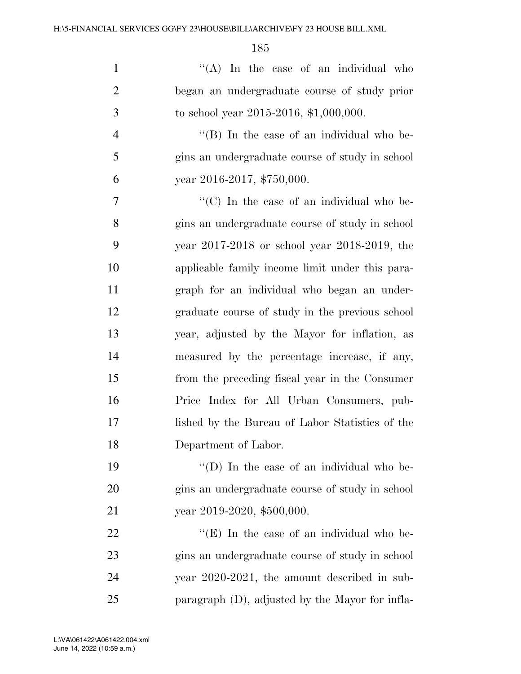| $\mathbf{1}$   | "(A) In the case of an individual who                          |
|----------------|----------------------------------------------------------------|
| $\overline{2}$ | began an undergraduate course of study prior                   |
| 3              | to school year $2015-2016$ , \$1,000,000.                      |
| $\overline{4}$ | "(B) In the case of an individual who be-                      |
| 5              | gins an undergraduate course of study in school                |
| 6              | year 2016-2017, \$750,000.                                     |
| 7              | $\lq\lq$ <sup>"</sup> (C) In the case of an individual who be- |
| 8              | gins an undergraduate course of study in school                |
| 9              | year 2017-2018 or school year 2018-2019, the                   |
| 10             | applicable family income limit under this para-                |
| 11             | graph for an individual who began an under-                    |
| 12             | graduate course of study in the previous school                |
| 13             | year, adjusted by the Mayor for inflation, as                  |
| 14             | measured by the percentage increase, if any,                   |
| 15             | from the preceding fiscal year in the Consumer                 |
| 16             | Price Index for All Urban Consumers, pub-                      |
| 17             | lished by the Bureau of Labor Statistics of the                |
| 18             | Department of Labor.                                           |
| 19             | "(D) In the case of an individual who be-                      |
| 20             | gins an undergraduate course of study in school                |
| 21             | year 2019-2020, \$500,000.                                     |
| 22             | "(E) In the case of an individual who be-                      |
| 23             | gins an undergraduate course of study in school                |
| 24             | year $2020-2021$ , the amount described in sub-                |
| 25             | paragraph (D), adjusted by the Mayor for infla-                |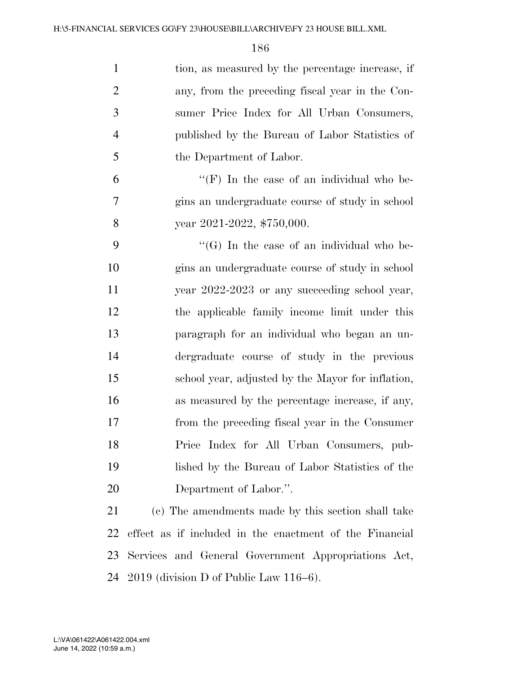| $\mathbf{1}$   | tion, as measured by the percentage increase, if        |
|----------------|---------------------------------------------------------|
| $\overline{2}$ | any, from the preceding fiscal year in the Con-         |
| 3              | sumer Price Index for All Urban Consumers,              |
| $\overline{4}$ | published by the Bureau of Labor Statistics of          |
| 5              | the Department of Labor.                                |
| 6              | "(F) In the case of an individual who be-               |
| 7              | gins an undergraduate course of study in school         |
| 8              | year 2021-2022, \$750,000.                              |
| 9              | $\lq\lq(G)$ In the case of an individual who be-        |
| 10             | gins an undergraduate course of study in school         |
| 11             | year 2022-2023 or any succeeding school year,           |
| 12             | the applicable family income limit under this           |
| 13             | paragraph for an individual who began an un-            |
| 14             | dergraduate course of study in the previous             |
| 15             | school year, adjusted by the Mayor for inflation,       |
| 16             | as measured by the percentage increase, if any,         |
| 17             | from the preceding fiscal year in the Consumer          |
| 18             | Price Index for All Urban Consumers, pub-               |
| 19             | lished by the Bureau of Labor Statistics of the         |
| 20             | Department of Labor.".                                  |
| 21             | (c) The amendments made by this section shall take      |
| 22             | effect as if included in the enactment of the Financial |
| 23             | Services and General Government Appropriations Act,     |
| 24             | $2019$ (division D of Public Law $116-6$ ).             |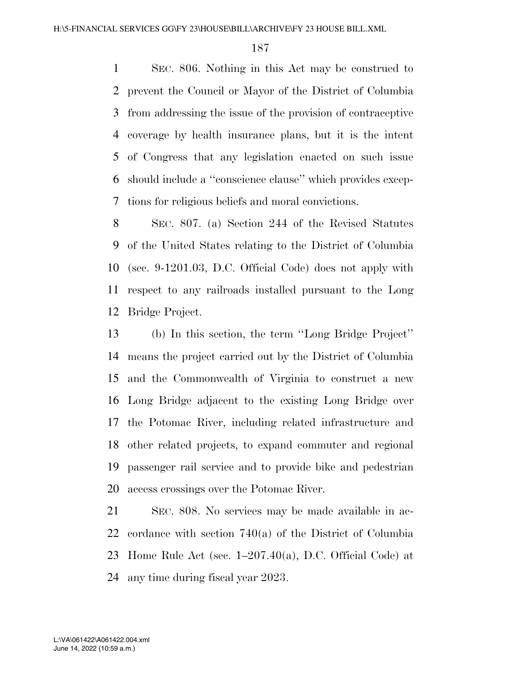SEC. 806. Nothing in this Act may be construed to prevent the Council or Mayor of the District of Columbia from addressing the issue of the provision of contraceptive coverage by health insurance plans, but it is the intent of Congress that any legislation enacted on such issue should include a ''conscience clause'' which provides excep-tions for religious beliefs and moral convictions.

 SEC. 807. (a) Section 244 of the Revised Statutes of the United States relating to the District of Columbia (sec. 9-1201.03, D.C. Official Code) does not apply with respect to any railroads installed pursuant to the Long Bridge Project.

 (b) In this section, the term ''Long Bridge Project'' means the project carried out by the District of Columbia and the Commonwealth of Virginia to construct a new Long Bridge adjacent to the existing Long Bridge over the Potomac River, including related infrastructure and other related projects, to expand commuter and regional passenger rail service and to provide bike and pedestrian access crossings over the Potomac River.

 SEC. 808. No services may be made available in ac- cordance with section 740(a) of the District of Columbia Home Rule Act (sec. 1–207.40(a), D.C. Official Code) at any time during fiscal year 2023.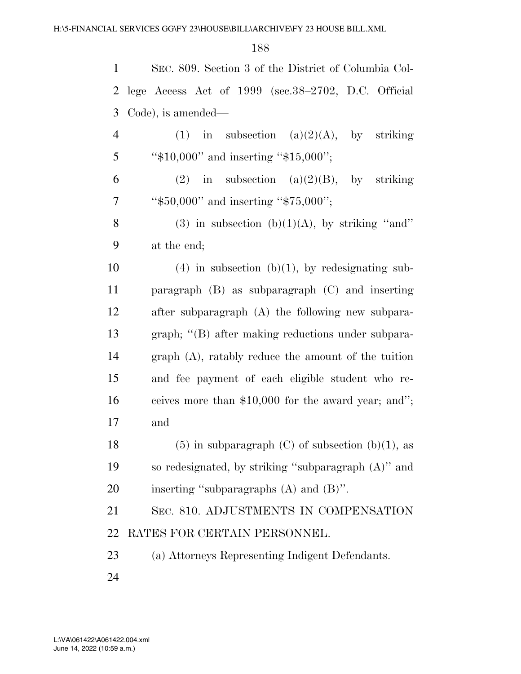| 1              | SEC. 809. Section 3 of the District of Columbia Col-    |
|----------------|---------------------------------------------------------|
| 2              | lege Access Act of 1999 (sec.38–2702, D.C. Official     |
| 3              | Code), is amended—                                      |
| $\overline{4}$ | (1) in subsection (a)(2)(A), by striking                |
| 5              | " $$10,000"$ and inserting " $$15,000"$ ;               |
| 6              | (2) in subsection (a)(2)(B), by striking                |
| $\tau$         | " $$50,000"$ and inserting " $$75,000"$ ;               |
| 8              | (3) in subsection (b)(1)(A), by striking "and"          |
| 9              | at the end;                                             |
| 10             | $(4)$ in subsection (b)(1), by redesignating sub-       |
| 11             | paragraph $(B)$ as subparagraph $(C)$ and inserting     |
| 12             | after subparagraph (A) the following new subpara-       |
| 13             | graph; "(B) after making reductions under subpara-      |
| 14             | graph (A), ratably reduce the amount of the tuition     |
| 15             | and fee payment of each eligible student who re-        |
| 16             | ceives more than \$10,000 for the award year; and";     |
| 17             | and                                                     |
| 18             | $(5)$ in subparagraph $(C)$ of subsection $(b)(1)$ , as |
| 19             | so redesignated, by striking "subparagraph (A)" and     |
| 20             | inserting "subparagraphs $(A)$ and $(B)$ ".             |
| 21             | SEC. 810. ADJUSTMENTS IN COMPENSATION                   |
| 22             | RATES FOR CERTAIN PERSONNEL.                            |
| 23             | (a) Attorneys Representing Indigent Defendants.         |
| 24             |                                                         |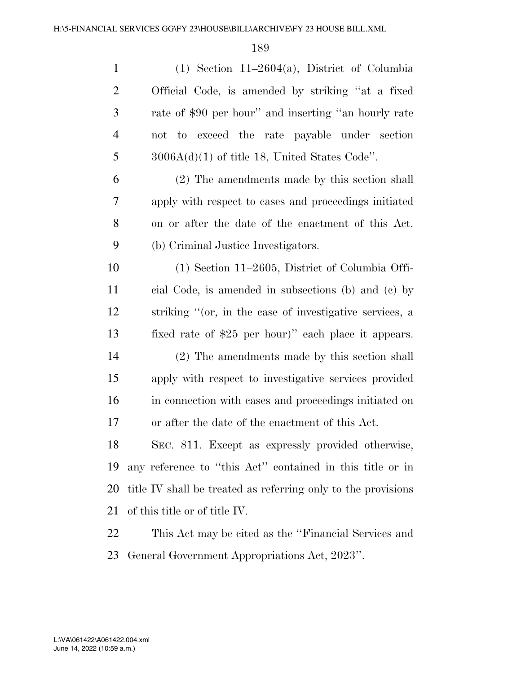| $\mathbf{1}$   | $(1)$ Section 11–2604(a), District of Columbia                |
|----------------|---------------------------------------------------------------|
| $\overline{2}$ | Official Code, is amended by striking "at a fixed             |
| 3              | rate of \$90 per hour" and inserting "an hourly rate          |
| $\overline{4}$ | not to exceed the rate payable under section                  |
| 5              | $3006A(d)(1)$ of title 18, United States Code".               |
| 6              | (2) The amendments made by this section shall                 |
| 7              | apply with respect to cases and proceedings initiated         |
| 8              | on or after the date of the enactment of this Act.            |
| 9              | (b) Criminal Justice Investigators.                           |
| 10             | $(1)$ Section 11–2605, District of Columbia Offi-             |
| 11             | cial Code, is amended in subsections (b) and (c) by           |
| 12             | striking "(or, in the case of investigative services, a       |
| 13             | fixed rate of \$25 per hour)" each place it appears.          |
| 14             | (2) The amendments made by this section shall                 |
| 15             | apply with respect to investigative services provided         |
| 16             | in connection with cases and proceedings initiated on         |
| 17             | or after the date of the enactment of this Act.               |
| 18             | SEC. 811. Except as expressly provided otherwise,             |
| 19             | any reference to "this Act" contained in this title or in     |
| 20             | title IV shall be treated as referring only to the provisions |
| 21             | of this title or of title IV.                                 |
| 22             | This Act may be cited as the "Financial Services and          |
| 23             | General Government Appropriations Act, 2023".                 |